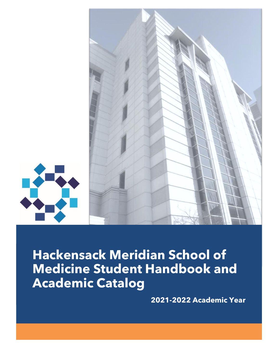

# **Hackensack Meridian School of Medicine Student Handbook and Academic Catalog**

**2021-2022 Academic Year**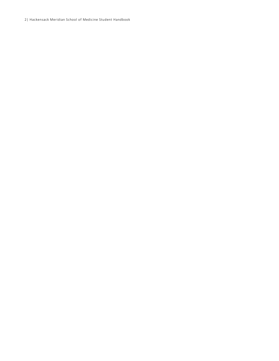2| Hackensack Meridian School of Medicine Student Handbook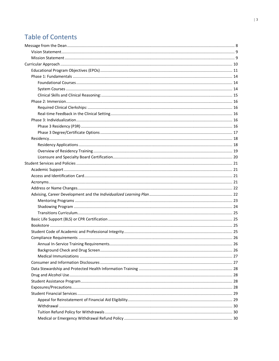# **Table of Contents**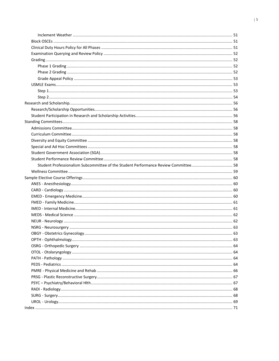| Student Professionalism Subcommittee of the Student Performance Review Committee 58 |  |
|-------------------------------------------------------------------------------------|--|
|                                                                                     |  |
|                                                                                     |  |
|                                                                                     |  |
|                                                                                     |  |
|                                                                                     |  |
|                                                                                     |  |
|                                                                                     |  |
|                                                                                     |  |
|                                                                                     |  |
|                                                                                     |  |
|                                                                                     |  |
|                                                                                     |  |
|                                                                                     |  |
|                                                                                     |  |
|                                                                                     |  |
|                                                                                     |  |
|                                                                                     |  |
|                                                                                     |  |
|                                                                                     |  |
|                                                                                     |  |
|                                                                                     |  |
|                                                                                     |  |
|                                                                                     |  |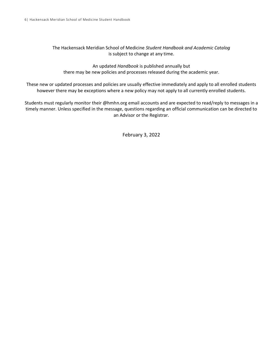#### The Hackensack Meridian School of Medicine *Student Handbook and Academic Catalog* is subject to change at any time.

An updated *Handbook* is published annually but there may be new policies and processes released during the academic year.

These new or updated processes and policies are usually effective immediately and apply to all enrolled students however there may be exceptions where a new policy may not apply to all currently enrolled students.

Students must regularly monitor their @hmhn.org email accounts and are expected to read/reply to messages in a timely manner. Unless specified in the message, questions regarding an official communication can be directed to an Advisor or the Registrar.

February 3, 2022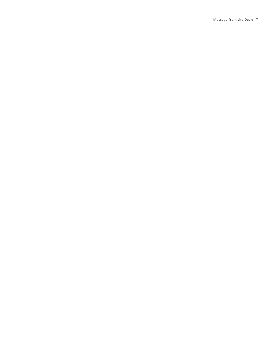Message from the Dean| 7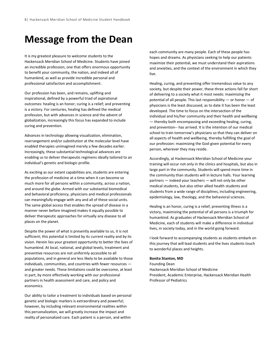# <span id="page-7-0"></span>**Message from the Dean**

It is my greatest pleasure to welcome students to the Hackensack Meridian School of Medicine. Students have joined an incredible profession, one that offers enormous opportunity to benefit your community, the nation, and indeed all of humankind, as well as provide incredible personal and professional satisfaction and accomplishment.

Our profession has been, and remains, uplifting and inspirational, defined by a powerful triad of aspirational outcomes: healing is an honor; curing is a relief; and preventing is a victory. For centuries, healing has defined the medical profession, but with advances in science and the advent of globalization, increasingly this focus has expanded to include curing and prevention.

Advances in technology allowing visualization, elimination, rearrangement and/or substitution at the molecular level have enabled therapies unimagined merely a few decades earlier. Increasingly, these substantial technological advances are enabling us to deliver therapeutic regimens ideally tailored to an individual's genetic and biologic profile.

As exciting as our extant capabilities are, students are entering the profession of medicine at a time when it can become so much more for all persons within a community, across a nation, and around the globe. Armed with our substantial biomedical and behavioral proficiency, physicians and medical professionals can meaningfully engage with any and all of these social units. The same global access that enables the spread of disease in a manner never before imagined makes it equally possible to deliver therapeutic approaches for virtually any disease to all places on the planet.

Despite the power of what is presently available to us, it is not sufficient; this potential is limited by its current reality and by its vision. Herein lies your greatest opportunity to better the lives of humankind. At local, national, and global levels, treatment and preventive resources are not uniformly accessible to all populations, and in general are less likely to be available to those individuals, communities, and countries with fewer resources and greater needs. These limitations could be overcome, at least in part, by more effectively working with our professional partners in health assessment and care, and policy and economics.

Our ability to tailor a treatment to individuals based on personal genetic and biologic markers is extraordinary and powerful; however, by including relevant environmental realities within this personalization, we will greatly increase the impact and reality of personalized care. Each patient is a person, and within

each community are many people. Each of these people has hopes and dreams. As physicians seeking to help our patients maximize their potential, we must understand their aspirations and anxieties, and the context of the environment in which they live.

Healing, curing, and preventing offer tremendous value to any society, but despite their power, these three actions fall far short of delivering to a society what it most needs: maximizing the potential of all people. This last responsibility  $-$  or honor  $-$  of physicians is the least discussed, as to date it has been the least developed. The time to focus on the intersection of the individual and his/her community and their health and wellbeing — thereby both encompassing and exceeding healing, curing, and prevention-- has arrived. It is the intention of our medical school to train tomorrow's physicians so that they can deliver on all aspects of health and wellbeing, thereby fulfilling the goal of our profession: maximizing the God-given potential for every person, wherever they may reside.

Accordingly, at Hackensack Meridian School of Medicine your training will occur not only in the clinics and hospitals, but also in large part in the community. Students will spend more time in the community than students will in lecture halls. Your learning partners — indeed your teachers — will not only be other medical students, but also other allied health students and students from a wide range of disciplines, including engineering, epidemiology, law, theology, and the behavioral sciences.

Healing is an honor, curing is a relief, preventing illness is a victory, maximizing the potential of all persons is a triumph for humankind. As graduates of Hackensack Meridian School of Medicine, each of students will make a difference in individual lives, in society today, and in the world going forward.

I look forward to accompanying students as students embark on this journey that will lead students and the lives students touch to wonderful places and heights.

#### **Bonita Stanton, MD**

Founding Dean Hackensack Meridian School of Medicine President, Academic Enterprise, Hackensack Meridian Health Professor of Pediatrics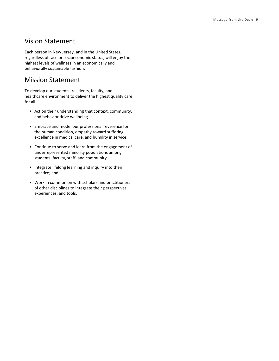# <span id="page-8-0"></span>Vision Statement

Each person in New Jersey, and in the United States, regardless of race or socioeconomic status, will enjoy the highest levels of wellness in an economically and behaviorally sustainable fashion.

# <span id="page-8-1"></span>Mission Statement

To develop our students, residents, faculty, and healthcare environment to deliver the highest quality care for all.

- Act on their understanding that context, community, and behavior drive wellbeing.
- Embrace and model our professional reverence for the human condition, empathy toward suffering, excellence in medical care, and humility in service.
- Continue to serve and learn from the engagement of underrepresented minority populations among students, faculty, staff, and community.
- Integrate lifelong learning and inquiry into their practice; and
- Work in communion with scholars and practitioners of other disciplines to integrate their perspectives, experiences, and tools.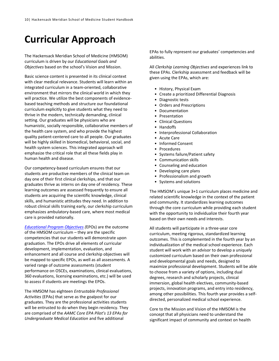# <span id="page-9-0"></span>**Curricular Approach**

The Hackensack Meridian School of Medicine (HMSOM) curriculum is driven by our *Educational Goals and Objectives* based on the school's Vision and Mission.

Basic science content is presented in its clinical context with clear medical relevance. Students will learn within an integrated curriculum in a team-oriented, collaborative environment that mirrors the clinical world in which they will practice. We utilize the best components of evidencebased teaching methods and structure our foundational curriculum explicitly to give students what they need to thrive in the modern, technically demanding, clinical setting. Our graduates will be physicians who are humanistic, socially responsible, collaborative members of the health care system, and who provide the highest quality patient-centered care to all people. Our graduates will be highly skilled in biomedical, behavioral, social, and health system sciences. This integrated approach will emphasize the critical role that all these fields play in human health and disease.

Our competency-based curriculum ensures that our students are productive members of the clinical team on day one of their first clinical clerkships, and that our graduates thrive as interns on day one of residency. These learning outcomes are assessed frequently to ensure all students are acquiring the scientific knowledge, clinical skills, and humanistic attitudes they need. In addition to robust clinical skills training early, our clerkship curriculum emphasizes ambulatory-based care, where most medical care is provided nationally.

*[Educational Program Objectives](#page-10-0) (*EPOs) are the outcome of the HMSOM curriculum – they are the specific competencies that our students will demonstrate upon graduation. The EPOs drive all elements of curricular development, implementation, evaluation, and enhancement and all course and clerkship objectives will be mapped to specific EPOs, as well as all assessments. A varied range of outcome assessments (student performance on OSCEs, examinations, clinical evaluations, 360 evaluations, licensing examinations, etc.) will be used to assess if students are meetings the EPOs.

The HMSOM has eighteen *Entrustable Professional Activities* (EPAs) that serve as the goalpost for our graduates. They are the professional activities students will be entrusted to do when they begin residency. They are comprised of the *AAMC Core EPA Pilot's 13 EPAs for Undergraduate Medical Education* and five additional

EPAs to fully represent our graduates' competencies and abilities.

All *Clerkship Learning Objectives* and experiences link to these EPAs. Clerkship assessment and feedback will be given using the EPAs, which are:

- History, Physical Exam
- Create a prioritized Differential Diagnosis
- Diagnostic tests
- Orders and Prescriptions
- Documentation
- Presentation
- Clinical Questions
- Handoffs
- Interprofessional Collaboration
- Acute Care
- Informed Consent
- Procedures
- Systems failure/Patient safety
- Communication skills
- Counseling and education
- Developing care plans
- Professionalism and growth
- Systems and solutions

The HMSOM's unique 3+1 curriculum places medicine and related scientific knowledge in the context of the patient and community. It standardizes learning outcomes through the core curriculum while providing each student with the opportunity to individualize their fourth year based on their own needs and interests.

All students will participate in a three-year core curriculum, meeting rigorous, standardized learning outcomes. This is complemented in the fourth year by an individualization of the medical school experience. Each student will work with an advisor to develop a uniquely customized curriculum based on their own professional and developmental goals and needs, designed to maximize professional development. Students will be able to choose from a variety of options, including dual degrees, research and scholarly projects, clinical immersion, global health electives, community-based projects, innovation programs, and entry into residency, among other possibilities. This fourth year provides a selfdirected, personalized medical school experience.

Core to the Mission and Vision of the HMSOM is the concept that all physicians need to understand the significant impact of community and context on health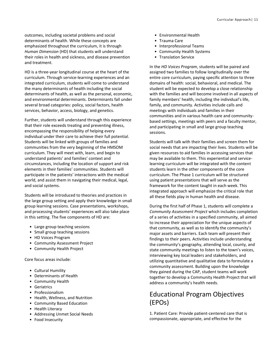outcomes, including societal problems and social determinants of health. While these concepts are emphasized throughout the curriculum, it is through *Human Dimension* (HD) that students will understand their roles in health and sickness, and disease prevention and treatment.

HD is a three-year longitudinal course at the heart of the curriculum. Through service-learning experiences and an integrated curriculum, students will come to understand the many determinants of health including the social determinants of health, as well as the personal, economic, and environmental determinants. Determinants fall under several broad categories: policy, social factors, health services, behavior, access, biology, and genetics.

Further, students will understand through this experience that their role exceeds treating and preventing illness, encompassing the responsibility of helping every individual under their care to achieve their full potential. Students will be linked with groups of families and communities from the very beginning of the HMSOM curriculum. They will meet with, learn, and begin to understand patients' and families' context and circumstances, including the location of support and risk elements in their families' communities. Students will participate in the patients' interactions with the medical world, and assist them in navigating their medical, legal, and social systems.

Students will be introduced to theories and practices in the large group setting and apply their knowledge in small group learning sessions. Case presentations, workshops, and processing students' experiences will also take place in this setting. The five components of HD are:

- Large group teaching sessions
- Small group teaching sessions
- HD Voices Program
- Community Assessment Project
- Community Health Project

Core focus areas include:

- Cultural Humility
- Determinants of Health
- Community Health
- Geriatrics
- Professionalism
- Health, Wellness, and Nutrition
- Community Based Education
- Health Literacy
- Addressing Unmet Social Needs
- Food Insecurity
- Environmental Health
- Trauma Care
- Interprofessional Teams
- Community Health Systems
- Translation Service

In the *HD Voices Program*, students will be paired and assigned two families to follow longitudinally over the entire core curriculum, paying specific attention to three domains of health: social, behavioral, and medical. The student will be expected to develop a close relationship with the families and will become involved in all aspects of family members' health, including the individual's life, family, and community. Activities include calls and meetings with individuals and families in their communities and in various health care and communitybased settings, meetings with peers and a faculty mentor, and participating in small and large group teaching sessions.

Students will talk with their families and screen them for social needs that are impacting their lives. Students will be given resources to aid families in accessing services that may be available to them. This experiential and servicelearning curriculum will be integrated with the content students learn in the other components of the core curriculum. The Phase 1 curriculum will be structured using patient presentations that will serve as the framework for the content taught in each week. This integrated approach will emphasize the critical role that all these fields play in human health and disease.

During the first half of Phase 1, students will complete a *Community Assessment Project* which includes completion of a series of activities in a specified community, all aimed to increase their appreciation for the unique aspects of that community, as well as to identify the community's major assets and barriers. Each team will present their findings to their peers. Activities include understanding the community's geography, attending local, county, and state community meetings to listen to the town's voices, interviewing key local leaders and stakeholders, and utilizing quantitative and qualitative data to formulate a community assessment. Building upon the knowledge they gained during the CAP, student teams will work together to develop a Community Health Project that will address a community's health needs.

# <span id="page-10-0"></span>Educational Program Objectives (EPOs)

1. Patient Care: Provide patient-centered care that is compassionate, appropriate, and effective for the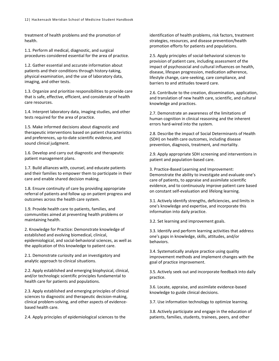treatment of health problems and the promotion of health.

1.1. Perform all medical, diagnostic, and surgical procedures considered essential for the area of practice.

1.2. Gather essential and accurate information about patients and their conditions through history-taking, physical examination, and the use of laboratory data, imaging, and other tests.

1.3. Organize and prioritize responsibilities to provide care that is safe, effective, efficient, and considerate of health care resources.

1.4. Interpret laboratory data, imaging studies, and other tests required for the area of practice.

1.5. Make informed decisions about diagnostic and therapeutic interventions based on patient characteristics and preferences, up-to-date scientific evidence, and sound clinical judgment.

1.6. Develop and carry out diagnostic and therapeutic patient management plans.

1.7. Build alliances with, counsel, and educate patients and their families to empower them to participate in their care and enable shared decision making.

1.8. Ensure continuity of care by providing appropriate referral of patients and follow up on patient progress and outcomes across the health care system.

1.9. Provide health care to patients, families, and communities aimed at preventing health problems or maintaining health.

2. Knowledge for Practice: Demonstrate knowledge of established and evolving biomedical, clinical, epidemiological, and social-behavioral sciences, as well as the application of this knowledge to patient care.

2.1. Demonstrate curiosity and an investigatory and analytic approach to clinical situations.

2.2. Apply established and emerging biophysical, clinical, and/or technologic scientific principles fundamental to health care for patients and populations.

2.3. Apply established and emerging principles of clinical sciences to diagnostic and therapeutic decision-making, clinical problem-solving, and other aspects of evidencebased health care.

2.4. Apply principles of epidemiological sciences to the

identification of health problems, risk factors, treatment strategies, resources, and disease prevention/health promotion efforts for patients and populations.

2.5. Apply principles of social-behavioral sciences to provision of patient care, including assessment of the impact of psychosocial and cultural influences on health, disease, lifespan progression, medication adherence, lifestyle change, care-seeking, care compliance, and barriers to and attitudes toward care.

2.6. Contribute to the creation, dissemination, application, and translation of new health care, scientific, and cultural knowledge and practices.

2.7. Demonstrate an awareness of the limitations of human cognition in clinical reasoning and the inherent errors hard-wired into the system.

2.8. Describe the impact of Social Determinants of Health (SDH) on health care outcomes, including disease prevention, diagnosis, treatment, and mortality.

2.9. Apply appropriate SDH screening and interventions in patient and population-based care.

3. Practice-Based Learning and Improvement: Demonstrate the ability to investigate and evaluate one's care of patients, to appraise and assimilate scientific evidence, and to continuously improve patient care based on constant self-evaluation and lifelong learning.

3.1. Actively identify strengths, deficiencies, and limits in one's knowledge and expertise, and incorporate this information into daily practice.

3.2. Set learning and improvement goals.

3.3. Identify and perform learning activities that address one's gaps in knowledge, skills, attitudes, and/or behaviors.

3.4. Systematically analyze practice using quality improvement methods and implement changes with the goal of practice improvement.

3.5. Actively seek out and incorporate feedback into daily practice.

3.6. Locate, appraise, and assimilate evidence-based knowledge to guide clinical decisions.

3.7. Use information technology to optimize learning.

3.8. Actively participate and engage in the education of patients, families, students, trainees, peers, and other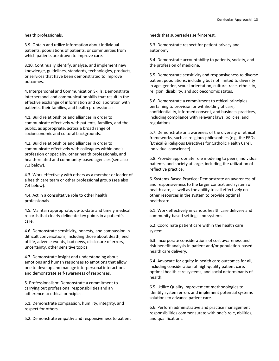health professionals.

3.9. Obtain and utilize information about individual patients, populations of patients, or communities from which patients are drawn to improve care.

3.10. Continually identify, analyze, and implement new knowledge, guidelines, standards, technologies, products, or services that have been demonstrated to improve outcomes.

4. Interpersonal and Communication Skills: Demonstrate interpersonal and communication skills that result in the effective exchange of information and collaboration with patients, their families, and health professionals.

4.1. Build relationships and alliances in order to communicate effectively with patients, families, and the public, as appropriate, across a broad range of socioeconomic and cultural backgrounds.

4.2. Build relationships and alliances in order to communicate effectively with colleagues within one's profession or specialty, other health professionals, and health-related and community-based agencies (see also 7.3 below).

4.3. Work effectively with others as a member or leader of a health care team or other professional group (see also 7.4 below).

4.4. Act in a consultative role to other health professionals.

4.5. Maintain appropriate, up-to-date and timely medical records that clearly delineate key points in a patient's care.

4.6. Demonstrate sensitivity, honesty, and compassion in difficult conversations, including those about death, end of life, adverse events, bad news, disclosure of errors, uncertainty, other sensitive topics.

4.7. Demonstrate insight and understanding about emotions and human responses to emotions that allow one to develop and manage interpersonal interactions and demonstrate self-awareness of responses.

5. Professionalism: Demonstrate a commitment to carrying out professional responsibilities and an adherence to ethical principles.

5.1. Demonstrate compassion, humility, integrity, and respect for others.

5.2. Demonstrate empathy and responsiveness to patient

needs that supersedes self-interest.

5.3. Demonstrate respect for patient privacy and autonomy.

5.4. Demonstrate accountability to patients, society, and the profession of medicine.

5.5. Demonstrate sensitivity and responsiveness to diverse patient populations, including but not limited to diversity in age, gender, sexual orientation, culture, race, ethnicity, religion, disability, and socioeconomic status.

5.6. Demonstrate a commitment to ethical principles pertaining to provision or withholding of care, confidentiality, informed consent, and business practices, including compliance with relevant laws, policies, and regulations.

5.7. Demonstrate an awareness of the diversity of ethical frameworks, such as religious philosophies (e.g. the ERDs [Ethical & Religious Directives for Catholic Health Care], individual conscience).

5.8. Provide appropriate role modeling to peers, individual patients, and society at large, including the utilization of reflective practice.

6. Systems-Based Practice: Demonstrate an awareness of and responsiveness to the larger context and system of health care, as well as the ability to call effectively on other resources in the system to provide optimal healthcare.

6.1. Work effectively in various health care delivery and community-based settings and systems.

6.2. Coordinate patient care within the health care system.

6.3. Incorporate considerations of cost awareness and risk-benefit analysis in patient and/or population-based health care delivery.

6.4. Advocate for equity in health care outcomes for all, including consideration of high-quality patient care, optimal health care systems, and social determinants of health.

6.5. Utilize Quality Improvement methodologies to identify system errors and implement potential systems solutions to advance patient care.

6.6. Perform administrative and practice management responsibilities commensurate with one's role, abilities, and qualifications.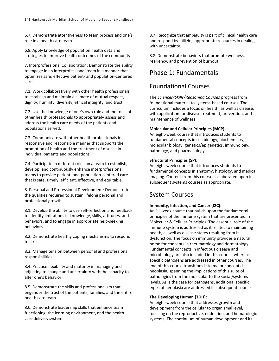6.7. Demonstrate attentiveness to team process and one's role in a health care team.

6.8. Apply knowledge of population health data and strategies to improve health outcomes of the community.

7. Interprofessional Collaboration: Demonstrate the ability to engage in an interprofessional team in a manner that optimizes safe, effective patient- and population-centered care.

7.1. Work collaboratively with other health professionals to establish and maintain a climate of mutual respect, dignity, humility, diversity, ethical integrity, and trust.

7.2. Use the knowledge of one's own role and the roles of other health professionals to appropriately assess and address the health care needs of the patients and populations served.

7.3. Communicate with other health professionals in a responsive and responsible manner that supports the promotion of health and the treatment of disease in individual patients and populations.

7.4. Participate in different roles on a team to establish, develop, and continuously enhance interprofessional teams to provide patient- and population-centered care that is safe, timely, efficient, effective, and equitable.

8. Personal and Professional Development: Demonstrate the qualities required to sustain lifelong personal and professional growth.

8.1. Develop the ability to use self-reflection and feedback to identify limitations in knowledge, skills, attitudes, and behaviors, and to engage in appropriate help-seeking behaviors.

8.2. Demonstrate healthy coping mechanisms to respond to stress.

8.3. Manage tension between personal and professional responsibilities.

8.4. Practice flexibility and maturity in managing and adjusting to change and uncertainty with the capacity to alter one's behavior.

8.5. Demonstrate the skills and professionalism that engender the trust of the patients, families, and the entire health care team.

8.6. Demonstrate leadership skills that enhance team functioning, the learning environment, and the health care delivery system.

8.7. Recognize that ambiguity is part of clinical health care and respond by utilizing appropriate resources in dealing with uncertainty.

8.8. Demonstrate behaviors that promote wellness, resiliency, and prevention of burnout.

# <span id="page-13-0"></span>Phase 1: Fundamentals

### <span id="page-13-1"></span>Foundational Courses

The *Sciences/Skills/Reasoning Courses* progress from foundational material to systems-based courses. The curriculum includes a focus on health, as well as disease, with application for disease treatment, prevention, and maintenance of wellness.

#### **Molecular and Cellular Principles (MCP):**

An eight-week course that introduces students to fundamental concepts in cell biology, biochemistry, molecular biology, genetics/epigenetics, immunology, pathology, and pharmacology.

#### **Structural Principles (SP):**

An eight-week course that introduces students to fundamental concepts in anatomy, histology, and medical imaging. Content from this course is elaborated upon in subsequent systems courses as appropriate.

### <span id="page-13-2"></span>System Courses

#### **Immunity, Infection, and Cancer (I2C):**

An 11-week course that builds upon the fundamental principles of the immune system that are presented in Molecular & Cellular Principles. The essential role of the immune system is addressed as it relates to maintaining health, as well as disease states resulting from its dysfunction. The focus on immunity provides a natural home for concepts in rheumatology and dermatology. Fundamental concepts in infectious disease and microbiology are also included in this course, whereas specific pathogens are addressed in other courses. The end of this course transitions into major concepts in neoplasia, spanning the implications of this suite of pathologies from the molecular to the social/systems levels. As is the case for pathogens, additional specific types of neoplasia are addressed in subsequent courses.

#### **The Developing Human (TDH):**

An eight-week course that addresses growth and development from the cellular to organismal level, focusing on the reproductive, endocrine, and hematologic systems. The continuum of human development and its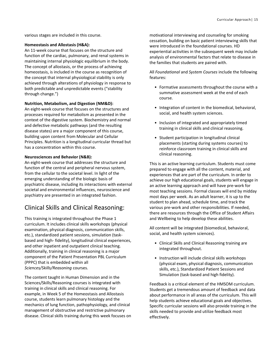various stages are included in this course.

#### **Homeostasis and Allostasis (H&A):**

An 11-week course that focuses on the structure and function of the cardiac, pulmonary, and renal systems in maintaining internal physiologic equilibrium in the body. The concept of allostasis, or the process of achieving homeostasis, is included in the course as recognition of the concept that internal physiological stability is only achieved through alterations of physiology in response to both predictable and unpredictable events ("stability through change.")

#### **Nutrition, Metabolism, and Digestion (NM&D):**

An eight-week course that focuses on the structures and processes required for metabolism as presented in the context of the digestive system. Biochemistry and normal and defective metabolic pathways (and the resulting disease states) are a major component of this course, building upon content from Molecular and Cellular Principles. Nutrition is a longitudinal curricular thread but has a concentration within this course.

#### **Neurosciences and Behavior (N&B):**

An eight-week course that addresses the structure and function of the central and peripheral nervous system, from the cellular to the societal level. In light of the emerging understanding of the biologic basis of psychiatric disease, including its interactions with external societal and environmental influences, neuroscience and psychiatry are presented in an integrated fashion.

### <span id="page-14-0"></span>Clinical Skills and Clinical Reasoning:

This training is integrated throughout the Phase 1 curriculum. It includes clinical skills workshops (physical examination, physical diagnosis, communication skills, etc.), standardized patient sessions, simulation (taskbased and high- fidelity), longitudinal clinical experiences, and other inpatient and outpatient clinical teaching. Additionally, training in clinical reasoning is a major component of the Patient Presentation PBL Curriculum (PPPC) that is embedded within all *Sciences/Skills/Reasoning* courses.

The content taught in Human Dimension and in the Sciences/Skills/Reasoning courses is integrated with training in clinical skills and clinical reasoning. For example, in Week 5 of the Homeostasis and Allostasis course, students learn pulmonary histology and the mechanics of lung function, pathophysiology, and clinical management of obstructive and restrictive pulmonary disease. Clinical skills training during this week focuses on motivational interviewing and counseling for smoking cessation, building on basic patient interviewing skills that were introduced in the foundational courses. HD experiential activities in the subsequent week may include analysis of environmental factors that relate to disease in the families that students are paired with.

All *Foundational* and *System Courses* include the following features:

- Formative assessments throughout the course with a summative assessment week at the end of each course.
- Integration of content in the biomedical, behavioral, social, and health system sciences.
- Inclusion of integrated and appropriately timed training in clinical skills and clinical reasoning.
- Student participation in longitudinal clinical placements (starting during systems courses) to reinforce classroom training in clinical skills and clinical reasoning.

This is an active learning curriculum. Students must come prepared to engage with all the content, material, and experiences that are part of the curriculum. In order to achieve our high educational goals, students will engage in an active learning approach and will have pre-work for most teaching sessions. Formal classes will end by midday most days per week. As an adult learner, it is up to the student to plan ahead, schedule time, and track the various pre-work and other responsibilities. If needed, there are resources through the Office of Student Affairs and Wellbeing to help develop these abilities.

All content will be integrated (biomedical, behavioral, social, and health system sciences).

- Clinical Skills and Clinical Reasoning training are integrated throughout.
- Instruction will include clinical skills workshops (physical exam, physical diagnosis, communication skills, etc.), Standardized Patient Sessions and Simulation (task-based and high fidelity).

Feedback is a critical element of the HMSOM curriculum. Students get a tremendous amount of feedback and data about performance in all areas of the curriculum. This will help students achieve educational goals and objectives. Specific curricular sessions will also provide training in the skills needed to provide and utilize feedback most effectively.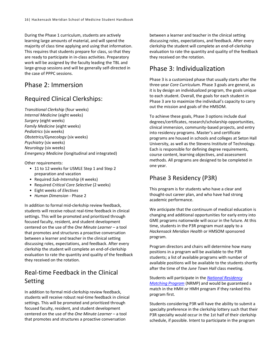During the Phase 1 curriculum, students are actively learning large amounts of material, and will spend the majority of class time applying and using that information. This requires that students prepare for class, so that they are ready to participate in in-class activities. Preparatory work will be assigned by the faculty leading the TBL and large-group sessions and will be generally self-directed in the case of PPPC sessions.

### <span id="page-15-0"></span>Phase 2: Immersion

### <span id="page-15-1"></span>Required Clinical Clerkships:

*Transitional Clerkship* (four weeks) *Internal Medicine* (eight weeks) *Surgery* (eight weeks) *Family Medicine* (eight weeks) *Pediatrics* (six weeks) *Obstetrics/Gynecology* (six weeks) *Psychiatry* (six weeks) *Neurology* (six weeks) *Emergency Medicine* (longitudinal and integrated)

Other requirements:

- 11 to 12 weeks for USMLE Step 1 and Step 2 preparation and vacation
- Required *Sub-Internship* (4 weeks)
- Required *Critical Care Selective* (2 weeks)
- Eight weeks of *Electives*
- *Human Dimension* Phase 2

In addition to formal mid-clerkship review feedback, students will receive robust real-time feedback in clinical settings. This will be promoted and prioritized through focused faculty, resident, and student development centered on the use of the *One Minute Learner* – a tool that promotes and structures a proactive conversation between a learner and teacher in the clinical setting discussing roles, expectations, and feedback. After every clerkship the student will complete an end-of-clerkship evaluation to rate the quantity and quality of the feedback they received on the rotation.

# <span id="page-15-2"></span>Real-time Feedback in the Clinical Setting

In addition to formal mid-clerkship review feedback, students will receive robust real-time feedback in clinical settings. This will be promoted and prioritized through focused faculty, resident, and student development centered on the use of the *One Minute Learner* – a tool that promotes and structures a proactive conversation

between a learner and teacher in the clinical setting discussing roles, expectations, and feedback. After every clerkship the student will complete an end-of-clerkship evaluation to rate the quantity and quality of the feedback they received on the rotation.

### <span id="page-15-3"></span>Phase 3: Individualization

Phase 3 is a customized phase that usually starts after the three-year *Core Curriculum.* Phase 3 goals are general, as it is by design an individualized program, the goals unique to each student. Overall, the goals for each student in Phase 3 are to maximize the individual's capacity to carry out the mission and goals of the HMSOM.

To achieve these goals, Phase 3 options include dual degrees/certificates, research/scholarship opportunities, clinical immersion, community-based projects, and entry into residency programs. Master's and certificate programs are housed in schools and colleges at Seton Hall University, as well as the Stevens Institute of Technology. Each is responsible for defining degree requirements, course content, learning objectives, and assessment methods. All programs are designed to be completed in one year.

### <span id="page-15-4"></span>Phase 3 Residency (P3R)

This program is for students who have a clear and thought-out career plan, and who have had strong academic performance.

We anticipate that the continuum of medical education is changing and additional opportunities for early entry into GME programs nationwide will occur in the future. At this time, students in the P3R program must apply to a *Hackensack Meridian Health* or HMSOM sponsored program.

Program directors and chairs will determine how many positions in a program will be available to the P3R students; a list of available programs with number of available positions will be available to the students shortly after the time of the *June Town Hall* class meeting.

Students will participate in the *[National Residency](https://www.nrmp.org/fellowships/medical-specialties-matching-program/)  [Matching Program](https://www.nrmp.org/fellowships/medical-specialties-matching-program/)* (NRMP) and would be guaranteed a match in the HMH or HMH program if they ranked this program first.

Students considering P3R will have the ability to submit a specialty preference in the clerkship lottery such that their P3R specialty would occur in the 1st half of their clerkship schedule, if possible. Intent to participate in the program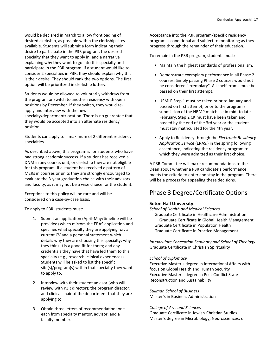would be declared in March to allow frontloading of desired clerkship, as possible within the clerkship sites available. Students will submit a form indicating their desire to participate in the P3R program, the desired specialty that they want to apply in, and a narrative explaining why they want to go into this specialty and participate in the P3R program. If a student would like to consider 2 specialties in P3R, they should explain why this is their desire. They should rank the two options. The first option will be prioritized in clerkship lottery.

Students would be allowed to voluntarily withdraw from the program or switch to another residency with open positions by December. If they switch, they would reapply and interview with the new specialty/department/location. There is no guarantee that

they would be accepted into an alternate residency position.

Students can apply to a maximum of 2 different residency specialties.

As described above, this program is for students who have had strong academic success. If a student has received a DNM in any course, unit, or clerkship they are not eligible for this program. If a student has received a pattern of MERs in courses or units they are strongly encouraged to evaluate the 3-year graduation choice with their advisors and faculty, as it may not be a wise choice for the student.

Exceptions to this policy will be rare and will be considered on a case-by-case basis.

To apply to P3R, students must:

- 1. Submit an application (April-May/timeline will be provided) which mirrors the ERAS application and specifies what specialty they are applying for; a current CV and a personal statement which details why they are choosing this specialty; why they think it is a good fit for them; and any credentials they have that have led them to this specialty (e.g., research, clinical experiences). Students will be asked to list the specific site(s)/program(s) within that specialty they want to apply to.
- 2. Interview with their student advisor (who will review with P3R director); the program director; and clinical chair of the department that they are applying to.
- 3. Obtain three letters of recommendation: one each from specialty mentor, advisor, and a faculty member.

Acceptance into the P3R program/specific residency program is conditional and subject to monitoring as they progress through the remainder of their education.

To remain in the P3R program, students must:

- Maintain the highest standards of professionalism.
- Demonstrate exemplary performance in all Phase 2 courses. Simply passing Phase 2 courses would not be considered "exemplary". All shelf exams must be passed on their first attempt.
- USMLE Step 1 must be taken prior to January and passed on first attempt, prior to the program's submission of the NRMP match list in mid- to late-February. Step 2 CK must have been taken and passed by the end of the 3rd year or the student must stay matriculated for the 4th year.
- Apply to Residency through the *Electronic Residency Application Service* (ERAS.) in the spring following acceptance, indicating the residency program to which they were admitted as their first choice.

A P3R Committee will make recommendations to the Dean about whether a P3R candidate's performance meets the criteria to enter and stay in the program. There will be a process for appealing these decisions.

### <span id="page-16-0"></span>Phase 3 Degree/Certificate Options

#### **Seton Hall University:**

*School of Health and Medical Sciences* Graduate Certificate in Healthcare Administration Graduate Certificate in Global Health Management Graduate Certificate in Population Health Graduate Certificate in Practice Management

*Immaculate Conception Seminary and School of Theology* Graduate Certificate in Christian Spirituality

#### *School of Diplomacy*

Executive Master's degree in International Affairs with focus on Global Health and Human Security Executive Master's degree in Post-Conflict State Reconstruction and Sustainability

*Stillman School of Business* Master's in Business Administration

*College of Arts and Sciences* Graduate Certificate in Jewish-Christian Studies Master's degree in Microbiology; Neurosciences; or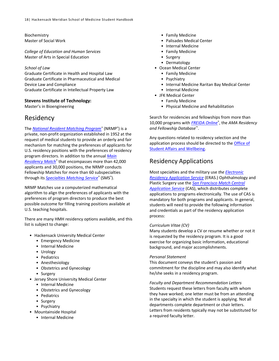Biochemistry Master of Social Work

*College of Education and Human Services* Master of Arts in Special Education

#### *School of Law*

Graduate Certificate in Health and Hospital Law Graduate Certificate in Pharmaceutical and Medical Device Law and Compliance Graduate Certificate in Intellectual Property Law

#### **Stevens Institute of Technology:**

<span id="page-17-0"></span>Master's in Bioengineering

### Residency

The *[National Resident Matching Program](https://www.nrmp.org/intro-to-main-residency-match/)*® (NRMP® ) is a private, non-profit organization established in 1952 at the request of medical students to provide an orderly and fair mechanism for matching the preferences of applicants for U.S. residency positions with the preferences of residency program directors. In addition to the annual *[Main](https://www.nrmp.org/intro-to-main-residency-match/)  [Residency Match](https://www.nrmp.org/intro-to-main-residency-match/)*® that encompasses more than 42,000 applicants and 30,000 positions, the NRMP conducts Fellowship Matches for more than 60 subspecialties through its *[Specialties Matching Service](https://www.nrmp.org/fellowships/medical-specialties-matching-program/)*® (SMS® ).

NRMP Matches use a computerized mathematical algorithm to align the preferences of applicants with the preferences of program directors to produce the best possible outcome for filling training positions available at U.S. teaching hospitals.

There are many HMH residency options available, and this list is subject to change:

- Hackensack University Medical Center
	- Emergency Medicine
	- Internal Medicine
	- Urology
	- Pediatrics
	- Anesthesiology
	- Obstetrics and Gynecology
	- Surgery
- Jersey Shore University Medical Center
	- Internal Medicine
	- Obstetrics and Gynecology
	- Pediatrics
	- Surgery
	- Psychiatry
- Mountainside Hospital
	- Internal Medicine
- Family Medicine
- Palisades Medical Center
- Internal Medicine
- Family Medicine
- Surgery
- Dermatology
- Ocean Medical Center
	- Family Medicine
	- Psychiatry
	- Internal Medicine Raritan Bay Medical Center
	- Internal Medicine
- JFK Medical Center
	- Family Medicine
	- Physical Medicine and Rehabilitation

Search for residencies and fellowships from more than 10,000 programs with *[FREIDA Online](https://www.ama-assn.org/amaone/freida-membership?matchtype=b&network=g&device=c&adposition=&keyword=%2Bfreida&utm_source=google&utm_medium=ppc&utm_campaign=pe-digital-ads-freida-residency-general&gclid=Cj0KCQjw4eaJBhDMARIsANhrQADy20e61hON0iObiO9V9JHWV2aOhQNyJn87oRjG4t-pkSN0aiX8fbcaAvMQEALw_wcB)*® , the *AMA Residency and Fellowship Database*™.

Any questions related to residency selection and the application process should be directed to th[e Office of](mailto:SAW@hmhn.org)  [Student Affairs and Wellbeing.](mailto:SAW@hmhn.org)

### <span id="page-17-1"></span>Residency Applications

Most specialties and the military use *th[e Electronic](https://students-residents.aamc.org/applying-residencies-eras/applying-residencies-eras)  [Residency Application Service](https://students-residents.aamc.org/applying-residencies-eras/applying-residencies-eras)* (ERAS.) Ophthalmology and Plastic Surgery use the *[San Francisco Match Central](https://sfmatch.org/)  [Application Service](https://sfmatch.org/)* (CAS), which distributes complete applications to programs electronically. The use of CAS is mandatory for both programs and applicants. In general, students will need to provide the following information and credentials as part of the residency application process:

#### *Curriculum Vitae (CV)*

Many students develop a CV or resume whether or not it is requested by the residency program. It is a good exercise for organizing basic information, educational background, and major accomplishments.

#### *Personal Statement*

This document conveys the student's passion and commitment for the discipline and may also identify what he/she seeks in a residency program.

*Faculty and Department Recommendation Letters* Students request these letters from faculty with whom they have worked; one letter must be from an attending in the specialty in which the student is applying. Not all departments complete department or chair letters. Letters from residents typically may not be substituted for a required faculty letter.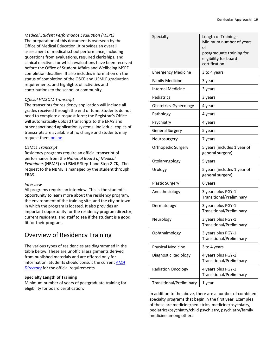*Medical Student Performance Evaluation (MSPE)* The preparation of this document is overseen by the Office of Medical Education. It provides an overall assessment of medical school performance, including quotations from evaluations, required clerkships, and clinical electives for which evaluations have been received before the Office of Student Affairs and Wellbeing MSPE completion deadline. It also includes information on the status of completion of the OSCE and USMLE graduation requirements, and highlights of activities and contributions to the school or community.

#### *Official HMSOM Transcript*

The transcripts for residency application will include all grades received through the end of June. Students do not need to complete a request form; the Registrar's Office will automatically upload transcripts to the ERAS and other sanctioned application systems. Individual copies of transcripts are available at no charge and students may request them [online.](https://redcap.link/transcriptreq)

#### *USMLE Transcript*

Residency programs require an official transcript of performance from the *National Board of Medical Examiners* (NBME) on USMLE Step 1 and Step 2-CK,. The request to the NBME is managed by the student through ERAS.

#### *Interview*

All programs require an interview. This is the student's opportunity to learn more about the residency program, the environment of the training site, and the city or town in which the program is located. It also provides an important opportunity for the residency program director, current residents, and staff to see if the student is a good fit for their program.

### <span id="page-18-0"></span>Overview of Residency Training

The various types of residencies are diagrammed in the table below. These are unofficial assignments derived from published materials and are offered only for information. Students should consult the current *[AMA](https://www.ama-assn.org/residents-students/career-planning-resource/applying-residency)*  **[Directory](https://www.ama-assn.org/residents-students/career-planning-resource/applying-residency)** for the official requirements.

#### **Specialty Length of Training**

Minimum number of years of postgraduate training for eligibility for board certification:

| Specialty                 | Length of Training -<br>Minimum number of years<br>of<br>postgraduate training for<br>eligibility for board<br>certification |
|---------------------------|------------------------------------------------------------------------------------------------------------------------------|
| <b>Emergency Medicine</b> | 3 to 4 years                                                                                                                 |
| <b>Family Medicine</b>    | 3 years                                                                                                                      |
| <b>Internal Medicine</b>  | 3 years                                                                                                                      |
| Pediatrics                | 3 years                                                                                                                      |
| Obstetrics-Gynecology     | 4 years                                                                                                                      |
| Pathology                 | 4 years                                                                                                                      |
| Psychiatry                | 4 years                                                                                                                      |
| <b>General Surgery</b>    | 5 years                                                                                                                      |
| Neurosurgery              | 7 years                                                                                                                      |
| Orthopedic Surgery        | 5 years (includes 1 year of<br>general surgery)                                                                              |
| Otolaryngology            | 5 years                                                                                                                      |
| Urology                   | 5 years (includes 1 year of<br>general surgery)                                                                              |
| <b>Plastic Surgery</b>    | 6 years                                                                                                                      |
| Anesthesiology            | 3 years plus PGY-1<br>Transitional/Preliminary                                                                               |
| Dermatology               | 3 years plus PGY-1<br>Transitional/Preliminary                                                                               |
| Neurology                 | 3 years plus PGY-1<br>Transitional/Preliminary                                                                               |
| Ophthalmology             | 3 years plus PGY-1<br>Transitional/Preliminary                                                                               |
| <b>Physical Medicine</b>  | 3 to 4 years                                                                                                                 |
| Diagnostic Radiology      | 4 years plus PGY-1<br>Transitional/Preliminary                                                                               |
| <b>Radiation Oncology</b> | 4 years plus PGY-1<br>Transitional/Preliminary                                                                               |
| Transitional/Preliminary  | 1 year                                                                                                                       |

In addition to the above, there are a number of combined specialty programs that begin in the first year. Examples of these are medicine/pediatrics, medicine/psychiatry, pediatrics/psychiatry/child psychiatry, psychiatry/family medicine among others.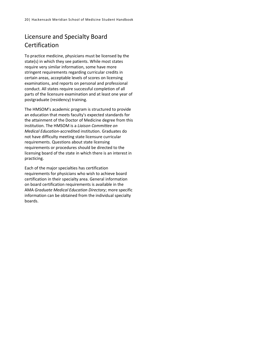# <span id="page-19-0"></span>Licensure and Specialty Board Certification

To practice medicine, physicians must be licensed by the state(s) in which they see patients. While most states require very similar information, some have more stringent requirements regarding curricular credits in certain areas, acceptable levels of scores on licensing examinations, and reports on personal and professional conduct. All states require successful completion of all parts of the licensure examination and at least one year of postgraduate (residency) training.

The HMSOM's academic program is structured to provide an education that meets faculty's expected standards for the attainment of the Doctor of Medicine degree from this institution. The HMSOM is a *Liaison Committee on Medical Education*-accredited institution. Graduates do not have difficulty meeting state licensure curricular requirements. Questions about state licensing requirements or procedures should be directed to the licensing board of the state in which there is an interest in practicing.

Each of the major specialties has certification requirements for physicians who wish to achieve board certification in their specialty area. General information on board certification requirements is available in the AMA *Graduate Medical Education Directory*; more specific information can be obtained from the individual specialty boards.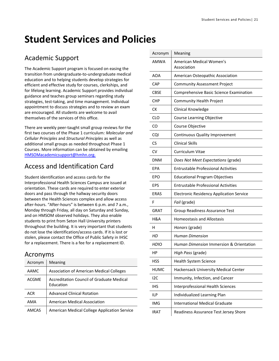# <span id="page-20-0"></span>**Student Services and Policies**

# <span id="page-20-1"></span>Academic Support

The Academic Support program is focused on easing the transition from undergraduate-to-undergraduate medical education and to helping students develop strategies for efficient and effective study for courses, clerkships, and for lifelong learning. Academic Support provides individual guidance and teaches group seminars regarding study strategies, test-taking, and time management. Individual appointment to discuss strategies and to review an exam are encouraged. All students are welcome to avail themselves of the services of this office.

There are weekly peer-taught small group reviews for the first two courses of the Phase 1 curriculum*: Molecular and Cellular Principles* and *Structural Principles* as well as additional small groups as needed throughout Phase 1 Courses. More information can be obtained by emailing [HMSOMacademicsupport@hmhn.org.](mailto:HMSOMacademicsupport@hmhn.org)

# <span id="page-20-2"></span>Access and Identification Card

Student identification and access cards for the Interprofessional Health Sciences Campus are issued at orientation. These cards are required to enter exterior doors and pass through the hallway security doors between the Health Sciences complex and allow access after-hours. "After-hours" is between 6 p.m. and 7 a.m., Monday through Friday, all day on Saturday and Sunday, and on HMSOM observed holidays. They also enable students to print from Seton Hall University printers throughout the building. It is very important that students do not lose the identification/access cards. If it is lost or stolen, please contact the Office of Public Safety in IHSC for a replacement. There is a fee for a replacement ID.

### <span id="page-20-3"></span>Acronyms

| Acronym      | Meaning                                                |
|--------------|--------------------------------------------------------|
| AAMC         | <b>Association of American Medical Colleges</b>        |
| <b>ACGME</b> | Accreditation Council of Graduate Medical<br>Education |
| <b>ACR</b>   | <b>Advanced Clinical Rotation</b>                      |
| AMA          | <b>American Medical Association</b>                    |
| AMCAS        | American Medical College Application Service           |

| Acronym     | Meaning                                         |
|-------------|-------------------------------------------------|
| <b>AMWA</b> | American Medical Women's<br>Association         |
| AOA         | American Osteopathic Association                |
| CAP         | <b>Community Assessment Project</b>             |
| CBSE        | Comprehensive Basic Science Examination         |
| CHP         | <b>Community Health Project</b>                 |
| ск          | Clinical Knowledge                              |
| <b>CLO</b>  | Course Learning Objective                       |
| CO          | Course Objective                                |
| CQI         | Continuous Quality Improvement                  |
| CS          | <b>Clinical Skills</b>                          |
| CV          | Curriculum Vitae                                |
| DNM         | Does Not Meet Expectations (grade)              |
| EPA         | <b>Entrustable Professional Activities</b>      |
| EPO         | <b>Educational Program Objectives</b>           |
| EPS         | <b>Entrustable Professional Activities</b>      |
| <b>ERAS</b> | <b>Electronic Residency Application Service</b> |
| F           | Fail (grade)                                    |
| GRAT        | Group Readiness Assurance Test                  |
| H&A         | <b>Homeostasis and Allostasis</b>               |
| н           | Honors (grade)                                  |
| HD          | Human Dimension                                 |
| <b>HDIO</b> | Human Dimension Immersion & Orientation         |
| ΗP          | High Pass (grade)                               |
| HSS         | <b>Health System Science</b>                    |
| <b>HUMC</b> | Hackensack University Medical Center            |
| 12C         | Immunity, Infection, and Cancer                 |
| IHS         | Interprofessional Health Sciences               |
| ILP         | Individualized Learning Plan                    |
| IMG         | <b>International Medical Graduate</b>           |
| <b>IRAT</b> | Readiness Assurance Test Jersey Shore           |
|             |                                                 |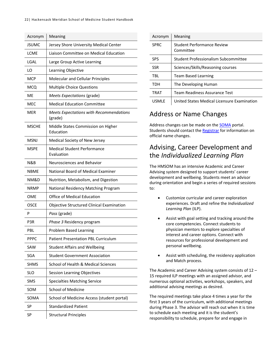| Acronym      | Meaning                                            |  |
|--------------|----------------------------------------------------|--|
| JSUMC        | Jersey Shore University Medical Center             |  |
| LCME         | Liaison Committee on Medical Education             |  |
| LGAL         | Large Group Active Learning                        |  |
| LO           | Learning Objective                                 |  |
| <b>MCP</b>   | Molecular and Cellular Principles                  |  |
| <b>MCQ</b>   | <b>Multiple Choice Questions</b>                   |  |
| ME           | Meets Expectations (grade)                         |  |
| MEC          | <b>Medical Education Committee</b>                 |  |
| MER          | Meets Expectations with Recommendations<br>(grade) |  |
| <b>MSCHE</b> | Middle States Commission on Higher<br>Education    |  |
| MSNJ         | Medical Society of New Jersey                      |  |
| <b>MSPE</b>  | <b>Medical Student Performance</b><br>Evaluation   |  |
| N&B          | Neurosciences and Behavior                         |  |
| <b>NBME</b>  | National Board of Medical Examiner                 |  |
| NM&D         | Nutrition, Metabolism, and Digestion               |  |
| <b>NRMP</b>  | National Residency Matching Program                |  |
| OME          | Office of Medical Education                        |  |
| OSCE         | <b>Objective Structured Clinical Examination</b>   |  |
| P            | Pass (grade)                                       |  |
| P3R          | <i>Phase 3</i> Residency program                   |  |
| PBL          | <b>Problem Based Learning</b>                      |  |
| PPPC         | Patient Presentation PBL Curriculum                |  |
| SAW          | <b>Student Affairs and Wellbeing</b>               |  |
| <b>SGA</b>   | <b>Student Government Association</b>              |  |
| <b>SHMS</b>  | School of Health & Medical Sciences                |  |
| <b>SLO</b>   | Session Learning Objectives                        |  |
| SMS          | <b>Specialties Matching Service</b>                |  |
| SOM          | School of Medicine                                 |  |
| SOMA         | School of Medicine Access (student portal)         |  |
| <b>SP</b>    | <b>Standardized Patient</b>                        |  |
| SP           | <b>Structural Principles</b>                       |  |

| Acronym    | Meaning                                     |
|------------|---------------------------------------------|
| SPRC.      | Student Performance Review<br>Committee     |
| <b>SPS</b> | <b>Student Professionalism Subcommittee</b> |
| <b>SSR</b> | Sciences/Skills/Reasoning courses           |
| TBI        | <b>Team Based Learning</b>                  |
| TDH        | The Developing Human                        |
| TRAT       | Team Readiness Assurance Test               |
| USMI F     | United States Medical Licensure Examination |

### <span id="page-21-0"></span>Address or Name Changes

Address changes can be made on th[e SOMA](https://campus.hmhn.org/) portal. Students should contact th[e Registrar](mailto:deborah.ebbert@hmhn.org?subject=Name%20Change) for information on official name changes.

# <span id="page-21-1"></span>Advising, Career Development and the *Individualized Learning Plan*

The HMSOM has an intensive Academic and Career Advising system designed to support students' career development and wellbeing. Students meet an advisor during orientation and begin a series of required sessions to:

- Customize curricular and career exploration experiences. Draft and refine the *Individualized Learning Plan* (ILP).
- Assist with goal setting and tracking around the core competencies. Connect students to physician mentors to explore specialties of interest and career options. Connect with resources for professional development and personal wellbeing.
- Assist with scheduling, the residency application and Match process.

The Academic and Career Advising system consists of 12 – 15 required ILP meetings with an assigned advisor, and numerous optional activities, workshops, speakers, and additional advising meetings as desired.

The required meetings take place 4 times a year for the first 3 years of the curriculum, with additional meetings during Phase 3. The advisor will reach out when it is time to schedule each meeting and it is the student's responsibility to schedule, prepare for and engage in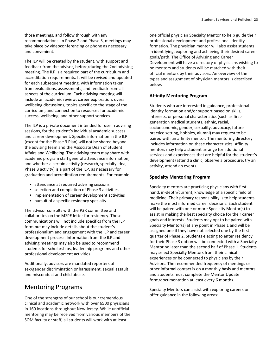those meetings, and follow through with any recommendations. In Phase 2 and Phase 3, meetings may take place by videoconferencing or phone as necessary and convenient.

The ILP will be created by the student, with support and feedback from the advisor, before/during the 2nd advising meeting. The ILP is a required part of the curriculum and accreditation requirements. It will be revised and updated for each subsequent meeting, with information taken from evaluations, assessments, and feedback from all aspects of the curriculum. Each advising meeting will include an academic review, career exploration, overall wellbeing discussions, topics specific to the stage of the curriculum, and connection to resources for academic success, wellbeing, and other support services.

The ILP is a private document intended for use in advising sessions, for the student's individual academic success and career development. Specific information in the ILP (except for the Phase 3 Plan) will not be shared beyond the advising team and the Associate Dean of Student Affairs and Wellbeing. The advising team may share with academic program staff general attendance information, and whether a certain activity (research, specialty idea, Phase 3 activity) is a part of the ILP, as necessary for graduation and accreditation requirements. For example:

- attendance at required advising sessions
- selection and completion of Phase 3 activities
- implementation of career development activities
- pursuit of a specific residency specialty

The advisor consults with the P3R committee and collaborates on the MSPE letter for residency. These communications will not include specifics from the ILP form but may include details about the student's professionalism and engagement with the ILP and career development process. Information from the ILP and advising meetings may also be used to recommend students for scholarships, leadership programs and other professional development activities.

Additionally, advisors are mandated reporters of sex/gender discrimination or harassment, sexual assault and misconduct and child abuse.

### <span id="page-22-0"></span>Mentoring Programs

One of the strengths of our school is our tremendous clinical and academic network with over 6500 physicians in 160 locations throughout New Jersey. While unofficial mentoring may be received from various members of the SOM faculty or staff, all students will work with at least

one official physician Specialty Mentor to help guide their professional development and professional identity formation. The physician mentor will also assist students in identifying, exploring and achieving their desired career goals/path. The Office of Advising and Career Development will have a directory of physicians wishing to be mentors and students will be matched with their official mentors by their advisors. An overview of the types and assignment of physician mentors is described below.

#### **Affinity Mentoring Program**

Students who are interested in guidance, professional identity formation and/or support based on skills, interests, or personal characteristics (such as firstgeneration medical students, ethnic, racial, socioeconomic, gender, sexuality, advocacy, future practice setting, hobbies, alumni) may request to be paired with an affinity mentor. The mentoring directory includes information on these characteristics. Affinity mentors may help a student arrange for additional services and experiences that are helpful for the student's development (attend a clinic, observe a procedure, try an activity, attend an event).

#### **Specialty Mentoring Program**

Specialty mentors are practicing physicians with firsthand, in-depth/current, knowledge of a specific field of medicine. Their primary responsibility is to help students make the most informed career decisions. Each student will be paired with one or more Specialty Mentor(s) to assist in making the best specialty choice for their career goals and interests. Students may opt to be paired with Specialty Mentor(s) at any point in Phase 1 and will be assigned one if they have not selected one by the first quarter of Phase 2. Students electing to enter residency for their Phase 3 option will be connected with a Specialty Mentor no later than the second half of Phase 1. Students may select Specialty Mentors from their clinical experiences or be connected to physicians by their Advisors. The recommended frequency of meetings or other informal contact is on a monthly basis and mentors and students must complete the Mentor Update form/documentation at least every 6 months.

Specialty Mentors can assist with exploring careers or offer guidance in the following areas: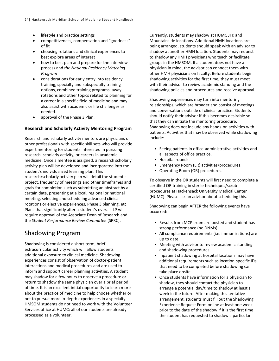- lifestyle and practice settings
- competitiveness, compensation and "goodness" of fit
- choosing rotations and clinical experiences to best explore areas of interest
- how to best plan and prepare for the interview process and *the National Residency Matching Program*
- considerations for early entry into residency training, specialty and subspecialty training options, combined training programs, away rotations and other topics related to planning for a career in a specific field of medicine and may also assist with academic or life challenges as needed.
- approval of the Phase 3 Plan.

#### **Research and Scholarly Activity Mentoring Program**

Research and scholarly activity mentors are physicians or other professionals with specific skill sets who will provide expert mentoring for students interested in pursuing research, scholarly activity, or careers in academic medicine. Once a mentee is assigned, a research scholarly activity plan will be developed and incorporated into the student's individualized learning plan. This research/scholarly activity plan will detail the student's project, frequency of meetings and other timeframes and goals for completion such as submitting an abstract by a certain date, presenting at a local, regional or national meeting, selecting and scheduling advanced clinical rotations or elective experiences, Phase 3 planning, etc. Plans that significantly alter a student's overall ILP will require approval of the Associate Dean of Research and the *Student Performance Review Committee* (SPRC).

### <span id="page-23-0"></span>Shadowing Program

Shadowing is considered a short-term, brief extracurricular activity which will allow students additional exposure to clinical medicine. Shadowing experiences consist of observation of doctor-patient interactions and medical procedures and are used to inform and support career planning activities. A student may shadow for a few hours to observe a procedure or return to shadow the same physician over a brief period of time. It is an excellent initial opportunity to learn more about the practice of medicine to help choose whether or not to pursue more in-depth experiences in a specialty. HMSOM students do not need to work with the Volunteer Services office at HUMC; all of our students are already processed as a volunteer.

Currently, students may shadow at HUMC JFK and Mountainside locations. Additional HMH locations are being arranged, students should speak with an advisor to shadow at another HMH location. Students may request to shadow any HMH physicians who teach or facilitate groups in the HMSOM. If a student does not have a physician in mind, the advisor can connect them with other HMH physicians on faculty. Before students begin shadowing activities for the first time, they must meet with their advisor to review academic standing and the shadowing policies and procedures and receive approval.

Shadowing experiences may turn into mentoring relationships, which are broader and consist of meetings and conversations outside of clinical practice. Students should notify their advisor if this becomes desirable so that they can initiate the mentoring procedure. Shadowing does not include any hands-on activities with patients. Activities that may be observed while shadowing include:

- Seeing patients in office-administrative activities and all aspects of office practice.
- Hospital rounds.
- Emergency Room (ER) activities/procedures.
- Operating Room (OR) procedures.

To observe in the OR students will first need to complete a certified OR training in sterile techniques/scrub procedures at Hackensack University Medical Center (HUMC). Please ask an advisor about scheduling this.

Shadowing can begin AFTER the following events have occurred:

- Results from MCP exam are posted and student has strong performance (no DNMs)
- All compliance requirements (i.e. immunizations) are up to date.
- Meeting with advisor to review academic standing and shadowing procedures.
- Inpatient shadowing at hospital locations may have additional requirements such as location-specific IDs, that need to be completed before shadowing can take place onsite.
- Once students have information for a physician to shadow, they should contact the physician to arrange a potential day/time to shadow at least a week in the future. After making this tentative arrangement, students must fill out the Shadowing Experience Request Form online at least one week prior to the date of the shadow if it is the first time the student has requested to shadow a particular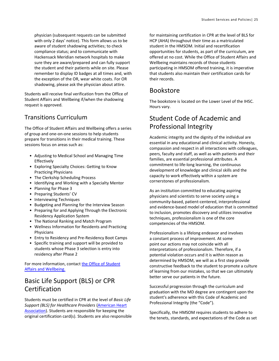physician (subsequent requests can be submitted with only 2 days' notice). This form allows us to be aware of student shadowing activities; to check compliance status; and to communicate with Hackensack Meridian network hospitals to make sure they are aware/prepared and can fully support the student and their patients while on site. Please remember to display ID badges at all times and, with the exception of the OR, wear white coats. For OR shadowing, please ask the physician about attire.

Students will receive final verification from the Office of Student Affairs and Wellbeing if/when the shadowing request is approved.

### <span id="page-24-0"></span>Transitions Curriculum

The Office of Student Affairs and Wellbeing offers a series of group and one-on-one sessions to help students prepare for transitions in their medical training. These sessions focus on areas such as:

- Adjusting to Medical School and Managing Time Effectively
- Exploring Specialty Choices: Getting to Know Practicing Physicians
- The Clerkship Scheduling Process
- Identifying and Working with a Specialty Mentor
- Planning for Phase 3
- Preparing Students' CV
- Interviewing Techniques
- Budgeting and Planning for the Interview Season
- Preparing for and Applying Through the Electronic Residency Application System
- The National Ranking and Match Program
- Wellness Information for Residents and Practicing Physicians
- Entry to Residency and Pre-Residency Boot Camps
- Specific training and support will be provided to students whose Phase 3 selection is entry into residency after Phase 2

For more information, contact the Office of Student [Affairs and Wellbeing.](mailto:SAW@hmhn.org)

# <span id="page-24-1"></span>Basic Life Support (BLS) or CPR Certification

Students must be certified in CPR at the level of *Basic Life Support (BLS) for Healthcare Providers* [\(American Heart](https://www.rapidcpr.com/?gclid=Cj0KCQjw4eaJBhDMARIsANhrQAAKRIOMdnakBC1b0A7bC3TR7sKvSyUxr0VeZW7hbUF8i3_GFMFI2HwaAoAFEALw_wcB)  [Association\)](https://www.rapidcpr.com/?gclid=Cj0KCQjw4eaJBhDMARIsANhrQAAKRIOMdnakBC1b0A7bC3TR7sKvSyUxr0VeZW7hbUF8i3_GFMFI2HwaAoAFEALw_wcB). Students are responsible for keeping the original certification card(s). Students are also responsible

for maintaining certification in CPR at the level of BLS for HCP (AHA) throughout their time as a matriculated student in the HMSOM. Initial and recertification opportunities for students, as part of the curriculum, are offered at no cost. While the Office of Student Affairs and Wellbeing maintains records of those students participating in HMSOM offered training, it is imperative that students also maintain their certification cards for their records.

# <span id="page-24-2"></span>Bookstore

The bookstore is located on the Lower Level of the IHSC. Hours vary.

# <span id="page-24-3"></span>Student Code of Academic and Professional Integrity

Academic integrity and the dignity of the individual are essential in any educational and clinical activity. Honesty, compassion and respect in all interactions with colleagues, peers, faculty and staff, as well as with patients and their families, are essential professional attributes. A commitment to life-long learning, the continuous development of knowledge and clinical skills and the capacity to work effectively within a system are cornerstones of professionalism.

As an institution committed to educating aspiring physicians and scientists to serve society using a community-based, patient-centered, interprofessional and evidence-based model of education that is committed to inclusion, promotes discovery and utilizes innovative techniques, professionalism is one of the core competencies of the HMSOM.

Professionalism is a lifelong endeavor and involves a constant process of improvement. At some point our actions may not coincide with all interpretations of professionalism. Therefore, if a potential violation occurs and it is within reason as determined by HMSOM, we will as a first step provide constructive feedback to the student to promote a culture of learning from our mistakes, so that we can ultimately better serve our patients in the future.

Successful progression through the curriculum and graduation with the MD degree are contingent upon the student's adherence with this Code of Academic and Professional Integrity (the "Code").

Specifically, the HMSOM requires students to adhere to the tenets, standards, and expectations of the Code as set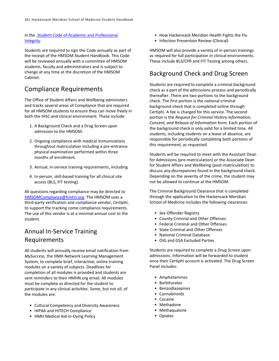#### in th[e Student Code of Academic and Professional](https://hmh-som.policystat.com/policy/10277029/latest/)  [Integrity.](https://hmh-som.policystat.com/policy/10277029/latest/)

Students are required to sign the Code annually as part of the receipt of the HMSOM Student Handbook. This Code will be reviewed annually with a committee of HMSOM students, faculty and administrators and is subject to change at any time at the discretion of the HMSOM Cabinet.

### <span id="page-25-0"></span>Compliance Requirements

The Office of Student Affairs and Wellbeing administers and tracks several areas of Compliance that are required for all HMSOM students to ensure they can move freely in both the IHSC and clinical environment. These include:

- 1. A Background Check and a Drug Screen upon admission to the HMSOM.
- 2. Ongoing compliance with medical immunizations throughout matriculation including a pre-entrance physical examination performed within three months of enrollment.
- 3. Annual, in-service training requirements, including
- 4. In-person, skill-based training for all clinical site access (BLS, FIT testing).

All questions regarding compliance may be directed to [HMSOMCompliance@hmhn.org.](mailto:HMSOMCompliance@hmhn.org) The HMSOM uses a third-party verification and compliance vendor, *Certiphi*, to support the tracking come compliance requirements. The use of this vendor is at a minimal annual cost to the student.

# <span id="page-25-1"></span>Annual In-Service Training Requirements

All students will annually receive email notification from *MySuccess,* the HMH Network Learning Management System, to complete brief, interactive, online training modules on a variety of subjects. Deadlines for completion of all modules is provided and students are sent reminders to their HMHN.org email. All modules must be complete as directed for the student to participate in any clinical activities. Some, but not all, of the modules are:

- Cultural Competency and Diversity Awareness
- HIPAA and HITECH Compliance
- HMH Medical Aid-in-Dying Policy
- How Hackensack Meridian Health Fights the Flu
- Infection Prevention Review (Clinical)

HMSOM will also provide a variety of in-person trainings as required for full participation in clinical environments. These include BLS/CPR and FIT Testing among others.

### <span id="page-25-2"></span>Background Check and Drug Screen

Students are required to complete a criminal background check as a part of the admissions process and periodically thereafter. There are two portions to the background check. The first portion is the national criminal background check that is completed online through Certiphi. A fee is charged for this service. The second portion is the *Request for Criminal History Information, Consent, and Release of Information* form. Each portion of the background check is only valid for a limited time. All students, including students on a leave of absence, are responsible for periodically completing both portions of this requirement, as requested.

Students will be required to meet with the Assistant Dean for Admissions (pre-matriculation) or the Associate Dean for Student Affairs and Wellbeing (post-matriculation) to discuss any discrepancies found in the background check. Depending on the severity of the crime, the student may not be allowed to continue at the HMSOM.

The Criminal Background Clearance that is completed through the application to the Hackensack Meridian School of Medicine includes the following clearances:

- Sex Offender Registry
- County Criminal and Other Offenses
- Federal Criminal and Other Offenses
- State Criminal and Other Offenses
- National Criminal Database
- OIG and GSA Excluded Parties

Students are required to complete a *Drug Screen* upon admissions. Information will be forwarded to student once their Certiphi account is activated. The Drug Screen Panel includes:

- Amphetamines
- Barbiturates
- Benzodiazepines
- Cannabinoids
- Cocaine
- Methadone
- Methaqualone
- Opiates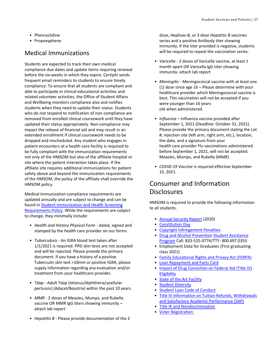- Phencyclidine
- Propoxyphene

### <span id="page-26-0"></span>Medical Immunizations

Students are expected to track their own medical compliance due dates and update items requiring renewal before the six-weeks in which they expire. Certiphi sends frequent email reminders to students to ensure timely compliance. To ensure that all students are compliant and able to participate in clinical educational activities and related volunteer activities, the Office of Student Affairs and Wellbeing monitors compliance also and notifies students when they need to update their status. Students who do not respond to notification of non-compliance are removed from enrolled clinical coursework until they have updated their status appropriately. Non-compliance may impact the release of financial aid and may result in an extended enrollment if clinical coursework needs to be dropped and rescheduled. Any student who engages in patient encounters at a health care facility is required to be fully compliant with the immunization requirements not only of the HMSOM but also of the affiliate hospital or site where the patient interaction takes place. If the affiliate site requires additional immunizations for patient safety above and beyond the immunization requirements of the HMSOM, the policy of the affiliate shall override the HMSOM policy.

Medical immunization compliance requirements are updated annually and are subject to change and can be found in [Student Immunization and Health Screening](https://hmh-som.policystat.com/policy/10112279/latest/)  [Requirements Policy.](https://hmh-som.policystat.com/policy/10112279/latest/) While the requirements are subject to change, they minimally include:

- *Health and History Physical Form* dated, signed and stamped by the health care provider on our forms
- *Tuberculosis* An IGRA blood test taken after 1/1/2021 is required. PPD skin tests are not accepted and will be rejected. Please provide the primary document. If you have a history of a positive Tuberculin skin test >10mm or positive IGRA, please supply information regarding any evaluation and/or treatment from your healthcare provider.
- *Tdap* Adult Tdap (tetanus/diphtheria/acellular pertussis) (Adacel/Boostrix) within the past 10 years.
- *MMR* 2 doses of Measles, Mumps, and Rubella vaccine OR MMR IgG titers showing immunity – attach lab report
- *Hepatitis B*  Please provide documentation of the 2

dose, Heplisav-B, or 3 dose Hepatitis B vaccines series and a positive Antibody titer showing immunity. If the titer provided is negative, students will be required to repeat the vaccination series.

- *Varicella* 2 doses of Varicella vaccine, at least 1 month apart OR Varicella IgG titer showing immunity- attach lab report
- *Meningitis* Meningococcal vaccine with at least one (1) dose since age 16 – Please determine with your healthcare provider which Meningococcal vaccine is best. This vaccination will not be accepted if you were younger than 16 years old when administered.
- *Influenza* Influenza vaccine provided after September 1, 2021 (Deadline: October 31, 2021). Please provide the primary document stating the Lot #, injection site (left arm, right arm, etc.), location, the date, and a signature from your health care provider Flu vaccinations administered before September 1, 2021, will not be accepted. Measles, Mumps, and Rubella (MMR)
- *COVID-19 Vaccine* is required effective September 15, 2021.

# <span id="page-26-1"></span>Consumer and Information **Disclosures**

HMSOM is required to provide the following information to all students.

- [Annual Security Report](https://www.hmsom.org/wp-content/uploads/2021/01/2019_Annual-Security-Report-Interprofessional-Health-Sciences-Campus.pdf) (2020)
- [Constitution Day](https://www.hmsom.org/admissions/financial-aid-and-costs/consumer-information/constitution-day/)
- [Copyright Infringement Penalties](https://www.hmsom.org/wp-content/uploads/2021/02/Copyright_Infringement_Penalties.pdf)
- [Drug and Alcohol Prevention](https://www.hmsom.org/wp-content/uploads/2021/04/Drug-and-Alcohol-Free-Workplace.pdf) [Student Assistance](https://www.guidanceresources.com/groWeb/login/login.xhtml)  [Program](https://www.guidanceresources.com/groWeb/login/login.xhtml) Call: 833-515-0774/TTY: 800.697.0353
- Employment Data for Graduates (First graduating class 2021)
- [Family Educational Rights and Privacy Act \(FERPA\)](https://hmh-som.policystat.com/policy/10112258/latest/)
- [Loan Repayment](https://www.hmsom.org/wp-content/uploads/2021/02/AAMC2020-debt-costs-loan-repayment-fact-card.pdf) and Facts Card
- [Impact of Drug Conviction on Federal Aid \(Title IV\)](https://www.hmsom.org/wp-content/uploads/2021/01/DrugDisclosure.pdf)  **[Eligibility](https://www.hmsom.org/wp-content/uploads/2021/01/DrugDisclosure.pdf)**
- **[State of the Art Facility](https://www.hmsom.org/graduate-medical-education/state-of-the-art-facility/)**
- [Student Diversity](https://www.hmsom.org/admissions/financial-aid-and-costs/consumer-information/student-diversity/)
- [Student Loan Code of Conduct](https://www.hmsom.org/wp-content/uploads/2021/03/SFS_StudentLoan_CodeofConduct.pdf)
- [Title IV Information on Tuition Refunds, Withdrawals](https://www.hmsom.org/wp-content/uploads/2020/10/Office-of-Student-Financial-Services.pdf)  [and Satisfactory Academic Performance \(SAP\)](https://www.hmsom.org/wp-content/uploads/2020/10/Office-of-Student-Financial-Services.pdf)
- [Title IX and Nondiscrimination](https://hmh-som.policystat.com/policy/9451679/latest/)
- [Voter Registration](https://www.hmsom.org/wp-content/uploads/2021/02/VoterRegistrationInformation.pdf)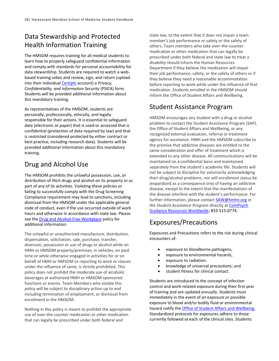# <span id="page-27-0"></span>Data Stewardship and Protected Health Information Training

The HMSOM requires training for all medical students to learn how to properly safeguard confidential information and comply with standards for personal accountability for data stewardship. Students are required to watch a webbased training video and review, sign, and return (upload into their individual [Certiphi](https://www.certiphi.com/) account) a *Privacy, Confidentiality, and Information Security* (PSICA) form. Students will be provided additional information about this mandatory training.

As representatives of the HMSOM, students are personally, professionally, ethically, and legally responsible for their actions. It is essential to safeguard data (electronic or paper) that is used or accessed that is confidential (protection of data required by law) and that is restricted (considered protected by either contract or best practice, including research data). Students will be provided additional information about this mandatory training.

# <span id="page-27-1"></span>Drug and Alcohol Use

The HMSOM prohibits the unlawful possession, use, or distribution of illicit drugs and alcohol on its property or as part of any of its activities. Violating these policies or failing to successfully comply with the Drug Screening Compliance requirement may lead to sanctions, including dismissal from the HMSOM under the applicable general code of conduct, even if the use occurred outside of work hours and otherwise in accordance with state law. Please see the [Drug and Alcohol-Free](https://hmh.policystat.com/policy/8272080/latest/) Workplace policy for additional information.

The unlawful or unauthorized manufacture, distribution, dispensation, solicitation, sale, purchase, transfer, diversion, possession or use of drugs or alcohol while on HMH or HMSOM property/premises, in vehicles, on paid time or while otherwise engaged in activities for or on behalf of HMH or HMSOM or reporting to work or classes under the influence of same, is strictly prohibited. This policy does not prohibit the moderate use of alcoholic beverages at authorized HMH or HMSOM-sponsored functions or events. Team Members who violate this policy will be subject to disciplinary action up to and including termination of employment, or dismissal from enrollment in the HMSOM.

Nothing in this policy is meant to prohibit the appropriate use of over-the-counter medication or other medication that can legally be prescribed under both federal and

state law, to the extent that it does not impair a team member's job performance or safety or the safety of others. Team members who take over-the-counter medication or other medication that can legally be prescribed under both federal and state law to treat a disability should inform the Human Resources Department if they believe the medication will impair their job performance, safety, or the safety of others or if they believe they need a reasonable accommodation before reporting to work while under the influence of that medication. Students enrolled in the HMSOM should inform the Office of Student Affairs and Wellbeing.

# <span id="page-27-2"></span>Student Assistance Program

HMSOM encourages any student with a drug or alcohol problem to contact the Student Assistance Program (SAP), the Office of Student Affairs and Wellbeing, or any recognized external evaluation, referral or treatment agency for assistance. HMH and the HMSOM subscribe to the premise that addictive diseases are entitled to the same consideration and offer of treatment which is extended to any other disease. All communications will be maintained on a confidential basis and maintained separately from the student's academic file. Students will not be subject to discipline for voluntarily acknowledging their drug/alcohol problems, nor will enrollment status be jeopardized as a consequence only of having an addictive disease, except to the extent that the manifestations of the disease interfere with the student's performance. For further information, please contact **SAW@hmhn.org** or *the Student Assistance Program* directly at [ComPsych](https://www.guidanceresources.com/groWeb/login/login.xhtml)  [Guidance Resources Worldwide;](https://www.guidanceresources.com/groWeb/login/login.xhtml) 833-515-0774.

# <span id="page-27-3"></span>Exposures/Precautions

Exposures and Precautions refers to the risk during clinical encounters of:

- exposure to bloodborne pathogens,
- exposure to environmental hazards,
- exposure to radiation.
- knowledge of universal precautions; and
- student fitness for clinical contact.

Students are introduced to the concept of infection control and work-related exposure during their first year of training and are updated annually. Students must immediately in the event of an exposure or possible exposure to blood and/or bodily fluid or environmental hazard notify the [Office of Student Affairs and Wellbeing.](mailto:SAW@hmhn.org)  Standardized protocols for exposures adhere to those currently followed at each of the clinical sites. Students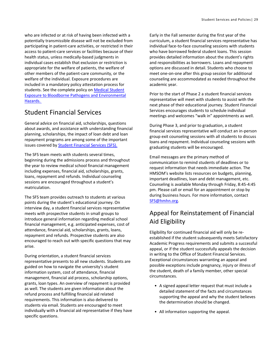who are infected or at risk of having been infected with a potentially transmissible disease will not be excluded from participating in patient-care activities, or restricted in their access to patient-care services or facilities because of their health status, unless medically-based judgments in individual cases establish that exclusion or restriction is appropriate for the welfare of patients, the welfare of other members of the patient-care community, or the welfare of the individual. Exposure procedures are included in a mandatory policy attestation process for students. See the complete policy on [Medical Student](https://hmh-som.policystat.com/policy/10112268/latest/)  [Exposure to Bloodborne Pathogens and Environmental](https://hmh-som.policystat.com/policy/10112268/latest/)  [Hazards.](https://hmh-som.policystat.com/policy/10112268/latest/)

### <span id="page-28-0"></span>Student Financial Services

General advice on financial aid, scholarships, questions about awards, and assistance with understanding financial planning, scholarships, the impact of loan debt and loan repayment programs are among some of the important issues covered by **Student Financial Services (SFS).** 

The SFS team meets with students several times, beginning during the admissions process and throughout the year to review medical school financial management including expenses, financial aid, scholarships, grants, loans, repayment and refunds. Individual counseling sessions are encouraged throughout a student's matriculation.

The SFS team provides outreach to students at various points during the student's educational journey. On interview day, a student financial services representative meets with prospective students in small groups to introduce general information regarding medical school financial management, e.g. anticipated expenses, cost of attendance, financial aid, scholarships, grants, loans, repayment and refunds. Prospective students are also encouraged to reach out with specific questions that may arise.

During orientation, a student financial services representative presents to all new students. Students are guided on how to navigate the university's student information system, cost of attendance, financial management, financial aid process, scholarship options, grants, loan types. An overview of repayment is provided as well. The students are given information about the refund process and fulfilling financial aid related requirements. This information is also delivered to students via email. Students are encouraged to meet individually with a financial aid representative if they have specific questions.

Early in the Fall semester during the first year of the curriculum, a student financial services representative has individual face-to-face counseling sessions with students who have borrowed federal student loans. This session provides detailed information about the student's rights and responsibilities as borrowers. Loans and repayment options are discussed in detail. Students who choose to meet one-on-one after this group session for additional counseling are accommodated as needed throughout the academic year.

Prior to the start of Phase 2 a student financial services representative will meet with students to assist with the next phase of their educational journey. Student Financial Services encourages students to schedule individual meetings and welcomes "walk in" appointments as well.

During Phase 3, and prior to graduation, a student financial services representative will conduct an in-person group exit counseling sessions with all students to discuss loans and repayment. Individual counseling sessions with graduating students will be encouraged.

Email messages are the primary method of communication to remind students of deadlines or to request information that needs immediate action. The HMSOM's website lists resources on budgets, planning, important deadlines, loan and debt management, etc. Counseling is available Monday through Friday, 8:45-4:45 pm. Please call or email for an appointment or stop by during business hours. For more information, contact [SFS@hmhn.org.](mailto:SFS@hmhn.org)

# <span id="page-28-1"></span>Appeal for Reinstatement of Financial Aid Eligibility

Eligibility for continued financial aid will only be reestablished if the student subsequently meets Satisfactory Academic Progress requirements and submits a successful appeal, or if the student successfully appeals the decision in writing to the Office of Student Financial Services. Exceptional circumstances warranting an appeal and possible exceptions include pregnancy, injury or illness of the student, death of a family member, other special circumstances.

- A signed appeal letter request that must include a detailed statement of the facts and circumstances supporting the appeal and why the student believes the determination should be changed.
- All information supporting the appeal.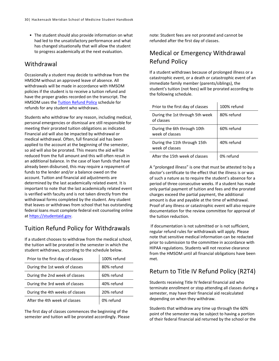• The student should also provide information on what had led to the unsatisfactory performance and what has changed situationally that will allow the student to progress academically at the next evaluation.

### <span id="page-29-0"></span>**Withdrawal**

Occasionally a student may decide to withdraw from the HMSOM without an approved leave of absence. All withdrawals will be made in accordance with HMSOM policies if the student is to receive a tuition refund and have the proper grades recorded on the transcript. The HMSOM uses the [Tuition Refund Policy](https://hmh-som.policystat.com/policy/10112288/latest/) schedule for refunds for any student who withdraws.

Students who withdraw for any reason, including medical, personal emergencies or dismissal are still responsible for meeting their prorated tuition obligations as indicated. Financial aid will also be impacted by withdrawal or medical withdrawal. Often, full financial aid has been applied to the account at the beginning of the semester, so aid will also be prorated. This means the aid will be reduced from the full amount and this will often result in an additional balance. In the case of loan funds that have already been disbursed, this may require a repayment of funds to the lender and/or a balance owed on the account. Tuition and financial aid adjustments are determined by the last academically related event. It is important to note that the last academically related event is verified with faculty and is not taken directly from the withdrawal forms completed by the student. Any student that leaves or withdraws from school that has outstanding federal loans must complete federal exit counseling online a[t https://studentaid.gov.](https://studentaid.gov/)

# <span id="page-29-1"></span>Tuition Refund Policy for Withdrawals

If a student chooses to withdraw from the medical school, the tuition will be prorated in the semester in which the student withdraws, according to the schedule below.

| Prior to the first day of classes | 100% refund |
|-----------------------------------|-------------|
| During the 1st week of classes    | 80% refund  |
| During the 2nd week of classes    | 60% refund  |
| During the 3rd week of classes    | 40% refund  |
| During the 4th weeks of classes   | 20% refund  |
| After the 4th week of classes     | 0% refund   |

The first day of classes commences the beginning of the semester and tuition will be prorated accordingly. Please

note: Student fees are not prorated and cannot be refunded after the first day of classes.

### <span id="page-29-2"></span>Medical or Emergency Withdrawal Refund Policy

If a student withdraws because of prolonged illness or a catastrophic event, or a death or catastrophic event of an immediate family member (parents/siblings), the student's tuition (not fees) will be prorated according to the following schedule.

| Prior to the first day of classes               | 100% refund |
|-------------------------------------------------|-------------|
| During the 1st through 5th week<br>of classes   | 80% refund  |
| During the 6th through 10th<br>week of classes  | 60% refund  |
| During the 11th through 15th<br>week of classes | 40% refund  |
| After the 15th week of classes                  | 0% refund   |

A "prolonged illness" is one that must be attested to by a doctor's certificate to the effect that the illness is or was of such a nature as to require the student's absence for a period of three consecutive weeks. If a student has made only partial payment of tuition and fees and the prorated charges exceed the partial payment, the additional amount is due and payable at the time of withdrawal. Proof of any illness or catastrophic event will also require documentation for the review committee for approval of the tuition reduction.

If documentation is not submitted or is not sufficient, regular refund rules for withdrawals will apply. Please note that sensitive medical information can be redacted prior to submission to the committee in accordance with HIPAA regulations. Students will not receive clearance from the HMSOM until all financial obligations have been met.

### <span id="page-29-3"></span>Return to Title IV Refund Policy (R2T4)

Students receiving Title IV federal financial aid who terminate enrollment or stop attending all classes during a semester, may have their financial aid recalculated depending on when they withdraw.

Students that withdraw any time up through the 60% point of the semester may be subject to having a portion of their federal financial aid returned by the school or the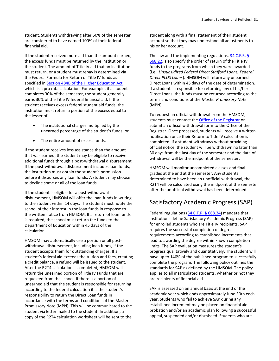student. Students withdrawing after 60% of the semester are considered to have earned 100% of their federal financial aid.

If the student received more aid than the amount earned, the excess funds must be returned by the institution or the student. The amount of Title IV aid that an institution must return, or a student must repay is determined via the Federal Formula for Return of Title IV funds as specified i[n Section 484B of the Higher Education Act,](https://www2.ed.gov/policy/highered/leg/hea98/sec485.html)  which is a pro rata calculation. For example, if a student completes 30% of the semester, the student generally earns 30% of the Title IV federal financial aid. If the student receives excess federal student aid funds, the institution must return a portion of the excess equal to the lesser of:

- The institutional charges multiplied by the unearned percentage of the student's funds; or
- The entire amount of excess funds.

If the student receives less assistance than the amount that was earned, the student may be eligible to receive additional funds through a post-withdrawal disbursement. If the post-withdrawal disbursement includes loan funds, the institution must obtain the student's permission before it disburses any loan funds. A student may choose to decline some or all of the loan funds.

If the student is eligible for a post-withdrawal disbursement, HMSOM will offer the loan funds in writing to the student within 14 days. The student must notify the school of their interest in the loan funds in response to the written notice from HMSOM. If a return of loan funds is required, the school must return the funds to the Department of Education within 45 days of the calculation.

HMSOM may automatically use a portion or all postwithdrawal disbursement, including loan funds, if the student accepts them for outstanding charges. If a student's federal aid exceeds the tuition and fees, creating a credit balance, a refund will be issued to the student. After the R2T4 calculation is completed, HMSOM will return the unearned portion of Title IV Funds that are requested from the school. If there is a portion of unearned aid that the student is responsible for returning according to the federal calculation it is the student's responsibility to return the Direct Loan funds in accordance with the terms and conditions of the Master Promissory Note (MPN). This will be communicated to the student via letter mailed to the student. In addition, a copy of the R2T4 calculation worksheet will be sent to the

student along with a final statement of their student account so that they may understand all adjustments to his or her account.

The law and the implementing regulations[, 34 C.F.R. §](https://www.govinfo.gov/app/details/CFR-2000-title34-vol3/CFR-2000-title34-vol3-sec668-22/summary)  [668.22,](https://www.govinfo.gov/app/details/CFR-2000-title34-vol3/CFR-2000-title34-vol3-sec668-22/summary) also specify the order of return of the Title IV funds to the programs from which they were awarded (i.e., *Unsubsidized Federal Direct Stafford Loans, Federal Direct PLUS Loans*). HMSOM will return any unearned Direct Loans within 45 days of the date of determination. If a student is responsible for returning any of his/her Direct Loans, the funds must be returned according to the terms and conditions of the *Master Promissory Note* (MPN).

To request an official withdrawal from the HMSOM, students must contact the [Office of the Registrar](mailto:deborah.ebbert@hmhn.org?subject=Withdrawal) or submit an official withdrawal form to the Office of the Registrar. Once processed, students will receive a written notification once their Return to Title IV calculation is completed. If a student withdraws without providing official notice, the student will be withdrawn no later than 30 days from the last day of the semester and the date of withdrawal will be the midpoint of the semester.

HMSOM will monitor uncompleted classes and final grades at the end at the semester. Any students determined to have been an unofficial withdrawal, the R2T4 will be calculated using the midpoint of the semester after the unofficial withdrawal has been determined.

### <span id="page-30-0"></span>Satisfactory Academic Progress (SAP)

Federal regulations [\(34 C.F.R. § 668.34\)](https://www.govinfo.gov/app/details/CFR-2012-title34-vol3/CFR-2012-title34-vol3-sec668-34) mandate that institutions define Satisfactory Academic Progress (SAP) for enrolled students who are Title IV recipients. SAP requires the successful completion of degree requirements according to established increments that lead to awarding the degree within known completion limits. The SAP evaluation measures the student's progress qualitatively and quantitatively. The student will have up to 140% of the published program to successfully complete the program. The following policy outlines the standards for SAP as defined by the HMSOM. The policy applies to all matriculated students, whether or not they are recipients of financial aid.

SAP is assessed on an annual basis at the end of the academic year which ends approximately June 30th each year. Students who fail to achieve SAP during any established increment may be placed on financial aid probation and/or an academic plan following a successful appeal, suspended and/or dismissed. Students who are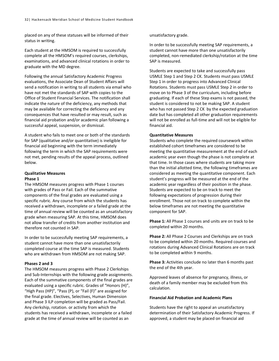placed on any of these statuses will be informed of their status in writing.

Each student at the HMSOM is required to successfully complete all the HMSOM's required courses, clerkships, examinations, and advanced clinical rotations in order to graduate with the MD degree.

Following the annual Satisfactory Academic Progress evaluations, the Associate Dean of Student Affairs will send a notification in writing to all students via email who have not met the standards of SAP with copies to the Office of Student Financial Services. The notification shall indicate the nature of the deficiency, any methods that may be available for correcting the deficiency and any consequences that have resulted or may result, such as financial aid probation and/or academic plan following a successful appeal, suspension, or dismissal.

A student who fails to meet one or both of the standards for SAP (qualitative and/or quantitative) is ineligible for financial aid beginning with the term immediately following the term in which the SAP requirements were not met, pending results of the appeal process, outlined below.

#### **Qualitative Measures Phase 1**

The HMSOM measures progress with Phase 1 courses with grades of Pass or Fail. Each of the summative components of the final grades are evaluated using a specific rubric. Any course from which the students has received a withdrawn, incomplete or a failed grade at the time of annual review will be counted as an unsatisfactory grade when measuring SAP. At this time, HMSOM does not allow transfer of credits from another institution and therefore not counted in SAP.

In order to be successfully meeting SAP requirements, a student cannot have more than one unsatisfactorily completed course at the time SAP is measured. Students who are withdrawn from HMSOM are not making SAP.

#### **Phases 2 and 3**

The HMSOM measures progress with Phase 2 Clerkships and Sub-Internships with the following grade assignments. Each of the summative components of the final grades are evaluated using a specific rubric. Grades of "Honors (H)", "High Pass (HP)", "Pass (P), or "Fail (F)" are assigned for the final grade. Electives, Selectives, Human Dimension and Phase 3 ILP completion will be graded as Pass/Fail. Any clerkship, rotation. or activity from which the students has received a withdrawn, incomplete or a failed grade at the time of annual review will be counted as an

unsatisfactory grade.

In order to be successfully meeting SAP requirements, a student cannot have more than one unsatisfactorily completed, non-remediated clerkship/rotation at the time SAP is measured.

Students are expected to take and successfully pass USMLE Step 1 and Step 2 CK. Students must pass USMLE Step 1 in order to progress into Advanced Clinical Rotations. Students must pass USMLE Step 2 in order to move on to Phase 3 of the curriculum, including before graduating. If each of these Step exams is not passed, the student is considered to not be making SAP. A student who has not passed Step 2 CK by the expected graduation date but has completed all other graduation requirements will not be enrolled as full-time and will not be eligible for financial aid.

#### **Quantitative Measures**

Students who complete the required coursework within established cohort timeframes are considered to be meeting the quantitative measurement at the end of each academic year even though the phase is not complete at that time. In those cases where students are taking more than the initial allotted time, the following timeframes are considered as meeting the quantitative component. Each student's progress will be measured at the end of the academic year regardless of their position in the phase. Students are expected to be on track to meet the following expectations of progression during their enrollment. Those not on track to complete within the below timeframes are not meeting the quantitative component for SAP.

**Phase 1:** All Phase 1 courses and units are on track to be completed within 20 months.

**Phase 2:** All Phase 2 Courses and Clerkships are on track to be completed within 20 months. Required courses and rotations during Advanced Clinical Rotations are on track to be completed within 9 months.

**Phase 3:** Activities conclude no later than 6 months past the end of the 4th year.

Approved leaves of absence for pregnancy, illness, or death of a family member may be excluded from this calculation.

#### **Financial Aid Probation and Academic Plans**

Students have the right to appeal an unsatisfactory determination of their Satisfactory Academic Progress. If approved, a student may be placed on financial aid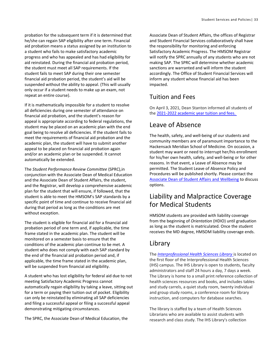probation for the subsequent term if it is determined that he/she can regain SAP eligibility after one term. Financial aid probation means a status assigned by an institution to a student who fails to make satisfactory academic progress and who has appealed and has had eligibility for aid reinstated. During the financial aid probation period, the student must meet all SAP requirements. If the student fails to meet SAP during their one semester financial aid probation period, the student's aid will be suspended without the ability to appeal. (This will usually only occur if a student needs to make up an exam, not repeat an entire course).

If it is mathematically impossible for a student to resolve all deficiencies during one semester of attendance on financial aid probation, and the student's reason for appeal is appropriate according to federal regulations, the student may be placed on an academic plan with the end goal being to resolve all deficiencies. If the student fails to meet the requirements of financial aid probation and the academic plan, the student will have to submit another appeal to be placed on financial aid probation again and/or an academic plan or be suspended. It cannot automatically be extended.

The *Student Performance Review Committee* (SPRC),in conjunction with the Associate Dean of Medical Education and the Associate Dean of Student Affairs, the student, and the Registrar, will develop a comprehensive academic plan for the student that will ensure, if followed, that the student is able to meet the HMSOM's SAP standards by a specific point of time and continue to receive financial aid during that period as long as the conditions are met without exception.

The student is eligible for financial aid for a financial aid probation period of one term and, if applicable, the time frame stated in the academic plan. The student will be monitored on a semester basis to ensure that the conditions of the academic plan continue to be met. A student who does not comply with each SAP standard by the end of the financial aid probation period and, if applicable, the time frame stated in the academic plan, will be suspended from financial aid eligibility.

A student who has lost eligibility for federal aid due to not meeting Satisfactory Academic Progress cannot automatically regain eligibility by taking a leave, sitting out for a term or paying their tuition out of pocket. Eligibility can only be reinstated by eliminating all SAP deficiencies and filing a successful appeal or filing a successful appeal demonstrating mitigating circumstances.

The SPRC, the Associate Dean of Medical Education, the

Associate Dean of Student Affairs, the offices of Registrar and Student Financial Services collaboratively shall have the responsibility for monitoring and enforcing Satisfactory Academic Progress. The HMSOM Registrar will notify the SPRC annually of any students who are not making SAP. The SPRC will determine whether academic sanctions are warranted and will inform the student accordingly. The Office of Student Financial Services will inform any student whose financial aid has been impacted.

### <span id="page-32-0"></span>Tuition and Fees

On April 3, 2021, Dean Stanton informed all students of the [2021-2022 academic year tuition and fees.](https://www.hmsom.org/admissions/financial-aid-and-costs/)

### <span id="page-32-1"></span>Leave of Absence

The health, safety, and well-being of our students and community members are of paramount importance to the Hackensack Meridian School of Medicine. On occasion, a student may want or need to interrupt her/his enrollment for his/her own health, safety, and well-being or for other reasons. In that event, a Leave of Absence may be permitted. The Student Leave of Absence Policy and Procedures will be published shortly. Please contact the [Associate Dean of Student Affairs and](mailto:laurie.sullivan@hmhn.org?subject=LOA%20Information) Wellbeing to discuss options.

### <span id="page-32-2"></span>Liability and Malpractice Coverage for Medical Students

HMSOM students are provided with liability coverage from the beginning of *Orientation* (HDIO) until graduation as long as the student is matriculated. Once the student receives the MD degree, HMSOM liability coverage ends.

# <span id="page-32-3"></span>Library

The *[Interprofessional Health Sciences Library](https://library.shu.edu/ihs)* is located on the first floor of the Interprofessional Health Sciences (IHS) campus. The IHS Library is open to students, faculty administrators and staff 24 hours a day, 7 days a week. The Library is home to a small print reference collection of health sciences resources and books, and includes tables and study carrels, a quiet study room, twenty individual and group study rooms, a conference room for library instruction, and computers for database searches.

The library is staffed by a team of Health Sciences Librarians who are available to assist students with research and class study. The IHS Library's collection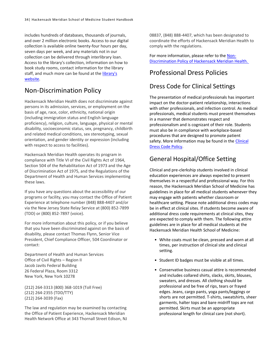includes hundreds of databases, thousands of journals, and over 2 million electronic books. Access to our digital collection is available online twenty-four hours per day, seven days per week, and any materials not in our collection can be delivered through interlibrary loan. Access to the library's collection, information on how to book study rooms, contact information for the library staff, and much more can be found at the [library's](https://library.shu.edu/ihs)  [website.](https://library.shu.edu/ihs)

# <span id="page-33-0"></span>Non-Discrimination Policy

Hackensack Meridian Health does not discriminate against persons in its admission, services, or employment on the basis of age, race, color, ethnicity, national origin (including immigration status and English language proficiency), religion, culture, language, physical or mental disability, socioeconomic status, sex, pregnancy, childbirth and related medical conditions, sex stereotyping, sexual orientation, and gender identity or expression (including with respect to access to facilities).

Hackensack Meridian Health operates its program in compliance with Title VI of the Civil Rights Act of 1964, Section 504 of the Rehabilitation Act of 1973 and the Age of Discrimination Act of 1975, and the Regulations of the Department of Health and Human Services implementing these laws.

If you have any questions about the accessibility of our programs or facility, you may contact the Office of Patient Experience at telephone number (848) 888-4407 and/or via the New Jersey State Relay Service at (800) 852-7899 (TDD) or (800) 852-7897 (voice).

For more information about this policy, or if you believe that you have been discriminated against on the basis of disability, please contact Thomas Flynn, Senior Vice President, Chief Compliance Officer, 504 Coordinator or contact:

Department of Health and Human Services Office of Civil Rights – Region II Jacob Javits Federal Building 26 Federal Plaza, Room 3312 New York, New York 10278

(212) 264-3313 (800) 368-1019 (Toll Free) (212) 264-2355 (TDD/TTY) (212) 264-3039 (Fax)

The law and regulation may be examined by contacting the Office of Patient Experience, Hackensack Meridian Health Network Office at 343 Thornall Street Edison, NJ 08837, (848) 888-4407, which has been designated to coordinate the efforts of Hackensack Meridian Health to comply with the regulations.

For more information, please refer to the [Non-](https://hmh.policystat.com/policy/token_access/0ad12b9e-1671-4648-b1d8-bea0a4d2a611/)[Discrimination Policy of Hackensack Meridian Health.](https://hmh.policystat.com/policy/token_access/0ad12b9e-1671-4648-b1d8-bea0a4d2a611/)

# <span id="page-33-1"></span>Professional Dress Policies

### <span id="page-33-2"></span>Dress Code for Clinical Settings

The presentation of medical professionals has important impact on the doctor-patient relationship, interactions with other professionals, and infection control. As medical professionals, medical students must present themselves in a manner that demonstrates respect and professionalism and is cognizant of their role. Students must also be in compliance with workplace-based procedures that are designed to promote patient safety. More information may be found in the Clinical [Dress Code Policy.](https://hmh-som.policystat.com/policy/9065428/latest/)

# <span id="page-33-3"></span>General Hospital/Office Setting

Clinical and pre-clerkship students involved in clinical education experiences are always expected to present themselves in a respectful and professional way. For this reason, the Hackensack Meridian School of Medicine has guidelines in place for all medical students whenever they may engage with patients whether classroom or healthcare setting. Please note additional dress codes may be in effect at clinical sites. If students become aware of additional dress code requirements at clinical sites, they are expected to comply with them. The following attire guidelines are in place for all medical students at the Hackensack Meridian Health School of Medicine:

- White coats must be clean, pressed and worn at all times, per instruction of clinical site and clinical setting.
- Student ID badges must be visible at all times.
- Conservative business casual attire is recommended and includes collared shirts, slacks, skirts, blouses, sweaters, and dresses. All clothing should be professional and be free of rips, tears or frayed edges. Jeans, cargo pants, yoga pants/leggings or shorts are not permitted. T-shirts, sweatshirts, sheer garments, halter tops and bare midriff tops are not permitted. Skirts must be an appropriate professional length for clinical care (not short).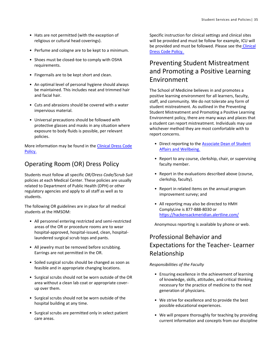- Hats are not permitted (with the exception of religious or cultural head coverings).
- Perfume and cologne are to be kept to a minimum.
- Shoes must be closed-toe to comply with OSHA requirements.
- Fingernails are to be kept short and clean.
- An optimal level of personal hygiene should always be maintained. This includes neat and trimmed hair and facial hair.
- Cuts and abrasions should be covered with a water impervious material.
- Universal precautions should be followed with protective glasses and masks in any situation where exposure to body fluids is possible, per relevant policies.

More information may be found in the [Clinical Dress Code](https://hmh-som.policystat.com/policy/9065428/latest/)  [Policy.](https://hmh-som.policystat.com/policy/9065428/latest/)

# <span id="page-34-0"></span>Operating Room (OR) Dress Policy

Students must follow all specific *OR/Dress Code/Scrub Suit* policies at each Medical Center. These policies are usually related to Department of Public Health (DPH) or other regulatory agencies and apply to all staff as well as to students.

The following OR guidelines are in place for all medical students at the HMSOM:

- All personnel entering restricted and semi-restricted areas of the OR or procedure rooms are to wear hospital-approved, hospital-issued, clean, hospitallaundered surgical scrub tops and pants.
- All jewelry must be removed before scrubbing. Earrings are not permitted in the OR.
- Soiled surgical scrubs should be changed as soon as feasible and in appropriate changing locations.
- Surgical scrubs should not be worn outside of the OR area without a clean lab coat or appropriate coverup over them.
- Surgical scrubs should not be worn outside of the hospital building at any time.
- Surgical scrubs are permitted only in select patient care areas.

Specific instruction for clinical settings and clinical sites will be provided and must be follow for example, ICU will be provided and must be followed. Please see the Clinical [Dress Code Policy.](https://hmh-som.policystat.com/policy/9065428/latest/)

# <span id="page-34-1"></span>Preventing Student Mistreatment and Promoting a Positive Learning Environment

The School of Medicine believes in and promotes a positive learning environment for all learners, faculty, staff, and community. We do not tolerate any form of student mistreatment. As outlined in the Preventing Student Mistreatment and Promoting a Positive Learning Environment policy, there are many ways and places that a student can report mistreatment. Individuals may use whichever method they are most comfortable with to report concerns.

- Direct reporting to th[e Associate Dean of Student](mailto:laurie.sullivan@hmhn.org?subject=Student%20Mistreatment)  [Affairs and](mailto:laurie.sullivan@hmhn.org?subject=Student%20Mistreatment) Wellbeing.
- Report to any course, clerkship, chair, or supervising faculty member.
- Report in the evaluations described above (course, clerkship, faculty).
- Report in related items on the annual program improvement survey; and
- All reporting may also be directed to HMH ComplyLine is 877-888-8030 or <https://hackensackmeridian.alertline.com/>

<span id="page-34-2"></span>Anonymous reporting is available by phone or web.

# Professional Behavior and Expectations for the Teacher- Learner Relationship

#### *Responsibilities of the Faculty*

- Ensuring excellence in the achievement of learning of knowledge, skills, attitudes, and critical thinking necessary for the practice of medicine to the next generation of physicians.
- We strive for excellence and to provide the best possible educational experiences.
- We will prepare thoroughly for teaching by providing current information and concepts from our discipline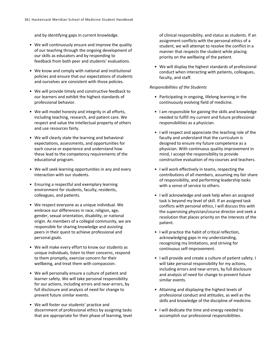and by identifying gaps in current knowledge.

- We will continuously ensure and improve the quality of our teaching through the ongoing development of our skills as educators and by responding to feedback from both peer and students' evaluations.
- We know and comply with national and institutional policies and ensure that our expectations of students and ourselves are consistent with those policies.
- We will provide timely and constructive feedback to our learners and exhibit the highest standards of professional behavior.
- We will model honesty and integrity in all efforts, including teaching, research, and patient care. We respect and value the intellectual property of others and use resources fairly.
- We will clearly state the learning and behavioral expectations, assessments, and opportunities for each course or experience and understand how these lead to the competency requirements of the educational program.
- We will seek learning opportunities in any and every interaction with our students.
- Ensuring a respectful and exemplary learning environment for students, faculty, residents, colleagues, and patients.
- We respect everyone as a unique individual. We embrace our differences in race, religion, age, gender, sexual orientation, disability, or national origin. As members of a collegial community, we are responsible for sharing knowledge and assisting peers in their quest to achieve professional and personal goals.
- We will make every effort to know our students as unique individuals, listen to their concerns, respond to them promptly, exercise concern for their wellbeing, and treat them with compassion.
- We will personally ensure a culture of patient and learner safety. We will take personal responsibility for our actions, including errors and near-errors, by full disclosure and analysis of need for change to prevent future similar events.
- We will foster our students' practice and discernment of professional ethics by assigning tasks that are appropriate for their phase of learning, level

of clinical responsibility, and status as students. If an assignment conflicts with the personal ethics of a student, we will attempt to resolve the conflict in a manner that respects the student while placing priority on the wellbeing of the patient.

• We will display the highest standards of professional conduct when interacting with patients, colleagues, faculty, and staff.

#### *Responsibilities of the Students*

- Participating in ongoing, lifelong learning in the continuously evolving field of medicine.
- I am responsible for gaining the skills and knowledge needed to fulfill my current and future professional responsibilities as a physician.
- I will respect and appreciate the teaching role of the faculty and understand that the curriculum is designed to ensure my future competence as a physician. With continuous quality improvement in mind, I accept the responsibility to provide constructive evaluation of my courses and teachers.
- I will work effectively in teams, respecting the contributions of all members, assuming my fair share of responsibility, and performing leadership tasks with a sense of service to others.
- I will acknowledge and seek help when an assigned task is beyond my level of skill. If an assigned task conflicts with personal ethics, I will discuss this with the supervising physician/course director and seek a resolution that places priority on the interests of the patient.
- I will practice the habit of critical reflection, acknowledging gaps in my understanding, recognizing my limitations, and striving for continuous self-improvement.
- I will provide and create a culture of patient safety. I will take personal responsibility for my actions, including errors and near-errors, by full disclosure and analysis of need for change to prevent future similar events.
- Attaining and displaying the highest levels of professional conduct and attitudes, as well as the skills and knowledge of the discipline of medicine.
- I will dedicate the time and energy needed to accomplish our professional responsibilities.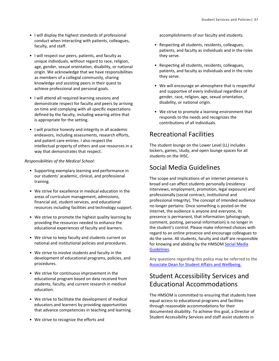- I will display the highest standards of professional conduct when interacting with patients, colleagues, faculty, and staff.
- I will respect our peers, patients, and faculty as unique individuals, without regard to race, religion, age, gender, sexual orientation, disability, or national origin. We acknowledge that we have responsibilities as members of a collegial community, sharing knowledge and assisting peers in their quest to achieve professional and personal goals.
- I will attend all required learning sessions and demonstrate respect for faculty and peers by arriving on time and complying with all specific expectations defined by the faculty, including wearing attire that is appropriate for the setting.
- I will practice honesty and integrity in all academic endeavors, including assessments, research efforts, and patient care entries. I also respect the intellectual property of others and use resources in a way that demonstrates that respect.

### *Responsibilities of the Medical School:*

- Supporting exemplary learning and performance in our students' academic, clinical, and professional training.
- We strive for excellence in medical education in the areas of curriculum management, admissions, financial aid, student services, and educational resources including facilities and technology support.
- We strive to promote the highest quality learning by providing the resources needed to enhance the educational experiences of faculty and learners.
- We strive to keep faculty and students current on national and institutional policies and procedures.
- We strive to involve students and faculty in the development of educational programs, policies, and procedures.
- We strive for continuous improvement in the educational program based on data received from students, faculty, and current research in medical education.
- We strive to facilitate the development of medical educators and learners by providing opportunities that advance competencies in teaching and learning.
- We strive to recognize the efforts and

accomplishments of our faculty and students.

- Respecting all students, residents, colleagues, patients, and faculty as individuals and in the roles they serve.
- Respecting all students, residents, colleagues, patients, and faculty as individuals and in the roles they serve.
- We will encourage an atmosphere that is respectful and supportive of every individual regardless of gender, race, religion, age, sexual orientation, disability, or national origin.
- We strive to promote a learning environment that responds to the needs and recognizes the contributions of all individuals.

### Recreational Facilities

The student lounge on the Lower Level (LL) includes lockers, games, study, and open lounge spaces for all students on the IHSC.

### Social Media Guidelines

The scope and implications of an internet presence is broad and can affect students personally (residency interviews, employment, promotion, legal exposure) and professionally (social contract, institutional and professional integrity). The concept of intended audience no longer pertains: Once something is posted on the internet, the audience is anyone and everyone, its presence is permanent, that information (photograph, comment, posting, personal information) is no longer in the student's control. Please make informed choices with regard to an online presence and encourage colleagues to do the same. All students, faculty and staff are responsible for knowing and abiding by the HMSO[M Social Media](https://hmh.policystat.com/policy/8270519/latest/)  [Guidelines.](https://hmh.policystat.com/policy/8270519/latest/)

Any questions regarding this policy may be referred to the [Associate Dean for Student Affairs and Wellbeing.](mailto:laurie.sullivan@hmhn.org?subject=Social%20Media%20Policy)

# Student Accessibility Services and Educational Accommodations

The HMSOM is committed to ensuring that students have equal access to educational programs and facilities through reasonable accommodations for their documented disability. To achieve this goal, a Director of Student Accessibility Services and staff assist students in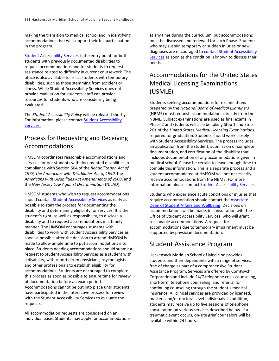making the transition to medical school and in identifying accommodations that will support their full participation in the program.

[Student Accessibility Services](mailto:HMSOMstudentaccessibility@hmhn.org) is the entry point for both students with previously documented disabilities to request accommodations and for students to request assistance related to difficulty in current coursework. The office is also available to assist students with temporary disabilities, such as those stemming from accident or illness. While Student Accessibility Services does not provide evaluation for students, staff can provide resources for students who are considering being evaluated.

The *Student Accessibility Policy* will be released shortly. For information, please contact [Student Accessibility](mailto:HMSOMstudentaccessibility@hmhn.org)  [Services.](mailto:HMSOMstudentaccessibility@hmhn.org)

### Process for Requesting and Receiving Accommodations

HMSOM coordinates reasonable accommodations and services for our students with documented disabilities in compliance with Section 504 of the *Rehabilitation Act of 1973, the Americans with Disabilities Act of 1990*, the *Americans with Disabilities Act Amendments of 2008*, and the *New Jersey Law Against Discrimination* (NJLAD).

HMSOM students who wish to request accommodations should contact [Student Accessibility Services](mailto:HMSOMstudentaccessibility@hmhn.org) as early as possible to start the process for documenting the disability and determining eligibility for services. It is the student's right, as well as responsibility, to disclose a disability and to request accommodations in a timely manner. The HMSOM encourages students with disabilities to work with Student Accessibility Services as soon as possible after the decision to attend HMSOM is made to allow ample time to put accommodations into place. Students needing accommodations should submit a request to Student Accessibility Services as a student with a disability, with reports from physicians, psychologists and other professionals to establish eligibility for accommodations. Students are encouraged to complete this process as soon as possible to ensure time for review of documentation before an exam period. Accommodations cannot be put into place until students have participated in the interactive process for review with the Student Accessibility Services to evaluate the requests.

All accommodation requests are considered on an individual basis. Students may apply for accommodations

at any time during the curriculum, but accommodations must be discussed and renewed for each Phase. Students who may sustain temporary or sudden injuries or new diagnoses are encouraged t[o contact Student Accessibility](mailto:HMSOMstudentaccessibility@hmhn.org)  [Services](mailto:HMSOMstudentaccessibility@hmhn.org) as soon as the condition is known to discuss their needs.

# Accommodations for the United States Medical Licensing Examinations (USMLE)

Students seeking accommodations for examinations prepared by the *National Board of Medical Examiners* (NBME) must request accommodations directly from the NBME. Subject examinations are used as final exams in Phase 2 and students will also be taking Step 1 and Step 2CK of the *United States Medical Licensing Examinations*, required for graduation. Students should work closely with Student Accessibility Services. The process includes an application from the student, submission of complete documentation, and certification of the disability that includes documentation of any accommodations given in medical school. Please be certain to leave enough time to compile this information. This is a separate process and a student accommodated at HMSOM will not necessarily receive accommodations from the NBME. For more information please contact [Student Accessibility Services.](mailto:HMSOMstudentaccessibility@hmhn.org)

Students who experience acute conditions or injuries that require accommodation should contact the [Associate](mailto:laurie.sullivan@hmhn.org?subject=Acute%20Condition)  [Dean of Student Affairs and Wellbeing.](mailto:laurie.sullivan@hmhn.org?subject=Acute%20Condition) Decisions on accommodations will be made, in consultation with the Office of Student Accessibility Services, who will grant reasonable accommodations. A request for accommodations due to temporary impairment must be supported by physician documentation.

# Student Assistance Program

Hackensack Meridian School of Medicine provides students and their dependents with a range of services free of charge as part of a comprehensive Student Assistance Program. Services are offered by ComPsych Corporation and include 24/7 telephone crisis counseling, short-term telephone counseling, and referral for continuing counseling through the student's medical insurance. All clinical services are provided by licensed, masters and/or doctoral level individuals. In addition, students may receive up to five sessions of telephone consultation on various services described below. If a traumatic event occurs, on-site grief counselors will be available within 24 hours.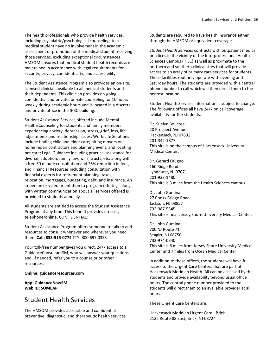The health professionals who provide health services, including psychiatric/psychological counseling, to a medical student have no involvement in the academic assessment or promotion of the medical student receiving those services, excluding exceptional circumstances. HMSOM ensures that medical student health records are maintained in accordance with legal requirements for security, privacy, confidentiality, and accessibility.

The Student Assistance Program also provides an on-site, licensed clinician available to all medical students and their dependents. This clinician provides on-going, confidential and private, on-site counseling for 10 hours weekly during academic hours and is located in a discrete and private office in the IHSC building.

Student Assistance Services offered include Mental Health/Counseling for students and family members experiencing anxiety, depression, stress, grief, loss, life adjustments and relationship issues; Work-Life Solutions include finding child and elder care; hiring movers or home repair contractors and planning event, and locating pet care; Legal Guidance including practical assistance for divorce, adoption, family law, wills, trusts, etc. along with a free 30 minute consultation and 25% reduction in fees; and Financial Resources including consultation with financial experts for retirement planning, taxes, relocation, mortgages, budgeting, debt, and insurance. An in-person or video orientation to program offerings along with written communication about all services offered is provided to students annually.

All students are entitled to access the Student Assistance Program at any time. This benefit provides no-cost, telephone/online, CONFIDENTIAL:

Student Assistance Program offers someone to talk to and resources to consult whenever and wherever you need them. **Call: 833-515-0774** TTY: 800.697.0353

Your toll-free number gives you direct, 24/7 access to a GuidanceConsultantSM, who will answer your questions and, if needed, refer you to a counselor or other resources.

#### **Online: guidanceresources.com**

**App: GuidanceNowSM Web ID: SOMEAP**

### Student Health Services

The HMSOM provides accessible and confidential preventive, diagnostic, and therapeutic health services. Students are required to have health insurance either through the HMSOM or equivalent coverage.

*Student Health Services* contracts with outpatient medical practices in the vicinity of the Interprofessional Health Sciences Campus (IHSC) as well as proximate to the northern and southern clinical sites that will provide access to an array of primary care services for students. These facilities routinely operate with evening and Saturday hours. The students are provided with a central phone number to call which will then direct them to the nearest location.

Student Health Services information is subject to change. The following offices all have 24/7 on call coverage availability for the students.

Dr. Suelyn Boucree 20 Prospect Avenue Hackensack, NJ 07601 201-342-1877 This site is on the campus of Hackensack University Medical Center.

Dr. Gerard Faugno 160 Ridge Road Lyndhurst, NJ 07071 201-933-1480 This site is 3 miles from the Health Sciences campus.

Dr. John Gumina 27 Cooks Bridge Road Jackson, NJ 08857 732-987-5545 This site is near Jersey Shore University Medical Center.

Dr. John Gumina 700 NJ Route 71 Seagirt, NJ 08750 732-974-0340 This site is 6 miles from Jersey Shore University Medical Center and 7 miles from Ocean Medical Center

In addition to these offices, the students will have full access to the Urgent Care Centers that are part of Hackensack Meridian Health. All can be accessed by the students and provide availability beyond usual office hours. The central phone number provided to the students will direct them to an available provider at all hours.

These Urgent Care Centers are:

Hackensack Meridian Urgent Care - Brick 2125 Route 88 East, Brick, NJ 08724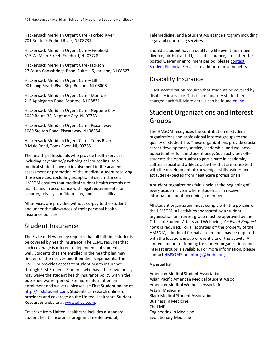Hackensack Meridian Urgent Care - Forked River 701 Route 9, Forked River, NJ 08731

Hackensack Meridian Urgent Care – Freehold 315 W. Main Street, Freehold, NJ 07728

Hackensack Meridian Urgent Care- Jackson 27 South Cooksbridge Road, Suite 1-5, Jackson, NJ 08527

Hackensack Meridian Urgent Care – LBI 901 Long Beach Blvd, Ship Bottom, NJ 08008

Hackensack Meridian Urgent Care - Monroe 215 Applegarth Road, Monroe, NJ 08831

Hackensack Meridian Urgent Care - Neptune City 2040 Route 33, Neptune City, NJ 07753

Hackensack Meridian Urgent Care - Piscataway 1080 Stelton Road, Piscataway, NJ 08854

Hackensack Meridian Urgent Care - Toms River 9 Mule Road, Toms River, NJ, 09755

The health professionals who provide health services, including psychiatric/psychological counseling, to a medical student have no involvement in the academic assessment or promotion of the medical student receiving those services, excluding exceptional circumstances. HMSOM ensures that medical student health records are maintained in accordance with legal requirements for security, privacy, confidentiality, and accessibility.

All services are provided without co-pay to the student and under the allowances of their personal health insurance policies.

### Student Insurance

The State of New Jersey requires that all full-time students be covered by health insurance. The LCME requires that such coverage is offered to dependents of students as well. Students that are enrolled in the health plan may first enroll themselves and then their dependents. The HMSOM provides access to student health insurance through First Student. Students who have their own policy may waive the student health insurance policy within the published waiver period. For more information on enrollment and waivers, please visit First Student online at [http://firststudent.com.](http://firststudent.com/) Students can search online for providers and coverage on the United Healthcare Student Resources website a[t www.uhcsr.com.](/Users/Becca/Downloads/www.uhcsr.com)

Coverage from United Healthcare includes a standard student health insurance program, TeleBehavioral,

TeleMedicine, and a Student Assistance Program including legal and counseling services.

Should a student have a qualifying life event (marriage, divorce, birth of a child, loss of insurance, etc.) after the posted waiver or enrollment period, please [contact](mailto:SFS@hmhn.org)  [Student Financial Services](mailto:SFS@hmhn.org) to add or remove benefits.

### Disability Insurance

LCME accreditation requires that students be covered by disability insurance. This is a mandatory student fee charged each fall. More details can be found [online.](https://www.hmsom.org/wp-content/uploads/2021/04/StudentBenefit_AMAPlus.pdf)

# Student Organizations and Interest Groups

The HMSOM recognizes the contribution of student organizations and professional interest groups to the quality of student life. These organizations provide crucial career development, service, leadership, and wellness opportunities for the student body. Such activities offer students the opportunity to participate in academic, cultural, social and athletic activities that are consistent with the development of knowledge, skills, values and attitudes expected from healthcare professionals.

A student organizations fair is held at the beginning of every academic year where students can receive information about becoming a member.

All student organization must comply with the policies of the HMSOM. All activities sponsored by a student organization or interest group must be approved by the Office of Student Affairs and Wellbeing. *An Event Request Form* is required. For all activities off the property of the HMSOM, additional formal agreements may be required with the location, group or event site of the activity. A limited amount of funding for student organizations and interest groups is available. For more information, please contact [HMSOMStudentorgs@hmhn.org](/Users/Becca/Downloads/HMSOMStudentorgs@hmhn.org )

### A partial list:

American Medical Student Association Asian Pacific American Medical Student Assoc American Medical Women's Association Arts In Medicine Black Medical Student Association Business In Medicine Chef MD Engineering in Medicine Evolutionary Medicine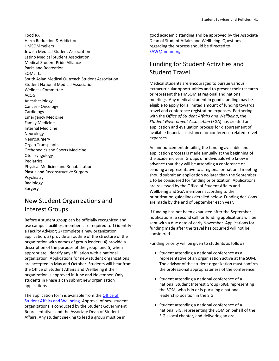Food RX Harm Reduction & Addiction **HMSOMmeliers** Jewish Medical Student Association Latino Medical Student Association Medical Student Pride Alliance Parks and Recreation **SOMLifts** South Asian Medical Outreach Student Association Student National Medical Association Wellness Committee ACOG Anesthesiology Cancer - Oncology Cardiology Emergency Medicine Family Medicine Internal Medicine Neurology Neurosurgery Organ Transplants Orthopedics and Sports Medicine Otolaryngology Pediatrics Physical Medicine and Rehabilitation Plastic and Reconstructive Surgery Psychiatry Radiology Surgery

# New Student Organizations and Interest Groups

Before a student group can be officially recognized and use campus facilities, members are required to 1) identify a Faculty Advisor; 2) complete a new organization application; 3) provide an outline of the structure of the organization with names of group leaders; 4) provide a description of the purpose of the group; and 5) when appropriate, identify any affiliation with a national organization. Applications for new student organizations are accepted in May and October. Students will hear from the Office of Student Affairs and Wellbeing if their organization is approved in June and November. Only students in Phase 1 can submit new organization applications.

The application form is available from the [Office of](mailto:HMSOMStudentorgs@hmhn.org)  Student Affairs [and Wellbeing.](mailto:HMSOMStudentorgs@hmhn.org) Approval of new student organizations is conducted by the Student Government Representatives and the Associate Dean of Student Affairs. Any student seeking to lead a group must be in

good academic standing and be approved by the Associate Dean of Student Affairs and Wellbeing. Questions regarding the process should be directed to [SAW@hmhn.org.](/Users/Becca/Downloads/SAW@hmhn.org)

### Funding for Student Activities and Student Travel

Medical students are encouraged to pursue various extracurricular opportunities and to present their research or represent the HMSOM at regional and national meetings. Any medical student in good standing may be eligible to apply for a limited amount of funding towards travel and conference registration expenses. Partnering with the *Office of Student Affairs and Wellbeing*, the *Student Government Association* (SGA) has created an application and evaluation process for disbursement of available financial assistance for conference-related travel expenses.

An announcement detailing the funding available and application process is made annually at the beginning of the academic year. Groups or individuals who know in advance that they will be attending a conference or sending a representative to a regional or national meeting should submit an application no later than the September 1 to be considered for funding prioritization. Applications are reviewed by the Office of Student Affairs and Wellbeing and SGA members according to the prioritization guidelines detailed below. Funding decisions are made by the end of September each year.

If funding has not been exhausted after the September notifications, a second call for funding applications will be sent with a due date of early November. Applications for funding made after the travel has occurred will not be considered.

Funding priority will be given to students as follows:

- Student attending a national conference as a representative of an organization active at the SOM. The advisor of the student organization must confirm the professional appropriateness of the conference.
- Student attending a national conference of a national Student Interest Group (SIG), representing the SOM, who is in or is pursuing a national leadership position in the SIG.
- Student attending a national conference of a national SIG, representing the SOM on behalf of the SIG's local chapter, and delivering an oral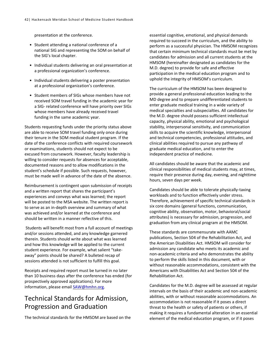presentation at the conference.

- Student attending a national conference of a national SIG and representing the SOM on behalf of the SIG's local chapter.
- Individual students delivering an oral presentation at a professional organization's conference.
- Individual students delivering a poster presentation at a professional organization's conference.
- Student members of SIGs whose members have not received SOM travel funding in the academic year for a SIG- related conference will have priority over SIGs whose members have already received travel funding in the same academic year.

Students requesting funds under the priority status above are able to receive SOM travel funding only once during their tenure in the SOM medical student program. If the date of the conference conflicts with required coursework or examinations, students should not expect to be excused from coursework. However, faculty leadership is willing to consider requests for absences for acceptable, documented reasons and to allow modifications in the student's schedule if possible. Such requests, however, must be made well in advance of the date of the absence.

Reimbursement is contingent upon submission of receipts and a written report that shares the participant's experiences and conveys what was learned; the report will be posted to the MSA website. The written report is to serve as an in-depth overview and summary of what was achieved and/or learned at the conference and should be written in a manner reflective of this.

Students will benefit most from a full account of meetings and/or sessions attended, and any knowledge garnered therein. Students should write about what was learned and how this knowledge will be applied to the current student experience. For example, what salient "takeaway" points should be shared? A bulleted recap of sessions attended is not sufficient to fulfill this goal.

Receipts and required report must be turned in no later than 10 business days after the conference has ended (for prospectively approved applications). For more information, please email **SAW@hmhn.org**.

# Technical Standards for Admission, Progression and Graduation

The technical standards for the HMSOM are based on the

essential cognitive, emotional, and physical demands required to succeed in the curriculum, and the ability to perform as a successful physician. The HMSOM recognizes that certain minimum technical standards must be met by candidates for admission and all current students at the HMSOM (hereinafter designated as candidates for the M.D. degree) to provide for safe and effective participation in the medical education program and to uphold the integrity of HMSOM's curriculum.

The curriculum of the HMSOM has been designed to provide a general professional education leading to the MD degree and to prepare undifferentiated students to enter graduate medical training in a wide variety of medical specialties and subspecialties. All candidates for the M.D. degree should possess sufficient intellectual capacity, physical ability, emotional and psychological stability, interpersonal sensitivity, and communication skills to acquire the scientific knowledge, interpersonal and technical competencies, professional attitudes, and clinical abilities required to pursue any pathway of graduate medical education, and to enter the independent practice of medicine.

All candidates should be aware that the academic and clinical responsibilities of medical students may, at times, require their presence during day, evening, and nighttime hours, seven days per week.

Candidates should be able to tolerate physically-taxing workloads and to function effectively under stress. Therefore, achievement of specific technical standards in six core domains (general functions, communication, cognitive ability, observation, motor, behavioral/social attributes) is necessary for admission, progression, and graduation from any clinical program at the HMSOM.

These standards are commensurate with AAMC publications, Section 504 of the Rehabilitation Act, and the American Disabilities Act. HMSOM will consider for admission any candidate who meets its academic and non-academic criteria and who demonstrates the ability to perform the skills listed in this document, with or without reasonable accommodations, consistent with the Americans with Disabilities Act and Section 504 of the Rehabilitation Act.

Candidates for the M.D. degree will be assessed at regular intervals on the basis of their academic and non-academic abilities, with or without reasonable accommodations. An accommodation is not reasonable if it poses a direct threat to the health or safety of patients or others, if making it requires a fundamental alteration in an essential element of the medical education program, or if it poses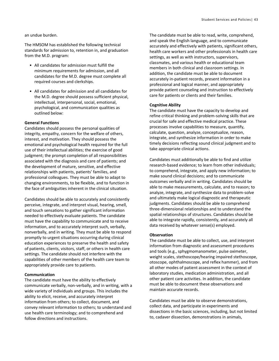#### an undue burden.

The HMSOM has established the following technical standards for admission to, retention in, and graduation from the M.D. program:

- All candidates for admission must fulfill the minimum requirements for admission, and all candidates for the M.D. degree must complete all required courses and clerkships.
- All candidates for admission and all candidates for the M.D. degree should possess sufficient physical, intellectual, interpersonal, social, emotional, psychological, and communication qualities as outlined below:

#### **General Functions**

Candidates should possess the personal qualities of integrity, empathy, concern for the welfare of others, interest, and motivation. They should possess the emotional and psychological health required for the full use of their intellectual abilities; the exercise of good judgment; the prompt completion of all responsibilities associated with the diagnosis and care of patients; and the development of mature, sensitive, and effective relationships with patients, patients' families, and professional colleagues. They must be able to adapt to changing environments, to be flexible, and to function in the face of ambiguities inherent in the clinical situation.

Candidates should be able to accurately and consistently perceive, integrate, and interpret visual, hearing, smell, and touch sensations to gather significant information needed to effectively evaluate patients. The candidate must have the capability to communicate and to receive information, and to accurately interpret such, verbally, nonverbally, and in writing. They must be able to respond promptly to urgent situations occurring during clinical education experiences to preserve the health and safety of patients, clients, visitors, staff, or others in health care settings. The candidate should not interfere with the capabilities of other members of the health care team to appropriately provide care to patients.

#### **Communication**

The candidate must have the ability to effectively communicate verbally, non-verbally, and in writing, with a wide variety of individuals and groups. This includes the ability to elicit, receive, and accurately interpret information from others; to collect, document, and convey relevant information to others; to understand and use health care terminology; and to comprehend and follow directions and instructions.

The candidate must be able to read, write, comprehend, and speak the English language, and to communicate accurately and effectively with patients, significant others, health care workers and other professionals in health care settings, as well as with instructors, supervisors, classmates, and various health or educational team members in both clinical and classroom settings. In addition, the candidate must be able to document accurately in-patient records, present information in a professional and logical manner, and appropriately provide patient counseling and instruction to effectively care for patients or clients and their families.

#### **Cognitive Ability**

The candidate must have the capacity to develop and refine critical thinking and problem-solving skills that are crucial for safe and effective medical practice. These processes involve capabilities to measure, quantify, calculate, question, analyze, conceptualize, reason, integrate, and synthesize information in order to make timely decisions reflecting sound clinical judgment and to take appropriate clinical actions.

Candidates must additionally be able to find and utilize research-based evidence; to learn from other individuals; to comprehend, integrate, and apply new information; to make sound clinical decisions; and to communicate outcomes verbally and in writing. Candidates should be able to make measurements, calculate, and to reason; to analyze, integrate, and synthesize data to problem-solve and ultimately make logical diagnostic and therapeutic judgments. Candidates should be able to comprehend three-dimensional relationships and to understand the spatial relationships of structures. Candidates should be able to integrate rapidly, consistently, and accurately all data received by whatever sense(s) employed.

#### **Observation**

The candidate must be able to collect, use, and interpret information from diagnostic and assessment procedures and tools (e.g., sphygmomanometer, pulse oximeter, weight scales, stethoscope/hearing impaired stethoscope, otoscope, ophthalmoscope, and reflex hammer), and from all other modes of patient assessment in the context of laboratory studies, medication administration, and all other patient care activities. In addition, the candidate must be able to document these observations and maintain accurate records.

Candidates must be able to observe demonstrations, collect data, and participate in experiments and dissections in the basic sciences, including, but not limited to, cadaver dissection, demonstrations in animals,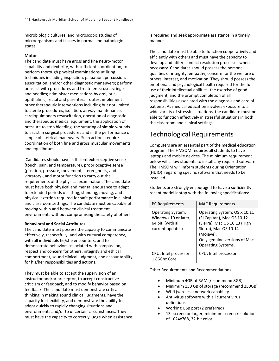microbiologic cultures, and microscopic studies of microorganisms and tissues in normal and pathologic states.

#### **Motor**

The candidate must have gross and fine neuro-motor capability and dexterity, with sufficient coordination, to perform thorough physical examinations utilizing techniques including inspection, palpation, percussion, auscultation, and/or other diagnostic maneuvers; perform or assist with procedures and treatments; use syringes and needles; administer medications by oral, otic, ophthalmic, rectal and parenteral routes; implement other therapeutic interventions including but not limited to sterile procedures, isolation, airway maintenance, cardiopulmonary resuscitation, operation of diagnostic and therapeutic medical equipment, the application of pressure to stop bleeding, the suturing of simple wounds to assist in surgical procedures and in the performance of simple obstetrical maneuvers. Such actions require coordination of both fine and gross muscular movements and equilibrium.

Candidates should have sufficient exteroceptive sense (touch, pain, and temperature), proprioceptive sense (position, pressure, movement, stereognosis, and vibratory), and motor function to carry out the requirements of the physical examination. The candidate must have both physical and mental endurance to adapt to extended periods of sitting, standing, moving, and physical exertion required for safe performance in clinical and classroom settings. The candidate must be capable of moving within and between clinical treatment environments without compromising the safety of others.

#### **Behavioral and Social Attributes**

The candidate must possess the capacity to communicate effectively, respectfully, and with cultural competency, with all individuals he/she encounters, and to demonstrate behaviors associated with compassion, respect and concern for others, integrity and ethical comportment, sound clinical judgment, and accountability for his/her responsibilities and actions.

They must be able to accept the supervision of an instructor and/or preceptor, to accept constructive criticism or feedback, and to modify behavior based on feedback. The candidate must demonstrate critical thinking in making sound clinical judgments, have the capacity for flexibility, and demonstrate the ability to adapt quickly to rapidly changing situations and environments and/or to uncertain circumstances. They must have the capacity to correctly judge when assistance is required and seek appropriate assistance in a timely manner.

The candidate must be able to function cooperatively and efficiently with others and must have the capacity to develop and utilize conflict resolution processes when necessary. Candidates should possess the personal qualities of integrity, empathy, concern for the welfare of others, interest, and motivation. They should possess the emotional and psychological health required for the full use of their intellectual abilities, the exercise of good judgment, and the prompt completion of all responsibilities associated with the diagnosis and care of patients. As medical education involves exposure to a wide variety of stressful situations, the candidate must be able to function effectively in stressful situations in both the classroom and clinical settings.

### Technological Requirements

Computers are an essential part of the medical education program. The HMSOM requires all students to have laptops and mobile devices. The minimum requirement below will allow students to install any required software. The HMSOM will inform students during Orientation (HDIO) regarding specific software that needs to be installed.

Students are strongly encouraged to have a sufficiently recent model laptop with the following specifications:

| <b>PC Requirements</b>                                                                    | <b>MAC Requirements</b>                                                                                                                                                                |
|-------------------------------------------------------------------------------------------|----------------------------------------------------------------------------------------------------------------------------------------------------------------------------------------|
| <b>Operating System:</b><br>Windows 10 or later,<br>64 bit, (with all<br>current updates) | Operating System: OS X 10.11<br>(El Capitan), Mac OS 10.12<br>(Sierra), Mac OS 10.13 (High<br>Sierra), Mac OS 10.14<br>(Mojave).<br>Only genuine versions of Mac<br>Operating Systems. |
| CPU: Intel processor<br>1.86Ghz Core                                                      | CPU: Intel processor                                                                                                                                                                   |

Other Requirements and Recommendations

- Minimum 4GB of RAM (recommend 8GB)
- Minimum 150 GB of storage (recommend 250GB)
- Wi-fi (wireless) network capability
- Anti-virus software with all current virus definitions
- Working USB port (2 preferred)
- 13" screen or larger, minimum screen resolution of 1024x768, 32-bit color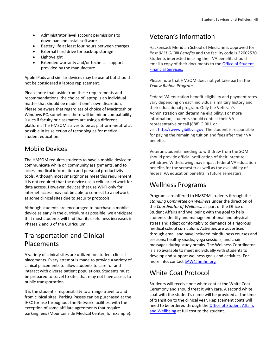- Administrator level account permissions to download and install software
- Battery life at least four hours between charges
- External hard drive for back-up storage
- **Lightweight**
- Extended warranty and/or technical support provided by the manufacture

Apple iPads and similar devices may be useful but should not be considered a laptop replacement.

Please note that, aside from these requirements and recommendations, the choice of laptop is an individual matter that should be made at one's own discretion. Please be aware that regardless of choice of Macintosh or Windows PC, sometimes there will be minor compatibility issues if faculty or classmates are using a different platform. The HMSOM strives to be as platform-neutral as possible in its selection of technologies for medical student education.

### Mobile Devices

The HMSOM requires students to have a mobile device to communicate while on community assignments, and to access medical information and personal productivity tools. Although most smartphones meet this requirement, it is not required that the device use a cellular network for data access. However, devices that use Wi-Fi only for internet access may not be able to connect to a network at some clinical sites due to security protocols.

Although students are encouraged to purchase a mobile device as early in the curriculum as possible, we anticipate that most students will find that its usefulness increases in Phases 2 and 3 of the Curriculum.

# Transportation and Clinical Placements

A variety of clinical sites are utilized for student clinical placements. Every attempt is made to provide a variety of clinical placements to allow students to care for and interact with diverse patient populations. Students must be prepared to travel to sites that may not have access to public transportation.

It is the student's responsibility to arrange travel to and from clinical sites. Parking Passes can be purchased at the IHSC for use throughout the Network facilities, with the exception of some affiliate agreements that require parking fees (Mountainside Medical Center, for example).

# Veteran's Information

Hackensack Meridian School of Medicine is approved for *Post 9/11 GI Bill Benefits* and the facility code is 32002530. Students interested in using their VA benefits should email a copy of their documents to the [Office of Student](mailto:SFS@hmhn.org)  [Financial Services.](mailto:SFS@hmhn.org)

Please note that HMSOM does not yet take part in the *Yellow Ribbon Program*.

Federal VA education benefit eligibility and payment rates vary depending on each individual's military history and their educational program. Only the Veteran's Administration can determine eligibility. For more information, students should contact their VA representative or call (888) GIBILL or visit [http://www.gibill.va.gov.](http://www.gibill.va.gov/) The student is responsible for paying the remaining tuition and fees after their VA benefits.

Veteran students needing to withdraw from the SOM should provide official notification of their intent to withdraw. Withdrawing may impact federal VA education benefits for the semester as well as the availability of federal VA education benefits in future semesters.

# Wellness Programs

Programs are offered to HMSOM students through the *Standing Committee on Wellness* under the direction of the *Coordinator of Wellness,* as part of the Office of Student Affairs and Wellbeing with the goal to help students identify and manage emotional and physical stress and adapt comfortably to demands of a rigorous medical school curriculum. Activities are advertised through email and have included mindfulness courses and sessions; healthy snacks; yoga sessions; and chair massages during study breaks. The Wellness Coordinator is also available to meet individually with students to develop and support wellness goals and activities. For more info, contac[t SAW@hmhn.org](/Users/Becca/Downloads/SAW@hmhn.org)

# White Coat Protocol

Students will receive one white coat at the White Coat Ceremony and should treat it with care. A second white coat with the student's name will be provided at the time of transition to the clinical year. Replacement coats will need to be ordered through the [Office of Student Affairs](mailto:SAW@hmhn.org)  [and Wellbeing](mailto:SAW@hmhn.org) at full cost to the student.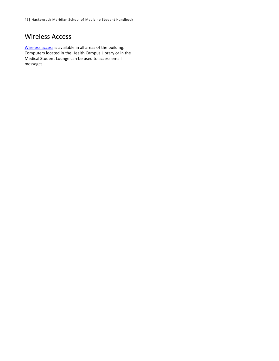# Wireless Access

[Wireless access](https://www.hmsom.org/information-technology/) is available in all areas of the building. Computers located in the Health Campus Library or in the Medical Student Lounge can be used to access email messages.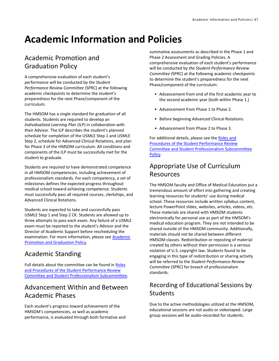# **Academic Information and Policies**

# Academic Promotion and Graduation Policy

A comprehensive evaluation of each student's performance will be conducted by *the Student Performance Review Committee* (SPRC) at the following academic checkpoints to determine the student's preparedness for the next Phase/component of the curriculum.

The HMSOM has a single standard for graduation of all students. Students are required to develop an *Individualized Learning Plan* (ILP) in collaboration with their Advisor. The ILP describes the student's planned schedule for completion of the USMLE Step 1 and USMLE Step 2, schedule for Advanced Clinical Rotations, and plan for Phase 3 of the HMSOM curriculum. All conditions and components of the ILP must be successfully met for the student to graduate.

Students are required to have demonstrated competence in all HMSOM competencies, including achievement of professionalism standards. For each competency, a set of milestones defines the expected progress throughout medical school toward achieving competence. Students must successfully pass all required courses, clerkships, and Advanced Clinical Rotations.

Students are expected to take and successfully pass USMLE Step 1 and Step 2 CK. Students are allowed up to three attempts to pass each exam. Any failure of a USMLE exam must be reported to the student's Advisor and the Director of Academic Support before rescheduling the examination. For more information, please se[e Academic](https://hmh-som.policystat.com/?lt=oEMyILpIH892UZjeSKLi4p&next=%2Fpolicy%2F10899749%2Flatest%2F)  [Promotion and Graduation Policy.](https://hmh-som.policystat.com/?lt=oEMyILpIH892UZjeSKLi4p&next=%2Fpolicy%2F10899749%2Flatest%2F)

# Academic Standing

Full details about the committee can be found i[n Roles](https://hmh-som.policystat.com/?lt=oEMyILpIH892UZjeSKLi4p&next=%2Fpolicy%2F10904798%2Flatest%2F)  [and Procedures of the Student Performance Review](https://hmh-som.policystat.com/?lt=oEMyILpIH892UZjeSKLi4p&next=%2Fpolicy%2F10904798%2Flatest%2F)  Committee [and Student Professionalism Subcommittee.](https://hmh-som.policystat.com/?lt=oEMyILpIH892UZjeSKLi4p&next=%2Fpolicy%2F10904798%2Flatest%2F)

# Advancement Within and Between Academic Phases

Each student's progress toward achievement of the HMSOM's competencies, as well as academic performance, is evaluated through both formative and

summative assessments as described in the Phase 1 and Phase 2 Assessment and Grading Policies. A comprehensive evaluation of each student's performance will be conducted by *the Student Performance Review Committee (*SPRC) at the following academic checkpoints to determine the student's preparedness for the next Phase/component of the curriculum:

- Advancement from end of the first academic year to the second academic year (both within Phase 1.)
- Advancement from Phase 1 to Phase 2.
- Before beginning Advanced Clinical Rotations.
- Advancement from Phase 2 to Phase 3.

For additional details, please see the [Roles and](https://hmh-som.policystat.com/?lt=oEMyILpIH892UZjeSKLi4p&next=%2Fpolicy%2F10904798%2Flatest%2F)  [Procedures of the Student Performance Review](https://hmh-som.policystat.com/?lt=oEMyILpIH892UZjeSKLi4p&next=%2Fpolicy%2F10904798%2Flatest%2F)  [Committee and Student Professionalism Subcommittee](https://hmh-som.policystat.com/?lt=oEMyILpIH892UZjeSKLi4p&next=%2Fpolicy%2F10904798%2Flatest%2F)  [Policy.](https://hmh-som.policystat.com/?lt=oEMyILpIH892UZjeSKLi4p&next=%2Fpolicy%2F10904798%2Flatest%2F)

# Appropriate Use of Curriculum Resources

The HMSOM faculty and Office of Medical Education put a tremendous amount of effort into gathering and creating learning resources for students' use during medical school. These resources include written syllabus content, lecture PowerPoint slides, websites, articles, videos, etc. These materials are shared with HMSOM students electronically for personal use as part of the HMSOM's medical education program. They are not intended to be shared outside of the HMSOM community. Additionally, materials should not be shared between different HMSOM classes. Redistribution or reposting of material created by others without their permission is a serious violation of U.S. copyright law. Students found to be engaging in this type of redistribution or sharing activity will be referred to the *Student Performance Review Committee* (SPRC) for breach of professionalism standards.

# Recording of Educational Sessions by **Students**

Due to the active methodologies utilized at the HMSOM, educational sessions are not audio or videotaped. Large group sessions will be audio-recorded for students.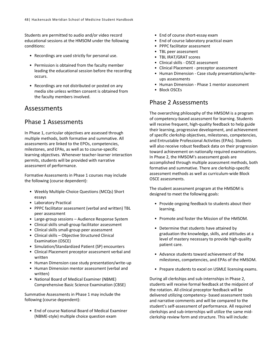Students are permitted to audio and/or video record educational sessions at the HMSOM under the following conditions:

- Recordings are used strictly for personal use.
- Permission is obtained from the faculty member leading the educational session before the recording occurs.
- Recordings are not distributed or posted on any media site unless written consent is obtained from the faculty members involved.

### Assessments

### Phase 1 Assessments

In Phase 1, curricular objectives are assessed through multiple methods, both formative and summative. All assessments are linked to the EPOs, competencies, milestones, and EPAs, as well as to course-specific learning objectives. Whenever teacher-learner interaction permits, students will be provided with narrative assessment of performance.

Formative Assessments in Phase 1 courses may include the following (course dependent):

- Weekly Multiple-Choice Questions (MCQs) Short essays
- Laboratory Practical
- PPPC facilitator assessment (verbal and written) TBL peer assessment
- Large-group sessions Audience Response System
- Clinical skills small-group facilitator assessment
- Clinical skills small-group peer assessment
- Clinical skills Objective Structured Clinical Examination (OSCE)
- Simulation/Standardized Patient (SP) encounters
- Clinical Placement preceptor assessment verbal and written
- Human Dimension case study presentation/write-up
- Human Dimension mentor assessment (verbal and written)
- National Board of Medical Examiner (NBME) Comprehensive Basic Science Examination (CBSE)

Summative Assessments in Phase 1 may include the following (course dependent):

• End of course National Board of Medical Examiner (NBME-style) multiple choice question exam

- End of course short-essay exam
- End of course laboratory practical exam
- PPPC facilitator assessment
- TBL peer assessment
- TBL IRAT/GRAT scores
- Clinical skills OSCE assessment
- Clinical Placement preceptor assessment
- Human Dimension Case study presentations/writeups assessments
- Human Dimension Phase 1 mentor assessment
- Block OSCEs

### Phase 2 Assessments

The overarching philosophy of the HMSOM is a program of competency-based assessment for learning. Students will receive frequent, high-quality feedback to help guide their learning, progressive development, and achievement of specific clerkship objectives, milestones, competencies, and Entrustable Professional Activities (EPAs). Students will also receive robust feedback data on their progression toward achievement on nationally required examinations. In Phase 2, the HMSOM's assessment goals are accomplished through multiple assessment methods, both formative and summative. There are clerkship-specific assessment methods as well as curriculum-wide Block OSCE assessments.

The student assessment program at the HMSOM is designed to meet the following goals:

- Provide ongoing feedback to students about their learning.
- Promote and foster the Mission of the HMSOM.
- Determine that students have attained by graduation the knowledge, skills, and attitudes at a level of mastery necessary to provide high-quality patient care.
- Advance students toward achievement of the milestones, competencies, and EPAs of the HMSOM.
- Prepare students to excel on USMLE licensing exams.

During all clerkships and sub-internships in Phase 2, students will receive formal feedback at the midpoint of the rotation. All clinical preceptor feedback will be delivered utilizing competency- based assessment tools and narrative comments and will be compared to the student's self-assessment of performance. All required clerkships and sub-internships will utilize the same midclerkship review form and structure. This will include: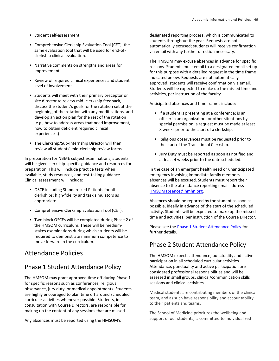- Student self-assessment.
- Comprehensive Clerkship Evaluation Tool (CET), the same evaluation tool that will be used for end-ofclerkship clinical evaluation.
- Narrative comments on strengths and areas for improvement.
- Review of required clinical experiences and student level of involvement.
- Students will meet with their primary preceptor or site director to review mid- clerkship feedback, discuss the student's goals for the rotation set at the beginning of the rotation with any modifications, and develop an action plan for the rest of the rotation (e.g., how to address areas that need improvement, how to obtain deficient required clinical experiences.)
- The Clerkship/Sub-Internship Director will then review all students' mid-clerkship review forms.

In preparation for NBME subject examinations, students will be given clerkship-specific guidance and resources for preparation. This will include practice tests when available, study resources, and test-taking guidance. Clinical assessment will include:

- OSCE including Standardized Patients for all clerkships; high-fidelity and task simulators as appropriate.
- Comprehensive Clerkship Evaluation Tool (CET).
- Two block OSCEs will be completed during Phase 2 of the HMSOM curriculum. These will be mediumstakes examinations during which students will be required to demonstrate minimum competence to move forward in the curriculum.

### Attendance Policies

### Phase 1 Student Attendance Policy

The HMSOM may grant approved time off during Phase 1 for specific reasons such as conferences, religious observance, jury duty, or medical appointments. Students are highly encouraged to plan time off around scheduled curricular activities whenever possible. Students, in consultation with Course Directors, are responsible for making up the content of any sessions that are missed.

Any absences must be reported using the HMSOM's

designated reporting process, which is communicated to students throughout the year. Requests are not automatically excused; students will receive confirmation via email with any further direction necessary.

The HMSOM may excuse absences in advance for specific reasons. Students must email to a designated email set up for this purpose with a detailed request in the time frame indicated below. Requests are not automatically approved; students will receive confirmation via email. Students will be expected to make up the missed time and activities, per instruction of the faculty.

Anticipated absences and time frames include:

- If a student is presenting at a conference; is an officer in an organization; or other situations by special permission, a request must be made at least 8 weeks prior to the start of a clerkship.
- Religious observances must be requested prior to the start of the Transitional Clerkship.
- Jury Duty must be reported as soon as notified and at least 4 weeks prior to the date scheduled.

In the case of an emergent health need or unanticipated emergency involving immediate family members, absences will be excused. Students must report their absence to the attendance reporting email address [HMSOMabsence@hmhn.org.](/Users/Becca/Downloads/HMSOMabsence@hmhn.org)

Absences should be reported by the student as soon as possible, ideally in advance of the start of the scheduled activity. Students will be expected to make up the missed time and activities, per instruction of the Course Director.

Please see th[e Phase 1 Student Attendance Policy](https://hmh-som.policystat.com/policy/9564115/latest/) for further details.

### Phase 2 Student Attendance Policy

The HMSOM expects attendance, punctuality and active participation in all scheduled curricular activities. Attendance, punctuality and active participation are considered professional responsibilities and will be assessed in small groups, clinical/communication skills sessions and clinical activities.

Medical students are contributing members of the clinical team, and as such have responsibility and accountability to their patients and teams.

The School of Medicine prioritizes the wellbeing and support of our students, is committed to individualized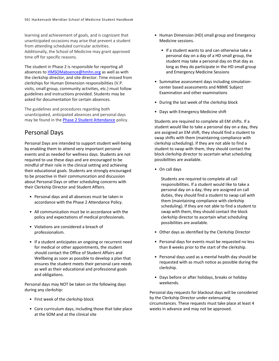learning and achievement of goals, and is cognizant that unanticipated occasions may arise that prevent a student from attending scheduled curricular activities. Additionally, the School of Medicine may grant approved time off for specific reasons.

The student in Phase 2 is responsible for reporting all absences t[o HMSOMabsence@hmhn.org](/Users/Becca/Downloads/HMSOMabsence@hmhn.org%20) as well as with the clerkship director, and site director. Time missed from clerkships for Human Dimension responsibilities (V.P. visits, small group, community activities, etc.) must follow guidelines and instructions provided. Students may be asked for documentation for certain absences.

The guidelines and procedures regarding both unanticipated, anticipated absences and personal days may be found in the [Phase 2 Student Attendance](https://hmh-som.policystat.com/policy/9363951/latest/) policy.

### Personal Days

Personal Days are intended to support student well-being by enabling them to attend very important personal events and as needed for wellness days. Students are not required to use these days and are encouraged to be mindful of their role in the clinical setting and achieving their educational goals. Students are strongly encouraged to be proactive in their communication and discussion about Personal Days or other scheduling concerns with their Clerkship Director and Student Affairs.

- Personal days and all absences must be taken in accordance with the Phase 2 Attendance Policy.
- All communication must be in accordance with the policy and expectations of medical professionals.
- Violations are considered a breach of professionalism.
- If a student anticipates an ongoing or recurrent need for medical or other appointments, the student should contact the Office of Student Affairs and Wellbeing as soon as possible to develop a plan that ensures the student meets their personal care needs as well as their educational and professional goals and obligations.

Personal days may NOT be taken on the following days during any clerkship:

- First week of the clerkship block
- Core curriculum days, including those that take place at the SOM and at the clinical site
- Human Dimension (HD) small group and Emergency Medicine sessions.
	- If a student wants to and can otherwise take a personal day on a day of a HD small group, the student may take a personal day on that day as long as they do participate in the HD small group and Emergency Medicine Sessions
- Summative assessment days including simulationcenter based assessments and NBME Subject Examination and other examinations
- During the last week of the clerkship block
- Days with Emergency Medicine shift

Students are required to complete all EM shifts. If a student would like to take a personal day on a day, they are assigned an EM shift, they should find a student to swap shifts with them (maintaining compliance with clerkship scheduling). If they are not able to find a student to swap with them, they should contact the block clerkship director to ascertain what scheduling possibilities are available.

• On call days

Students are required to complete all call responsibilities. If a student would like to take a personal day on a day, they are assigned on call duties, they should find a student to swap call with them (maintaining compliance with clerkship scheduling). If they are not able to find a student to swap with them, they should contact the block clerkship director to ascertain what scheduling possibilities are available.

- Other days as identified by the Clerkship Director
- Personal days for events must be requested no less than 8 weeks prior to the start of the clerkship.
- Personal days used as a mental health day should be requested with as much notice as possible during the clerkship.
- Days before or after holidays, breaks or holiday weekends.

Personal day requests for blackout days will be considered by the Clerkship Director under extenuating circumstances. These requests must take place at least 4 weeks in advance and may not be approved.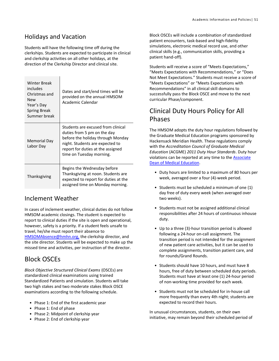### Holidays and Vacation

Students will have the following time off during the clerkships. Students are expected to participate in clinical and clerkship activities on all other holidays, at the direction of the Clerkship Director and clinical site.

| Winter Break<br>includes<br>Christmas and<br>New<br>Year's Day<br>Spring Break<br>Summer break | Dates and start/end times will be<br>provided on the annual HMSOM<br>Academic Calendar                                                                                                                     |
|------------------------------------------------------------------------------------------------|------------------------------------------------------------------------------------------------------------------------------------------------------------------------------------------------------------|
| Memorial Day<br>Labor Day                                                                      | Students are excused from clinical<br>duties from 5 pm on the day<br>before the holiday through Monday<br>night. Students are expected to<br>report for duties at the assigned<br>time on Tuesday morning. |
| Thanksgiving                                                                                   | Begins the Wednesday before<br>Thanksgiving at noon. Students are<br>expected to report for duties at the<br>assigned time on Monday morning.                                                              |

### Inclement Weather

In cases of inclement weather, clinical duties do not follow HMSOM academic closings. The student is expected to report to clinical duties if the site is open and operational, however, safety is a priority. If a student feels unsafe to travel, he/she must report their absence to [HMSOMAbsence@hmhn.org,](/Users/Becca/Downloads/HMSOMAbsence@hmhn.org,%20) the clerkship director, and the site director. Students will be expected to make up the missed time and activities, per instruction of the director.

# Block OSCEs

*Block Objective Structured Clinical Exams* (OSCEs) are standardized clinical examinations using trained Standardized Patients and simulation. Students will take two high stakes and two moderate stakes Block OSCE examinations according to the following schedule.

- Phase 1: End of the first academic year
- Phase 1: End of phase
- Phase 2: Midpoint of clerkship year
- Phase 2: End of clerkship year

Block OSCEs will include a combination of standardized patient encounters, task-based and high-fidelity simulations, electronic medical record use, and other clinical skills (e.g., communication skills, providing a patient hand-off).

Students will receive a score of "Meets Expectations," "Meets Expectations with Recommendations," or "Does Not Meet Expectations." Students must receive a score of "Meets Expectations" or "Meets Expectations with Recommendations" in all clinical skill domains to successfully pass the Block OSCE and move to the next curricular Phase/component.

# Clinical Duty Hours Policy for All Phases

The HMSOM adopts the duty hour regulations followed by the Graduate Medical Education programs sponsored by Hackensack Meridian Health. These regulations comply with the *Accreditation Council of Graduate Medical Education* (ACGME) *2011 Duty Hour Standards*. Duty hour violations can be reported at any time to the **Associate** [Dean of Medical Education.](mailto:miriam.hoffman@hmhn.org?subject=Duty%20Hours)

- Duty hours are limited to a maximum of 80 hours per week, averaged over a four (4)-week period.
- Students must be scheduled a minimum of one (1) day free of duty every week (when averaged over two weeks).
- Students must not be assigned additional clinical responsibilities after 24 hours of continuous inhouse duty.
- Up to a three (3)-hour transition period is allowed following a 24-hour on-call assignment. The transition period is not intended for the assignment of new patient care activities, but it can be used to complete assignments, transition patient care, and for rounds/Grand Rounds.
- Students should have 10 hours, and must have 8 hours, free of duty between scheduled duty periods. Students must have at least one (1) 24-hour period of non-working time provided for each week.
- Students must not be scheduled for in-house call more frequently than every 4th night; students are expected to record their hours.

In unusual circumstances, students, on their own initiative, may remain beyond their scheduled period of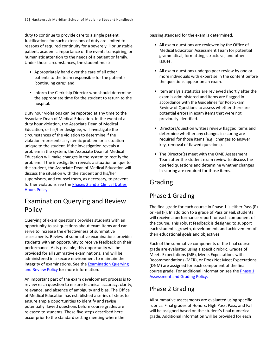duty to continue to provide care to a single patient. Justifications for such extensions of duty are limited to reasons of required continuity for a severely ill or unstable patient, academic importance of the events transpiring, or humanistic attention to the needs of a patient or family. Under those circumstances, the student must:

- Appropriately hand over the care of all other patients to the team responsible for the patient's 'continuing care;' and
- Inform the Clerkship Director who should determine the appropriate time for the student to return to the hospital.

Duty hour violations can be reported at any time to the Associate Dean of Medical Education. In the event of a duty hour violation, the Associate Dean of Medical Education, or his/her designee, will investigate the circumstances of the violation to determine if the violation represents a systemic problem or a situation unique to the student. If the investigation reveals a problem in the system, the Associate Dean of Medical Education will make changes in the system to rectify the problem. If the investigation reveals a situation unique to the student, the Associate Dean of Medical Education will discuss the situation with the student and his/her supervisors, and counsel them, as necessary, to prevent further violations see the [Phases 2 and 3 Clinical Duties](https://hmh-som.policystat.com/policy/9301978/latest/)  [Hours Policy.](https://hmh-som.policystat.com/policy/9301978/latest/)

# Examination Querying and Review Policy

Querying of exam questions provides students with an opportunity to ask questions about exam items and can serve to increase the effectiveness of summative assessments. Review of summative examinations provides students with an opportunity to receive feedback on their performance. As is possible, this opportunity will be provided for all summative examinations, and will be administered in a secure environment to maintain the integrity of examinations. See the [Examination Querying](https://hmh-som.policystat.com/policy/9135636/latest/)  [and Review Policy](https://hmh-som.policystat.com/policy/9135636/latest/) for more information.

An important part of the exam development process is to review each question to ensure technical accuracy, clarity, relevance, and absence of ambiguity and bias. The Office of Medical Education has established a series of steps to ensure ample opportunities to identify and revise potentially flawed questions before course grades are released to students. These five steps described here occur prior to the standard setting meeting where the

passing standard for the exam is determined.

- All exam questions are reviewed by the Office of Medical Education Assessment Team for potential grammatical, formatting, structural, and other issues.
- All exam questions undergo peer review by one or more individuals with expertise in the content before the questions appear on an exam.
- Item analysis statistics are reviewed shortly after the exam is administered and items are flagged in accordance with the Guidelines for Post-Exam Review of Questions to assess whether there are potential errors in exam items that were not previously identified.
- Directors/question writers review flagged items and determine whether any changes in scoring are required for those items (e.g., changes to answer key, removal of flawed questions).
- The Director(s) meet with the OME Assessment Team after the student exam review to discuss the queried questions and determine whether changes in scoring are required for those items.

### Grading

### Phase 1 Grading

The final grade for each course in Phase 1 is either Pass (P) or Fail (F). In addition to a grade of Pass or Fail, students will receive a performance report for each component of the course. This robust feedback is designed to support each student's growth, development, and achievement of their educational goals and objectives.

Each of the summative components of the final course grade are evaluated using a specific rubric. Grades of Meets Expectations (ME), Meets Expectations with Recommendations (MER), or Does Not Meet Expectations (DNM) are assigned for each component of the final course grade. For additional information see the [Phase 1](https://hmh-som.policystat.com/policy/9135959/latest/)  [Assessment and Grading Policy.](https://hmh-som.policystat.com/policy/9135959/latest/)

### Phase 2 Grading

All summative assessments are evaluated using specific rubrics. Final grades of Honors, High Pass, Pass, and Fail will be assigned based on the student's final numerical grade. Additional information will be provided for each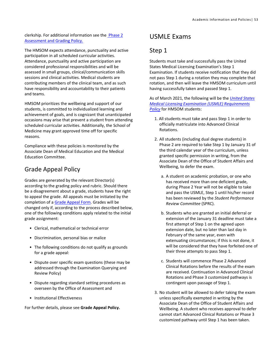clerkship. For additional information see the [Phase 2](https://hmh-som.policystat.com/policy/9201356/latest/)  [Assessment and Grading Policy.](https://hmh-som.policystat.com/policy/9201356/latest/)

The HMSOM expects attendance, punctuality and active participation in all scheduled curricular activities. Attendance, punctuality and active participation are considered professional responsibilities and will be assessed in small groups, clinical/communication skills sessions and clinical activities. Medical students are contributing members of the clinical team, and as such have responsibility and accountability to their patients and teams.

HMSOM prioritizes the wellbeing and support of our students, is committed to individualized learning and achievement of goals, and is cognizant that unanticipated occasions may arise that prevent a student from attending scheduled curricular activities. Additionally, the School of Medicine may grant approved time off for specific reasons.

Compliance with these policies is monitored by the Associate Dean of Medical Education and the Medical Education Committee.

### Grade Appeal Policy

Grades are generated by the relevant Director(s) according to the grading policy and rubric. Should there be a disagreement about a grade, students have the right to appeal the grade. All appeals must be initiated by the completion of a [Grade Appeal Form.](https://redcap.link/gradeappeal) Grades will be changed only if, according to the process described below, one of the following conditions apply related to the initial grade assignment:

- Clerical, mathematical or technical error
- Discrimination, personal bias or malice
- The following conditions do not qualify as grounds for a grade appeal:
- Dispute over specific exam questions (these may be addressed through the Examination Querying and Review Policy)
- Dispute regarding standard setting procedures as overseen by the Office of Assessment and
- Institutional Effectiveness

For further details, please see **Grade Appeal Policy.**

### USMLE Exams

### Step 1

Students must take and successfully pass the United States Medical Licensing Examination's Step 1 Examination. If students receive notification that they did not pass Step 1 during a rotation they may complete that rotation, and then will leave the HMSOM curriculum until having successfully taken and passed Step 1.

As of March 2021, the following will be the *[United States](https://hmh-som.policystat.com/policy/9133759/latest/)  [Medical Licensing Examination \(USMLE\) Requirements](https://hmh-som.policystat.com/policy/9133759/latest/)  [Policy](https://hmh-som.policystat.com/policy/9133759/latest/)* for HMSOM students:

- 1. All students must take and pass Step 1 in order to officially matriculate into Advanced Clinical Rotations.
- 2. All students (including dual degree students) in Phase 2 are required to take Step 1 by January 31 of the third calendar year of the curriculum, unless granted specific permission in writing, from the Associate Dean of the Office of Student Affairs and Wellbeing, to defer the exam.
	- a. A student on academic probation, or one who has received more than one deficient grade, during Phase 2 Year will not be eligible to take and pass the USMLE, Step 1 until his/her record has been reviewed by the *Student Performance Review Committee* (SPRC).
	- b. Students who are granted an initial deferral or extension of the January 31 deadline must take a first attempt of Step 1 on the agreed upon extension date, but no later than last day in February of the same year, even with extenuating circumstances; if this is not done, it will be considered that they have forfeited one of their three attempts to pass Step 1.
	- c. Students will commence Phase 2 Advanced Clinical Rotations before the results of the exam are received. Continuation in Advanced Clinical Rotations and Phase 3 customized pathways is contingent upon passage of Step 1.
- 3. No student will be allowed to defer taking the exam unless specifically exempted in writing by the Associate Dean of the Office of Student Affairs and Wellbeing. A student who receives approval to defer cannot start Advanced Clinical Rotations or Phase 3 customized pathway until Step 1 has been taken.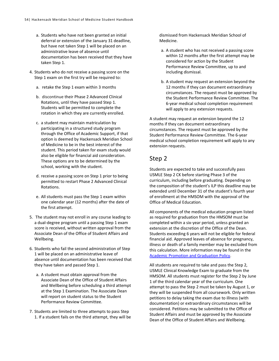- a. Students who have not been granted an initial deferral or extension of the January 31 deadline, but have not taken Step 1 will be placed on an administrative leave of absence until documentation has been received that they have taken Step 1.
- 4. Students who do not receive a passing score on the Step 1 exam on the first try will be required to:
	- a. retake the Step 1 exam within 3 months
	- b. discontinue their Phase 2 Advanced Clinical Rotations, until they have passed Step 1. Students will be permitted to complete the rotation in which they are currently enrolled.
	- c. a student may maintain matriculation by participating in a structured study program through the Office of Academic Support, if that option is deemed by Hackensack Meridian School of Medicine to be in the best interest of the student. This period taken for exam study would also be eligible for financial aid consideration. These options are to be determined by the school, working with the student.
	- d. receive a passing score on Step 1 prior to being permitted to restart Phase 2 Advanced Clinical Rotations.
	- e. All students must pass the Step 1 exam within one calendar year (12 months) after the date of the first attempt.
- 5. The student may not enroll in any course leading to a dual-degree program until a passing Step 1 exam score is received, without written approval from the Associate Dean of the Office of Student Affairs and Wellbeing.
- 6. Students who fail the second administration of Step 1 will be placed on an administrative leave of absence until documentation has been received that they have taken and passed Step 1.
	- a. A student must obtain approval from the Associate Dean of the Office of Student Affairs and Wellbeing before scheduling a third attempt at the Step 1 Examination. The Associate Dean will report on student status to the Student Performance Review Committee.
- 7. Students are limited to three attempts to pass Step 1. If a student fails on the third attempt, they will be

dismissed from Hackensack Meridian School of Medicine.

- a. A student who has not received a passing score within 12 months after the first attempt may be considered for action by the Student Performance Review Committee, up to and including dismissal.
- b. A student may request an extension beyond the 12 months if they can document extraordinary circumstances. The request must be approved by the Student Performance Review Committee. The 6-year medical school completion requirement will apply to any extension requests.

A student may request an extension beyond the 12 months if they can document extraordinary circumstances. The request must be approved by the Student Performance Review Committee. The 6-year medical school completion requirement will apply to any extension requests.

### Step 2

Students are expected to take and successfully pass USMLE Step 2 CK before starting Phase 3 of the curriculum, including before graduating. Depending on the composition of the student's ILP this deadline may be extended until December 31 of the student's fourth year of enrollment at the HMSOM with the approval of the Office of Medical Education.

All components of the medical education program listed as required for graduation from the HMSOM must be completed within a six-year period, unless granted an extension at the discretion of the Office of the Dean. Students exceeding 6 years will not be eligible for federal financial aid. Approved leaves of absence for pregnancy, illness or death of a family member may be excluded from this calculation. More information may be found in the [Academic Promotion and Graduation Policy.](https://hmh-som.policystat.com/policy/9133759/latest/)

All students are required to take and pass the Step 2, USMLE Clinical Knowledge Exam to graduate from the HMSOM. All students must register for the Step 2 by June 1 of the third calendar year of the curriculum. One attempt to pass the Step 2 must be taken by August 1, or they will be suspended from all coursework. Only written petitions to delay taking the exam due to illness (with documentation) or extraordinary circumstances will be considered. Petitions may be submitted to the Office of Student Affairs and must be approved by the Associate Dean of the Office of Student Affairs and Wellbeing.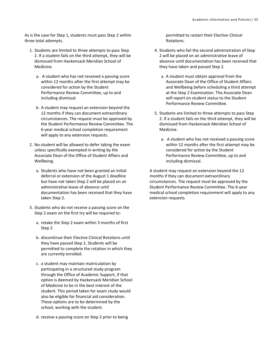As is the case for Step 1, students must pass Step 2 within three total attempts.

- 1. Students are limited to three attempts to pass Step 2. If a student fails on the third attempt, they will be dismissed from Hackensack Meridian School of Medicine.
	- a. A student who has not received a passing score within 12 months after the first attempt may be considered for action by the Student Performance Review Committee, up to and including dismissal.
	- b. A student may request an extension beyond the 12 months if they can document extraordinary circumstances. The request must be approved by the Student Performance Review Committee. The 6-year medical school completion requirement will apply to any extension requests.
- 2. No student will be allowed to defer taking the exam unless specifically exempted in writing by the Associate Dean of the Office of Student Affairs and Wellbeing.
	- a. Students who have not been granted an initial deferral or extension of the August 1 deadline but have not taken Step 2 will be placed on an administrative leave of absence until documentation has been received that they have taken Step 2.
- 3. Students who do not receive a passing score on the Step 2 exam on the first try will be required to:
	- a. retake the Step 2 exam within 3 months of first Step 2
	- b. discontinue their Elective Clinical Rotations until they have passed Step 2. Students will be permitted to complete the rotation in which they are currently enrolled.
	- c. a student may maintain matriculation by participating in a structured study program through the Office of Academic Support, if that option is deemed by Hackensack Meridian School of Medicine to be in the best interest of the student. This period taken for exam study would also be eligible for financial aid consideration. These options are to be determined by the school, working with the student.
	- d. receive a passing score on Step 2 prior to being

permitted to restart their Elective Clinical Rotations.

- 4. Students who fail the second administration of Step 2 will be placed on an administrative leave of absence until documentation has been received that they have taken and passed Step 2.
	- a. A student must obtain approval from the Associate Dean of the Office of Student Affairs and Wellbeing before scheduling a third attempt at the Step 2 Examination. The Associate Dean will report on student status to the Student Performance Review Committee.
- 5. Students are limited to three attempts to pass Step 2. If a student fails on the third attempt, they will be dismissed from Hackensack Meridian School of Medicine.
	- a. A student who has not received a passing score within 12 months after the first attempt may be considered for action by the Student Performance Review Committee, up to and including dismissal.

A student may request an extension beyond the 12 months if they can document extraordinary circumstances. The request must be approved by the Student Performance Review Committee. The 6-year medical school completion requirement will apply to any extension requests.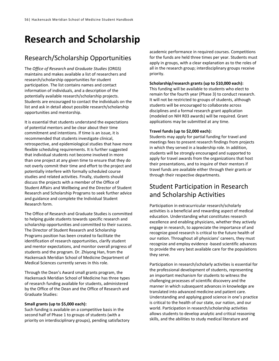# **Research and Scholarship**

# Research/Scholarship Opportunities

The *Office of Research and Graduate Studies* (ORGS) maintains and makes available a list of researchers and research/scholarship opportunities for student participation. The list contains names and contact information of individuals, and a description of the potentially available research/scholarship projects. Students are encouraged to contact the individuals on the list and ask in detail about possible research/scholarship opportunities and mentorship.

It is essential that students understand the expectations of potential mentors and be clear about their time commitment and intentions. If time is an issue, it is recommended that students investigate clinical, retrospective, and epidemiological studies that have more flexible scheduling requirements. It is further suggested that individual students not become involved in more than one project at any given time to ensure that they do not overly commit their time and effort to the project and potentially interfere with formally scheduled course studies and related activities. Finally, students should discuss the projects with a member of the Office of Student Affairs and Wellbeing and the Director of Student Research and Scholarship Programs to seek further advice and guidance and complete the Individual Student Research form.

The Office of Research and Graduate Studies is committed to helping guide students towards specific research and scholarship opportunities and committed to their success. The Director of Student Research and Scholarship Programs position has been created to facilitate the identification of research opportunities, clarify student and mentor expectations, and monitor overall progress of students and the program. Dr. Zhiyong Han, from the Hackensack Meridian School of Medicine Department of Medical Sciences currently serves in this role.

Through the Dean's Award small grants program, the Hackensack Meridian School of Medicine has three types of research funding available for students, administered by the Office of the Dean and the Office of Research and Graduate Studies:

#### **Small grants (up to \$5,000 each):**

Such funding is available on a competitive basis in the second half of Phase 1 to groups of students (with a priority on interdisciplinary groups), pending satisfactory academic performance in required courses. Competitions for the funds are held three times per year. Students must apply in groups, with a clear explanation as to the roles of all in the research group; interdisciplinary groups receive priority.

#### **Scholarship/research grants (up to \$10,000 each):**

This funding will be available to students who elect to remain for the fourth year (Phase 3) to conduct research. It will not be restricted to groups of students, although students will be encouraged to collaborate across disciplines and a formal research grant application (modeled on NIH R03 awards) will be required. Grant applications may be submitted at any time.

#### **Travel funds (up to \$2,000 each):**

Students may apply for partial funding for travel and meetings fees to present research findings from projects in which they served in a leadership role. In addition, students will be strongly encouraged and supported to apply for travel awards from the organizations that host their presentations, and to inquire of their mentors if travel funds are available either through their grants or through their respective departments.

### Student Participation in Research and Scholarship Activities

Participation in extracurricular research/scholarly activities is a beneficial and rewarding aspect of medical education. Understanding what constitutes research excellence and enabling physicians, whether they actively engage in research, to appreciate the importance of and recognize good research is critical to the future health of our nation. Throughout all physicians' careers, they must recognize and employ evidence -based scientific advances to provide the very best available care for the populations they serve.

Participation in research/scholarly activities is essential for the professional development of students, representing an important mechanism for students to witness the challenging processes of scientific discovery and the manner in which subsequent advances in knowledge are translated into advanced medicine and patient care. Understanding and applying good science in one's practice is critical to the health of our state, our nation, and our world. Participation in research/scholarship activities allows students to develop analytic and critical reasoning skills, and the abilities to study medical literature and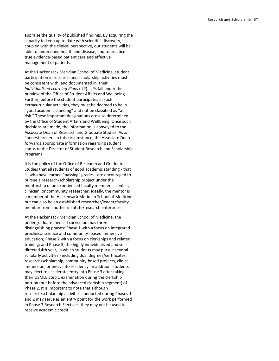appraise the quality of published findings. By acquiring the capacity to keep up to date with scientific discovery, coupled with the clinical perspective, our students will be able to understand health and disease, and to practice true evidence -based patient care and effective management of patients.

At the Hackensack Meridian School of Medicine, student participation in research and scholarship activities must be consistent with, and documented in, their *Individualized Learning Plans* (ILP). ILPs fall under the purview of the Office of Student Affairs and Wellbeing. Further, before the student participates in such extracurricular activities, they must be deemed to be in "good academic standing" and not be classified as "at risk." These important designations are also determined by the Office of Student Affairs and Wellbeing. Once such decisions are made, the information is conveyed to the Associate Dean of Research and Graduate Studies. As an "honest broker" in this circumstance, the Associate Dean forwards appropriate information regarding student status to the Director of Student Research and Scholarship Programs.

It is the policy of the Office of Research and Graduate Studies that all students of good academic standing - that is, who have earned "passing" grades - are encouraged to pursue a research/scholarship project under the mentorship of an experienced faculty member, scientist, clinician, or community researcher. Ideally, the mentor is a member of the Hackensack Meridian School of Medicine but can also be an established researcher/leader/faculty member from another institute/research enterprise.

At the Hackensack Meridian School of Medicine, the undergraduate medical curriculum has three distinguishing phases: Phase 1 with a focus on integrated preclinical science and community -based immersive education; Phase 2 with a focus on clerkships and related training; and Phase 3, the highly individualized and self directed 4th year, in which students may pursue several scholarly activities - including dual degrees/certificates, research/scholarship, community -based projects, clinical immersion, or entry into residency. In addition, students may elect to accelerate entry into Phase 3 after taking their USMLE Step 1 examination during the clerkship portion (but before the advanced clerkship segment) of Phase 2. It is important to note that although research/scholarship activities conducted during Phases 1 and 2 may serve as an entry point for the work performed in Phase 3 Research Electives, they may not be used to receive academic credit.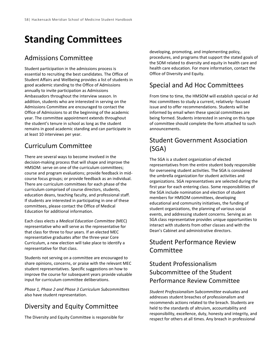# **Standing Committees**

# Admissions Committee

Student participation in the admissions process is essential to recruiting the best candidates. The Office of Student Affairs and Wellbeing provides a list of students in good academic standing to the Office of Admissions annually to invite participation as Admissions Ambassadors throughout the interview season. In addition, students who are interested in serving on the Admissions Committee are encouraged to contact the Office of Admissions to at the beginning of the academic year. The committee appointment extends throughout the student's tenure in school as long as the student remains in good academic standing and can participate in at least 10 interviews per year.

# Curriculum Committee

There are several ways to become involved in the decision-making process that will shape and improve the HMSOM: serve on one of the curriculum committees; course and program evaluations; provide feedback in midcourse focus groups; or provide feedback as an individual. There are curriculum committees for each phase of the curriculum comprised of course directors, students, education deans, teaching faculty, and professional staff. If students are interested in participating in one of these committees, please contact the Office of Medical Education for additional information.

Each class elects a *Medical Education Committee* (MEC) representative who will serve as the representative for that class for three to four years. If an elected MEC representative graduates after the three-year Core Curriculum, a new election will take place to identify a representative for that class.

Students not serving on a committee are encouraged to share opinions, concerns, or praise with the relevant MEC student representatives. Specific suggestions on how to improve the course for subsequent years provide valuable input for curriculum committee deliberations.

*Phase 1, Phase 2 and Phase 3 Curriculum Subcommittees*  also have student representation.

# Diversity and Equity Committee

The Diversity and Equity Committee is responsible for

developing, promoting, and implementing policy, procedures, and programs that support the stated goals of the SOM related to diversity and equity in health care and health care education. For more information, contact the Office of Diversity and Equity.

# Special and Ad Hoc Committees

From time to time, the HMSOM will establish special or Ad Hoc committees to study a current, relatively- focused issue and to offer recommendations. Students will be informed by email when these special committees are being formed. Students interested in serving on this type of committee should complete the form attached to such announcements.

# Student Government Association (SGA)

The SGA is a student organization of elected representatives from the entire student body responsible for overseeing student activities. The SGA is considered the umbrella organization for student activities and organizations. SGA representatives are selected during the first year for each entering class. Some responsibilities of the SGA include nomination and election of student members for HMSOM committees, developing educational and community initiatives, the funding of student organizations, the planning of various social events, and addressing student concerns. Serving as an SGA class representative provides unique opportunities to interact with students from other classes and with the Dean's Cabinet and administrative directors.

# Student Performance Review Committee

# Student Professionalism Subcommittee of the Student Performance Review Committee

*Student Professionalism Subcommittee* evaluates and addresses student breaches of professionalism and recommends actions related to the breach. Students are held to the standards of altruism, accountability and responsibility, excellence, duty, honesty and integrity, and respect for others at all times. Any breach in professional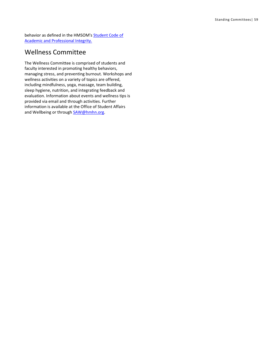behavior as defined in the HMSOM's Student Code of [Academic and Professional Integrity.](https://hmh-som.policystat.com/policy/10277029/latest/)

# Wellness Committee

The Wellness Committee is comprised of students and faculty interested in promoting healthy behaviors, managing stress, and preventing burnout. Workshops and wellness activities on a variety of topics are offered, including mindfulness, yoga, massage, team building, sleep hygiene, nutrition, and integrating feedback and evaluation. Information about events and wellness tips is provided via email and through activities. Further information is available at the Office of Student Affairs and Wellbeing or through **SAW@hmhn.org**.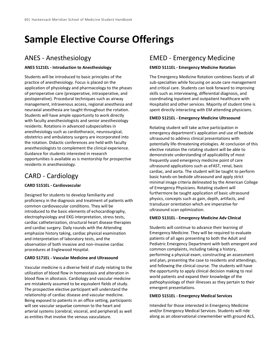# **Sample Elective Course Offerings**

### ANES - Anesthesiology

### **ANES 5121EL - Introduction to Anesthesiology**

Students will be introduced to basic principles of the practice of anesthesiology. Focus is placed on the application of physiology and pharmacology to the phases of perioperative care (preoperative, intraoperative, and postoperative). Procedural techniques such as airway management, intravenous access, regional anesthesia and neuraxial anesthesia are taught throughout the rotation. Students will have ample opportunity to work directly with faculty anesthesiologists and senior anesthesiology residents. Rotations in advanced subspecialties in anesthesiology such as cardiothoracic, neurosurgical, obstetrics and ambulatory surgery are incorporated into the rotation. Didactic conferences are held with faculty anesthesiologists to complement the clinical experience. Guidance for students interested in research opportunities is available as is mentorship for prospective residents in anesthesiology.

# CARD - Cardiology

### **CARD 5151EL - Cardiovascular**

Designed for students to develop familiarity and proficiency in the diagnosis and treatment of patients with common cardiovascular conditions. They will be introduced to the basic elements of echocardiography, electrophysiology and EKG interpretation, stress tests, cardiac catheterization, structural heart disease therapies and cardiac surgery. Daily rounds with the Attending emphasize history taking, cardiac physical examination and interpretation of laboratory tests, and the observation of both invasive and non-invasive cardiac procedures at Englewood Hospital.

### **CARD 5171EL - Vascular Medicine and Ultrasound**

Vascular medicine is a diverse field of study relating to the utilization of blood flow in homeostasis and alteration in blood flow in allostasis. Cardiology and vascular medicine are mistakenly assumed to be equivalent fields of study. The prospective elective participant will understand the relationship of cardiac disease and vascular medicine. Being exposed to patients in an office setting, participants will see vascular sequelae common to the heart and arterial systems (cerebral, visceral, and peripheral) as well as entities that involve the venous vasculature.

### EMED - Emergency Medicine

### **EMED 5111EL - Emergency Medicine Rotation**

The Emergency Medicine Rotation combines facets of all sub-specialties while focusing on acute care management and critical care. Students can look forward to improving skills such as interviewing, differential diagnosis, and coordinating inpatient and outpatient healthcare with Hospitalist and other services. Majority of student time is spent directly interacting with EM attending physicians.

### **EMED 5121EL - Emergency Medicine Ultrasound**

Rotating student will take active participation in emergency department's application and use of bedside ultrasound to address clinical presentations with potentially life-threatening etiologies. At conclusion of this elective rotation the rotating student will be able to demonstrate understanding of applicability of most frequently used emergency medicine point of care ultrasound applications such as eFAST, renal, basic cardiac, and aorta. The student will be taught to perform basic hands-on bedside ultrasound and apply strict minimal image criteria delineated by the American College of Emergency Physicians. Rotating student will furthermore be taught application of basic ultrasound physics, concepts such as gain, depth, artifacts, and transducer orientation which are imperative for ultrasound scan optimization.

#### **EMED 5131EL - Emergency Medicine Adv Clinical**

Students will continue to advance their learning of Emergency Medicine. They will be required to evaluate patients of all ages presenting to both the Adult and Pediatric Emergency Department with both emergent and common complaints, including taking a history, performing a physical exam, constructing an assessment and plan, presenting the case to residents and attendings, and following the clinical course. The students will have the opportunity to apply clinical decision making to real world patients and expand their knowledge of the pathophysiology of their illnesses as they pertain to their emergent presentations.

#### **EMED 5151EL - Emergency Medical Services**

Intended for those interested in Emergency Medicine and/or Emergency Medical Services. Students will ride along as an observational crewmember with ground ALS,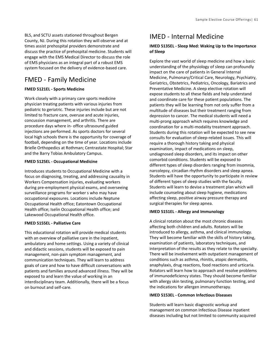BLS, and SCTU assets stationed throughout Bergen County, NJ. During this rotation they will observe and at times assist prehospital providers demonstrate and discuss the practice of prehospital medicine. Students will engage with the EMS Medical Director to discuss the role of EMS physicians as an integral part of a robust EMS system focused on the delivery of evidence-based care.

# FMED - Family Medicine

### **FMED 5121EL - Sports Medicine**

Work closely with a primary care sports medicine physician treating patients with various injuries from pediatric to geriatric. These injuries include but are not limited to fracture care, overuse and acute injuries, concussion management, and arthritis. There are procedure days where in- office ultrasound guided injections are performed. As sports doctors for several local high schools there is the opportunity for coverage of football, depending on the time of year. Locations include Brielle Orthopedics at Rothman; Centrastate Hospital; Star and the Barry Tobias Ambulatory Campus.

### **FMED 5125EL - Occupational Medicine**

Introduces students to Occupational Medicine with a focus on diagnosing, treating, and addressing causality in Workers Compensation injuries, evaluating workers during pre-employment physical exams, and overseeing surveillance programs for worker s who may have occupational exposures. Locations include Neptune Occupational Health office; Eatontown Occupational Health office; Iselin Occupational Health office; and Lakewood Occupational Health office.

### **FMED 5155EL - Palliative Care**

This educational rotation will provide medical students with an overview of palliative care in the inpatient, ambulatory and home settings. Using a variety of clinical and didactic sessions, students will be exposed to pain management, non-pain symptom management, and communication techniques. They will learn to address goals of care and how to have difficult conversations with patients and families around advanced illness. They will be exposed to and learn the value of working in an interdisciplinary team. Additionally, there will be a focus on burnout and self-care.

# IMED - Internal Medicine

### **IMED 5135EL - Sleep Med: Waking Up to the Importance of Sleep**

Explore the vast world of sleep medicine and how a basic understanding of the physiology of sleep can profoundly impact on the care of patients in General Internal Medicine, Pulmonary/Critical Care, Neurology, Psychiatry, Geriatrics, Obstetrics, Pediatrics, Oncology, Bariatrics and Preventative Medicine. A sleep elective rotation will expose students to all these fields and help understand and coordinate care for these patient populations. The patients they will be learning from not only suffer from a multitude of diseases but their treatment ranging from depression to cancer. The medical students will need a multi-prong approach which requires knowledge and coordination for a multi-modality treatment approach. Students during this rotation will be expected to see new consults for evaluation of sleep-related issues. This will require a thorough history taking and physical examination, impact of medications on sleep, undiagnosed sleep disorders, and its impact on other comorbid conditions. Students will be exposed to different types of sleep disorders ranging from insomnia, narcolepsy, circadian rhythm disorders and sleep apnea. Students will have the opportunity to participate in review of different types of sleep studies with the faculty. Students will learn to devise a treatment plan which will include counseling about sleep hygiene, medications affecting sleep, positive airway pressure therapy and surgical therapies for sleep apnea.

#### **IMED 5151EL - Allergy and Immunology**

A clinical rotation about the most chronic diseases affecting both children and adults. Rotators will be introduced to allergy, asthma, and clinical immunology. They will become familiar with the skills of history taking, examination of patients, laboratory techniques, and interpretation of the results as they relate to the specialty. There will be involvement with outpatient management of conditions such as asthma, rhinitis, atopic dermatitis, anaphylaxis, drug reactions, food reactions and urticaria. Rotators will learn how to approach and resolve problems of immunodeficiency states. They should become familiar with allergy skin testing, pulmonary function testing, and the indications for allergen immunotherapy.

#### **IMED 5153EL - Common Infectious Diseases**

Students will learn basic diagnostic workup and management on common Infectious Disease inpatient diseases including but not limited to community acquired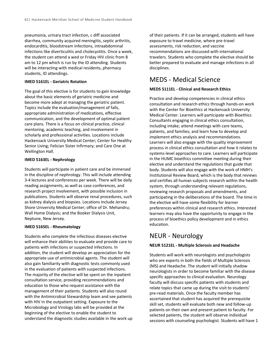pneumonia, urinary tract infection, c diff associated diarrhea, community acquired meningitis, septic arthritis, endocarditis, bloodstream infections, intraabdominal infections like diverticulitis and cholecystitis. Once a week, the student can attend a wed or Friday HIV clinic from 8 am to 12 pm which is run by the ID attending. Students will be interacting with medical residents, pharmacy students, ID attendings.

### **IMED 5161EL - Geriatric Rotation**

The goal of this elective is for students to gain knowledge about the basic elements of geriatric medicine and become more adept at managing the geriatric patient. Topics include the evaluation/management of falls, appropriate administration of medications, effective communication, and the development of optimal patient care plans. There is a focus on clinical practice, clinical mentoring, academic teaching, and involvement in scholarly and professional activities. Locations include Hackensack University Medical Center; Center for Healthy Senior Living; Felician Sister Infirmary; and Care One at Wellington Hall.

### **IMED 5163EL - Nephrology**

Students will participate in patient care and be immersed in the discipline of nephrology. This will include attending 3-4 lectures and conferences per week. There will be daily reading assignments, as well as case conferences, and research project involvement, with possible inclusion in publications. Students will observe renal procedures, such as kidney dialysis and biopsies. Locations include Jersey Shore University Medical Center; office of Dr. Mehandru; Wall Home Dialysis; and the Booker Dialysis Unit, Neptune, New Jersey.

### **IMED 5165EL - Rheumatology**

Students who complete the infectious diseases elective will enhance their abilities to evaluate and provide care to patients with infections or suspected infections. In addition, the student will develop an appreciation for the appropriate use of antimicrobial agents. The student will also gain familiarity with diagnostic tests commonly used in the evaluation of patients with suspected infections. The majority of the elective will be spent on the inpatient consultation service, providing recommendations and education to those who request assistance with the management of their patients. Students will also round with the Antimicrobial Stewardship team and see patients with HIV in the outpatient setting. Exposure to the Microbiology and Virology labs will be provided at the beginning of the elective to enable the student to understand the diagnostic studies available in the work up

of their patients. If it can be arranged, students will have exposure to travel medicine, where pre-travel assessments, risk reduction, and vaccine recommendations are discussed with international travelers. Students who complete the elective should be better prepared to evaluate and manage infections in all disciplines.

### MEDS - Medical Science

### **MEDS 5111EL - Clinical and Research Ethics**

Practice and develop competencies in clinical ethics consultation and research ethics through hands-on work with the Center for Bioethics at Hackensack University Medical Center. Learners will participate with Bioethics Consultants engaging in clinical ethics consultation, including intake; attend meetings with care teams, patients, and families; and learn how to develop and implement ethics analysis and recommendations. Learners will also engage with the quality improvement process in clinical ethics consultation and how it relates to systems-level approaches to care. Learners will participate in the HUMC bioethics committee meeting during their elective and understand the regulations that guide that body. Students will also engage with the work of HMH's Institutional Review Board, which is the body that reviews and certifies all human subjects research within the health system, through understanding relevant regulations, reviewing research proposals and amendments, and participating in the deliberations of the board. The time in the elective will have some flexibility for learner preferences within clinical and research ethics. Interested learners may also have the opportunity to engage in the process of bioethics policy development and in ethics education.

### NEUR - Neurology

### **NEUR 5121EL - Multiple Sclerosis and Headache**

Students will work with neurologists and psychologists who are experts in both the fields of Multiple Sclerosis (MS) and Headache. The student will initially shadow neurologists in order to become familiar with the disease specific approaches to clinical evaluation. Neurology faculty will discuss specific patients with students and relate topics that came up during the visit to students' pre-read materials. Once the faculty member has ascertained that student has acquired the prerequisite skill set, students will evaluate both new and follow-up patients on their own and present patient to faculty. For selected patients, the student will observe individual sessions with counseling psychologist. Students will have 1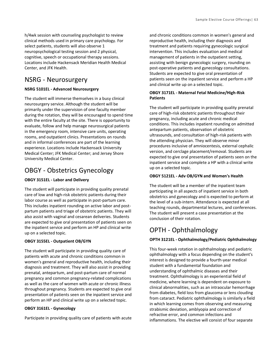h/4wk session with counseling psychologist to review clinical methods used in primary care psychology. For select patients, students will also observe 1 neuropsychological testing session and 2 physical, cognitive, speech or occupational therapy sessions. Locations include Hackensack Meridian Health Medical Center, and JFK Health.

### NSRG - Neurosurgery

### **NSRG 5101EL - Advanced Neurosurgery**

The student will immerse themselves in a busy clinical neurosurgery service. Although the student will be primarily under the supervision of one faculty member during the rotation, they will be encouraged to spend time with the entire faculty at the site. There is opportunity to evaluate, follow and help manage neurosurgical patients in the emergency room, intensive care units, operating rooms, and outpatient clinics. Presentations on rounds and in informal conferences are part of the learning experience. Locations include Hackensack University Medical Center; JFK Medical Center; and Jersey Shore University Medical Center.

### OBGY - Obstetrics Gynecology

#### **OBGY 3151EL - Labor and Delivery**

The student will participate in providing quality prenatal care of low and high-risk obstetric patients during their labor course as well as participate in post-partum care. This includes inpatient rounding on active labor and postpartum patients and triage of obstetric patients. They will also assist with vaginal and cesarean deliveries. Students are expected to give oral presentation of patients seen on the inpatient service and perform an HP and clinical write up on a selected topic.

#### **OBGY 3155EL - Outpatient OB/GYN**

The student will participate in providing quality care of patients with acute and chronic conditions common in women's general and reproductive health, including their diagnosis and treatment. They will also assist in providing prenatal, antepartum, and post-partum care of normal pregnancy and common pregnancy-related complications as well as the care of women with acute or chronic illness throughout pregnancy. Students are expected to give oral presentation of patients seen on the inpatient service and perform an HP and clinical write up on a selected topic.

#### **OBGY 3161EL - Gynecology**

Participate in providing quality care of patients with acute

and chronic conditions common in women's general and reproductive health, including their diagnosis and treatment and patients requiring gynecologic surgical intervention. This includes evaluation and medical management of patients in the outpatient setting, assisting with benign gynecologic surgery, rounding on post-operative patients and gynecology consultations. Students are expected to give oral presentation of patients seen on the inpatient service and perform a HP and clinical write up on a selected topic.

#### **OBGY 3171EL - Maternal Fetal Medicine/High-Risk Patients**

The student will participate in providing quality prenatal care of high-risk obstetric patients throughout their pregnancy, including acute and chronic medical conditions. This includes inpatient rounding on admitted antepartum patients, observation of obstetric ultrasounds, and consultation of high-risk patients with the attending physician. They will observe minor procedures inclusive of amniocentesis, external cephalic version, and cerclage placement/removal. Students are expected to give oral presentation of patients seen on the inpatient service and complete a HP with a clinical write up on a selected topic.

#### **OBGY 5121EL - Adv OB/GYN and Women's Health**

The student will be a member of the inpatient team participating in all aspects of inpatient service in both obstetrics and gynecology and is expected to perform at the level of a sub-intern. Attendance is expected at all teaching rounds, departmental lectures, and conferences. The student will present a case presentation at the conclusion of their rotation.

### OPTH - Ophthalmology

#### **OPTH 3121EL - Ophthalmology/Pediatric Ophthalmology**

This four-week rotation in ophthalmology and pediatric ophthalmology with a focus depending on the student's interest is designed to provide a fourth-year medical student with a fundamental foundation and understanding of ophthalmic diseases and their treatment. Ophthalmology is an experiential field of medicine, where learning is dependent on exposure to clinical abnormalities, such as an intraocular hemorrhage from diabetes, field loss from glaucoma or lens clouding from cataract. Pediatric ophthalmology is similarly a field in which learning comes from observing and measuring strabismic deviation, amblyopia and correction of refractive error, and common infections and inflammations. The elective will consist of four separate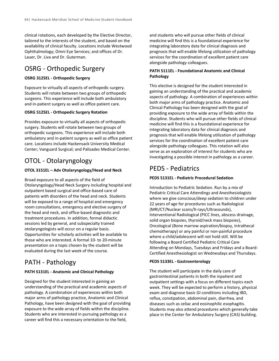clinical rotations, each developed by the Elective Director, tailored to the interests of the student, and based on the availability of clinical faculty. Locations include Westwood Ophthalmology; Omni Eye Services; and offices of Dr. Lauer, Dr. Liva and Dr. Guterman.

### OSRG - Orthopedic Surgery

### **OSRG 3125EL - Orthopedic Surgery**

Exposure to virtually all aspects of orthopedic surgery. Students will rotate between two groups of orthopedic surgeons. This experience will include both ambulatory and in-patient surgery as well as office patient care.

### **OSRG 5125EL - Orthopedic Surgery Rotation**

Provides exposure to virtually all aspects of orthopedic surgery. Students will rotate between two groups of orthopedic surgeons. This experience will include both ambulatory and in-patient surgery as well as office patient care. Locations include Hackensack University Medical Center; Vanguard Surgical; and Palisades Medical Center.

# OTOL - Otolaryngology

### **OTOL 3151EL – Adv Otolaryngology/Head and Neck**

Broad exposure to all aspects of the field of Otolaryngology/Head Neck Surgery including hospital and outpatient based surgical and office-based care of patients with disorders of the head and neck. Students will be exposed to a range of hospital and emergency room consultations, emergency and elective surgery of the head and neck, and office-based diagnostic and treatment procedures. In addition, formal didactic sessions led by general, and subspecialty trained otolaryngologists will occur on a regular basis. Opportunities for scholarly activities will be available to those who are interested. A formal 10- to 20-minute presentation on a topic chosen by the student will be evaluated during the last week of the course.

### PATH - Pathology

#### **PATH 5131EL - Anatomic and Clinical Pathology**

Designed for the student interested in gaining an understanding of the practical and academic aspects of pathology. A combination of experiences within both major arms of pathology practice, Anatomic and Clinical Pathology, have been designed with the goal of providing exposure to the wide array of fields within the discipline. Students who are interested in pursuing pathology as a career will find this a necessary orientation to the field,

and students who will pursue other fields of clinical medicine will find this is a foundational experience for integrating laboratory data for clinical diagnosis and prognosis that will enable lifelong utilization of pathology services for the coordination of excellent patient care alongside pathology colleagues.

### **PATH 5111EL - Foundational Anatomic and Clinical Pathology**

This elective is designed for the student interested in gaining an understanding of the practical and academic aspects of pathology. A combination of experiences within both major arms of pathology practice. Anatomic and Clinical Pathology has been designed with the goal of providing exposure to the wide array of fields within the discipline. Students who will pursue other fields of clinical medicine will find this is a foundational experience for integrating laboratory data for clinical diagnosis and prognosis that will enable lifelong utilization of pathology services for the coordination of excellent patient care alongside pathology colleagues. This rotation will also serve as an exploration of interest for students who are investigating a possible interest in pathology as a career.

### PEDS - Pediatrics

### **PEDS 5131EL - Pediatric Procedural Sedation**

Introduction to Pediatric Sedation. Run by a mix of Pediatric Critical Care Attendings and Anesthesiologists where we give conscious/deep sedation to children under 22 years of age for procedures such as Radiological (MRI/CT/Nuclear scans/X-rays/Ultrasounds), Interventional Radiological (PICC lines, abscess drainage, solid organ biopsies, thyroid/neck mass biopsies), Oncological (Bone marrow aspiration/biopsy, intrathecal chemotherapy) or any painful or non-painful procedure where a child/adolescent will not hold still. Will be following a Board Certified Pediatric Critical Care Attending on Mondays, Tuesdays and Fridays and a Board-Certified Anesthesiologist on Wednesdays and Thursdays.

#### **PEDS 5133EL - Gastroenterology**

The student will participate in the daily care of gastrointestinal patients in both the inpatient and outpatient settings with a focus on different topics each week. They will be expected to perform a history, physical exam and diagnose basic GI conditions including IBD, reflux, constipation, abdominal pain, diarrhea, and diseases such as celiac and eosinophilic esophagitis. Students may also attend procedures which generally take place in the Center for Ambulatory Surgery (CAS) building.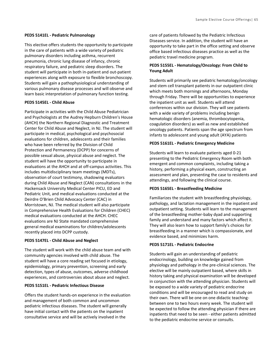#### **PEDS 5141EL - Pediatric Pulmonology**

This elective offers students the opportunity to participate in the care of patients with a wide variety of pediatric pulmonary disorders including asthma, recurrent pneumonia, chronic lung disease of infancy, chronic respiratory failure, and pediatric sleep disorders. The student will participate in both in-patient and out-patient experiences along with exposure to flexible bronchoscopy. Students will gain a pathophysiological understanding of various pulmonary disease processes and will observe and learn basic interpretation of pulmonary function testing.

#### **PEDS 5145EL - Child Abuse**

Participate in activities with the Child Abuse Pediatrician and Psychologists at the Audrey Hepburn Children's House (AHCH) the Northern Regional Diagnostic and Treatment Center for Child Abuse and Neglect, in NJ. The student will participate in medical, psychological and psychosocial evaluations for children, adolescents and their families who have been referred by the Division of Child Protection and Permanency (DCPP) for concerns of possible sexual abuse, physical abuse and neglect. The student will have the opportunity to participate in evaluations at the AHCH and at off-campus activities. This includes multidisciplinary team meetings (MDTs), observation of court testimony, shadowing evaluators during Child Abuse and Neglect (CAN) consultations in the Hackensack University Medical Center PICU, ED and Pediatric Unit, and medical evaluations conducted at the Deirdre O'Brien Child Advocacy Center (CAC) in Morristown, NJ. The medical student will also participate in Comprehensive Health Evaluations for Children (CHEC) medical evaluations conducted at the AHCH. CHEC evaluations are NJ State mandated comprehensive general medical examinations for children/adolescents recently placed into DCPP custody.

#### **PEDS 5147EL - Child Abuse and Neglect**

The student will work with the child abuse team and with community agencies involved with child abuse. The student will have a core reading set focused in etiology, epidemiology, primary prevention, screening and early detection, types of abuse, outcomes, adverse childhood experiences, and controversies about abuse and neglect.

#### **PEDS 5151EL - Pediatric Infectious Disease**

Offers the student hands-on experience in the evaluation and management of both common and uncommon pediatric infectious diseases. The student will generally have initial contact with the patients on the inpatient consultative service and will be actively involved in the

care of patients followed by the Pediatric Infectious Diseases service. In addition, the student will have an opportunity to take part in the office setting and observe office based infectious diseases practice as well as the pediatric travel medicine program.

### **PEDS 5155EL - Hematology/Oncology: From Child to Young Adult**

Students will primarily see pediatric hematology/oncology and stem cell transplant patients in our outpatient clinic which meets both mornings and afternoons, Monday through Friday. There will be opportunities to experience the inpatient unit as well. Students will attend conferences within our division. They will see patients with a wide variety of problems including benign hematologic disorders (anemia, thrombocytopenia, coagulation disorders) as well as new and established oncology patients. Patients span the age spectrum from infants to adolescent and young adult (AYA) patients

#### **PEDS 5161EL - Pediatric Emergency Medicine**

Students will learn to evaluate patients aged 0-21 presenting to the Pediatric Emergency Room with both emergent and common complaints, including taking a history, performing a physical exam, constructing an assessment and plan, presenting the case to residents and attendings, and following the clinical course.

#### **PEDS 5165EL - Breastfeeding Medicine**

Familiarizes the student with breastfeeding physiology, pathology, and lactation management in the inpatient and outpatient setting. Students will learn to the management of the breastfeeding mother-baby dyad and supporting family and understand and many factors which affect it. They will also learn how to support family's choices for breastfeeding in a manner which is compassionate, and evidence based, and minimizes harm.

#### **PEDS 5171EL - Pediatric Endocrine**

Students will gain an understanding of pediatric endocrinology, building on knowledge gained from physiology and pathology in the pre-clinical sciences. The elective will be mainly outpatient based, where skills in history taking and physical examination will be developed in conjunction with the attending physician. Students will be exposed to a wide variety of pediatric endocrine conditions and will be encouraged to read and study on their own. There will be one on one didactic teachingbetween one to two hours every week. The student will be expected to follow the attending physician if there are inpatients that need to be seen - either patients admitted to the pediatric endocrine service or consults.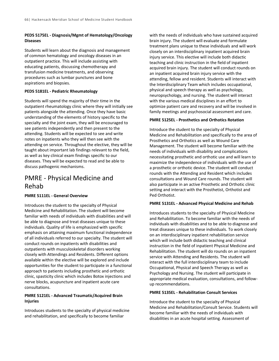### **PEDS 5175EL - Diagnosis/Mgmt of Hematology/Oncology Diseases**

Students will learn about the diagnosis and management of common hematology and oncology diseases in an outpatient practice. This will include assisting with educating patients, discussing chemotherapy and transfusion medicine treatments, and observing procedures such as lumbar punctures and bone aspirations and biopsies.

### **PEDS 5181EL - Pediatric Rheumatology**

Students will spend the majority of their time in the outpatient rheumatology clinic where they will initially see patients alongside the attending. Once they have basic understanding of the elements of history specific to the specialty and the joint exam, they will be encouraged to see patients independently and then present to the attending. Students will be expected to see and write notes on inpatients who they will then see with the attending on service. Throughout the elective, they will be taught about important lab findings relevant to the field, as well as key clinical exam findings specific to our diseases. They will be expected to read and be able to discuss pathogenic mechanisms.

## PMRE - Physical Medicine and Rehab

#### **PMRE 5111EL - General Overview**

Introduces the student to the specialty of Physical Medicine and Rehabilitation. The student will become familiar with needs of individuals with disabilities and will be able to diagnose and treat diseases unique to these individuals. Quality of life is emphasized with specific emphasis on attaining maximum functional independence of all individuals referred to our specialty. The student will conduct rounds on inpatients with disabilities and outpatients with musculoskeletal disorders working closely with Attendings and Residents. Different options available within the elective will be explored and include opportunities for the student to participate in a functional approach to patients including prosthetic and orthotic clinic, spasticity clinic which includes Botox injections and nerve blocks, acupuncture and inpatient acute care consultations.

### **PMRE 5121EL - Advanced Traumatic/Acquired Brain Injuries**

Introduces students to the specialty of physical medicine and rehabilitation, and specifically to become familiar

with the needs of individuals who have sustained acquired brain injury. The student will evaluate and formulate treatment plans unique to these individuals and will work closely on an interdisciplinary inpatient acquired brain injury service. This elective will include both didactic teaching and clinic instruction in the field of inpatient acquired brain injury. The student will conduct rounds on an inpatient acquired brain injury service with the attending, fellow and resident. Students will interact with the Interdisciplinary Team which includes occupational, physical and speech therapy as well as psychology, neuropsychology, and nursing. The student will interact with the various medical disciplines in an effort to optimize patient care and recovery and will be involved in family meetings and psychosocial assessment and care.

#### **PMRE 5125EL - Prosthetics and Orthotics Rotation**

Introduce the student to the specialty of Physical Medicine and Rehabilitation and specifically to the area of Prosthetics and Orthotics as well as Wound Care Management. The student will become familiar with the needs of individuals with disability and complications necessitating prosthetic and orthotic use and will learn to maximize the independence of individuals with the use of a prosthetic or orthotic device. The student will conduct rounds with the Attending and Resident which includes consultations and Wound Care rounds. The student will also participate in an active Prosthetic and Orthotic clinic setting and interact with the Prosthetist, Orthotist and Ped Orthotist.

#### **PMRE 5131EL - Advanced Physical Medicine and Rehab**

Introduces students to the specialty of Physical Medicine and Rehabilitation. To become familiar with the needs of individuals with disabilities and to be able to diagnose and treat diseases unique to these individuals. To work closely on an interdisciplinary inpatient rehabilitation service which will include both didactic teaching and clinical instruction in the field of inpatient Physical Medicine and Rehabilitation. The student will do rounds on an inpatient service with Attending and Residents. The student will interact with the full interdisciplinary team to include Occupational, Physical and Speech Therapy as well as Psychology and Nursing. The student will participate in appropriate medical evaluation, consultations, and followup recommendations.

#### **PMRE 5135EL - Rehabilitation Consult Services**

Introduce the student to the specialty of Physical Medicine and Rehabilitation/Consult Service. Students will become familiar with the needs of individuals with disabilities in an acute hospital setting. Assessment of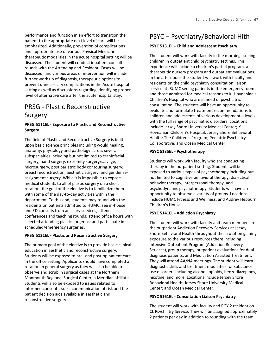performance and function in an effort to transition the patient to the appropriate next level of care will be emphasized. Additionally, prevention of complications and appropriate use of various Physical Medicine therapeutic modalities in the acute hospital setting will be discussed. The student will conduct inpatient consult rounds with the Attending and Resident. Cases will be discussed, and various areas of intervention will include further work up of diagnosis, therapeutic options to prevent unnecessary complications in the Acute hospital setting as well as discussions regarding identifying proper level of alternative care after the acute hospital stay.

# PRSG - Plastic Reconstructive Surgery

### **PRSG 5111EL - Exposure to Plastic and Reconstructive Surgery**

The field of Plastic and Reconstructive Surgery is built upon basic science principles including would healing, anatomy, physiology and pathology across several subspecialties including but not limited to craniofacial surgery, hand surgery, extremity surgery/salvage, microsurgery, post bariatric body contouring surgery; breast reconstruction; aesthetic surgery; and gender reassignment surgery. While it is impossible to expose medical students to all of plastic surgery on a short rotation, the goal of the elective is to familiarize them with some of the day-to-day activities within the department. To this end, students may round with the residents on patients admitted to HUMC; see in-house and ED consults from ancillary services; attend conferences and teaching rounds; attend office hours with selected attending plastic surgeons; and participate in scheduled/emergency surgeries.

### **PRSG 5121EL - Plastic and Reconstructive Surgery**

The primary goal of the elective is to provide basic clinical education in aesthetic and reconstructive surgery. Students will be exposed to pre- and post-op patient care in the office setting. Applicants should have completed a rotation in general surgery as they will also be able to observe and scrub in surgical cases at the Northern Monmouth Regional Surgical Center, a Meridian affiliate. Students will also be exposed to issues related to informed consent issues, communication of risk and the patient decision aids available in aesthetic and reconstructive surgery.

# PSYC – Psychiatry/Behavioral Hlth

### **PSYC 5131EL - Child and Adolescent Psychiatry**

The student will work with faculty in the mornings seeing children in outpatient child psychiatry settings. This experience will include a children's partial program, a therapeutic nursery program and outpatient evaluations. In the afternoons the student will work with faculty and residents on the child psychiatry consultation liaison service at JSUMC seeing patients in the emergency room and those admitted for medical reasons to K. Hovnanian's Children's Hospital who are in need of psychiatric consultation. The students will have an opportunity to evaluate and formulate treatment recommendations for children and adolescents of various developmental levels with the full range of psychiatric disorders. Locations include Jersey Shore University Medical Center; K. Hovnanian Children's Hospital; Jersey Shore Behavioral Health; The Children's Program; Pediatric Psychiatry Collaborative; and Ocean Medical Center

### **PSYC 5135EL - Psychotherapy**

Students will work with faculty who are conducting therapy in the outpatient setting. Students will be exposed to various types of psychotherapy including but not limited to cognitive behavioral therapy, dialectical behavior therapy, interpersonal therapy, and psychodynamic psychotherapy. Students will have an opportunity to observe a variety of groups. Locations include HUMC Fitness and Wellness, and Audrey Hepburn Children's House.

### **PSYC 5141EL - Addiction Psychiatry**

The student will work with faculty and team members in the outpatient Addiction Recovery Services at Jersey Shore Behavioral Health throughout their rotation gaining exposure to the various resources there including Intensive Outpatient Program (Addiction Recovery Services), group therapy, outpatient evaluations for dualdiagnosis patients, and Medication Assisted Treatment. They will attend AA/NA meetings. The student will learn diagnostic skills and treatment modalities for substance use disorders including alcohol, opioids, benzodiazepines, nicotine, and more. Locations include Jersey Shore Behavioral Health; Jersey Shore University Medical Center; and Ocean Medical Center.

### **PSYC 5161EL - Consultation Liaison Psychiatry**

The student will work with faculty and PGY 2 resident on CL Psychiatry Service. They will be assigned approximately 2 patients per day in addition to rounding with the team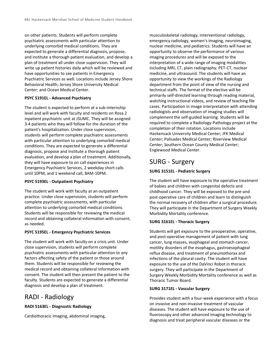on other patients. Students will perform complete psychiatric assessments with particular attention to underlying comorbid medical conditions. They are expected to generate a differential diagnosis, propose, and institute a thorough patient evaluation, and develop a plan of treatment all under close supervision. They will write up patient histories daily which will be reviewed and have opportunities to see patients in Emergency Psychiatric Services as well. Locations include Jersey Shore Behavioral Health; Jersey Shore University Medical Center; and Ocean Medical Center.

### **PSYC 5191EL - Advanced Psychiatry**

The student is expected to perform at a sub-internship level and will work with faculty and residents on Rosa 2 inpatient psychiatric unit at JSUMC. They will be assigned 3-4 patients who they will follow for the duration of the patient's hospitalization. Under close supervision, students will perform complete psychiatric assessments with particular attention to underlying comorbid medical conditions. They are expected to generate a differential diagnosis, propose and institute a thorough patient evaluation, and develop a plan of treatment. Additionally, they will have exposure to on call experiences in Emergency Psychiatric Services, 2 weekday short calls until 10PM, and 1 weekend call, 8AM-10PM.

#### **PSYC 5193EL - Outpatient Psychiatry**

The student will work with faculty at an outpatient practice. Under close supervision, students will perform complete psychiatric assessments, with particular attention to underlying comorbid medical conditions. Students will be responsible for reviewing the medical record and obtaining collateral information with consent, as needed.

### **PSYC 5195EL - Emergency Psychiatric Services**

The student will work with faculty on a crisis unit. Under close supervision, students will perform complete psychiatric assessments with particular attention to any factors affecting safety of the patient or those around them. Students will be responsible for reviewing the medical record and obtaining collateral information with consent. The student will then present the patient to the faculty. Students are expected to generate a differential diagnosis and develop a plan of treatment.

### RADI - Radiology

#### **RADI 5163EL - Diagnostic Radiology**

Cardiothoracic imaging, abdominal imaging,

musculoskeletal radiology, interventional radiology, emergency radiology, women's imaging, neuroimaging, nuclear medicine, and pediatrics. Students will have an opportunity to observe the performance of various imaging procedures and will be exposed to the interpretation of a wide range of imaging modalities including MRI, CT, plain radiography, PET-CT, nuclear medicine, and ultrasound. The students will have an opportunity to view the workings of the Radiology department from the point of view of the nursing and technical staffs. The format of the elective will be primarily self-directed learning through reading material, watching instructional videos, and review of teaching file cases. Participation in image interpretation with attending radiologists and observation of imaging studies will complement the self-guided learning. Students will be required to complete a Radiology-Pathology project at the completion of their rotation. Locations include Hackensack University Medical Center; JFK Medical Center; Palisades Medical Center; Riverview Medical Center; Southern Ocean County Medical Center; Englewood Medical Center.

### SURG - Surgery

### **SURG 3151EL - Pediatric Surgery**

The student will have exposure to the operative treatment of babies and children with congenital defects and childhood cancer. They will be exposed to the pre-and post-operative care of children and learn to distinguish the normal recovery of children after a surgical procedure. They will participate in the Department of Surgery Weekly Morbidity Mortality conference.

### **SURG 3161EL - Thoracic Surgery**

Students will get exposure to the preoperative, operative, and post-operative management of patient with lung cancer, lung masses, esophageal and stomach cancer, motility disorders of the esophagus, gastroesophageal reflux disease, and treatment of pneumothorax and infections of the pleural cavity. The student will have exposure to the use of the DaVinci Robot in thoracic surgery. They will participate in the Department of Surgery Weekly Morbidity Mortality conference as well as Thoracic Tumor Board.

#### **SURG 3171EL - Vascular Surgery**

Provides student with a four-week experience with a focus on invasive and non-invasive treatment of vascular diseases. The student will have exposure to the use of fluoroscopy and other advanced imaging technology to diagnosis and treat peripheral vascular diseases or the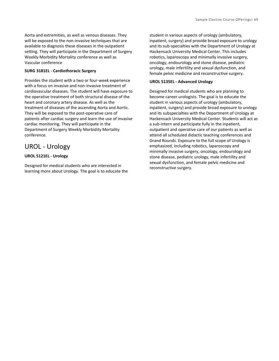Aorta and extremities, as well as venous diseases. They will be exposed to the non-invasive techniques that are available to diagnosis these diseases in the outpatient setting. They will participate in the Department of Surgery Weekly Morbidity Mortality conference as well as Vascular conference

#### **SURG 3181EL - Cardiothoracic Surgery**

Provides the student with a two or four-week experience with a focus on invasive and non-invasive treatment of cardiovascular diseases. The student will have exposure to the operative treatment of both structural disease of the heart and coronary artery disease. As well as the treatment of diseases of the ascending Aorta and Aortic. They will be exposed to the post-operative care of patients after cardiac surgery and learn the use of invasive cardiac monitoring. They will participate in the Department of Surgery Weekly Morbidity Mortality conference.

### UROL - Urology

### **UROL 5121EL - Urology**

Designed for medical students who are interested in learning more about Urology. The goal is to educate the student in various aspects of urology (ambulatory, inpatient, surgery) and provide broad exposure to urology and its sub-specialties with the Department of Urology at Hackensack University Medical Center. This includes robotics, laparoscopy and minimally invasive surgery, oncology, endourology and stone disease, pediatric urology, male infertility and sexual dysfunction, and female pelvic medicine and reconstructive surgery.

#### **UROL 5135EL - Advanced Urology**

Designed for medical students who are planning to become career urologists. The goal is to educate the student in various aspects of urology (ambulatory, inpatient, surgery) and provide broad exposure to urology and its subspecialties with the Department of Urology at Hackensack University Medical Center. Students will act as a sub-intern and participate fully in the inpatient, outpatient and operative care of our patients as well as attend all scheduled didactic teaching conferences and Grand Rounds. Exposure to the full scope of Urology is emphasized, including robotics, laparoscopy and minimally invasive surgery, oncology, endourology and stone disease, pediatric urology, male infertility and sexual dysfunction, and female pelvic medicine and reconstructive surgery.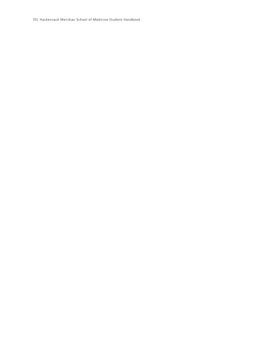70| Hackensack Meridian School of Medicine Student Handbook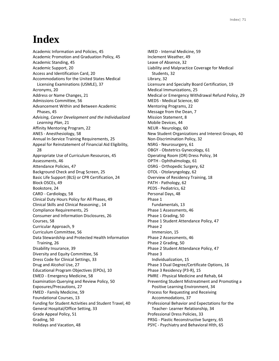# **Index**

Academic Information and Policies, 45 Academic Promotion and Graduation Policy, 45 Academic Standing, 45 Academic Support, 20 Access and Identification Card, 20 Accommodations for the United States Medical Licensing Examinations (USMLE), 37 Acronyms, 20 Address or Name Changes, 21 Admissions Committee, 56 Advancement Within and Between Academic Phases, 45 *Advising, Career Development and the Individualized Learning Plan*, 21 Affinity Mentoring Program, 22 ANES - Anesthesiology, 58 Annual In-Service Training Requirements, 25 Appeal for Reinstatement of Financial Aid Eligibility, 28 Appropriate Use of Curriculum Resources, 45 Assessments, 46 Attendance Policies, 47 Background Check and Drug Screen, 25 Basic Life Support (BLS) or CPR Certification, 24 Block OSCEs, 49 Bookstore, 24 CARD - Cardiology, 58 Clinical Duty Hours Policy for All Phases, 49 Clinical Skills and Clinical Reasoning:, 14 Compliance Requirements, 25 Consumer and Information Disclosures, 26 Courses, 58 Curricular Approach, 9 Curriculum Committee, 56 Data Stewardship and Protected Health Information Training, 26 Disability Insurance, 39 Diversity and Equity Committee, 56 Dress Code for Clinical Settings, 33 Drug and Alcohol Use, 27 Educational Program Objectives (EPOs), 10 EMED - Emergency Medicine, 58 Examination Querying and Review Policy, 50 Exposures/Precautions, 27 FMED - Family Medicine, 59 Foundational Courses, 13 Funding for Student Activities and Student Travel, 40 General Hospital/Office Setting, 33 Grade Appeal Policy, 51 Grading, 50 Holidays and Vacation, 48

IMED - Internal Medicine, 59 Inclement Weather, 49 Leave of Absence, 32 Liability and Malpractice Coverage for Medical Students, 32 Library, 32 Licensure and Specialty Board Certification, 19 Medical Immunizations, 25 Medical or Emergency Withdrawal Refund Policy, 29 MEDS - Medical Science, 60 Mentoring Programs, 22 Message from the Dean, 7 Mission Statement, 8 Mobile Devices, 44 NEUR - Neurology, 60 New Student Organizations and Interest Groups, 40 Non-Discrimination Policy, 32 NSRG - Neurosurgery, 61 OBGY - Obstetrics Gynecology, 61 Operating Room (OR) Dress Policy, 34 OPTH - Ophthalmology, 61 OSRG - Orthopedic Surgery, 62 OTOL - Otolaryngology, 62 Overview of Residency Training, 18 PATH - Pathology, 62 PEDS - Pediatrics, 62 Personal Days, 48 Phase 1 Fundamentals, 13 Phase 1 Assessments, 46 Phase 1 Grading, 50 Phase 1 Student Attendance Policy, 47 Phase 2 Immersion, 15 Phase 2 Assessments, 46 Phase 2 Grading, 50 Phase 2 Student Attendance Policy, 47 Phase 3 Individualization, 15 Phase 3 Dual Degree/Certificate Options, 16 Phase 3 Residency (P3-R), 15 PMRE - Physical Medicine and Rehab, 64 Preventing Student Mistreatment and Promoting a Positive Learning Environment, 34 Process for Requesting and Receiving Accommodations, 37 Professional Behavior and Expectations for the Teacher- Learner Relationship, 34 Professional Dress Policies, 33 PRSG - Plastic Reconstructive Surgery, 65 PSYC - Psychiatry and Behavioral Hlth, 65